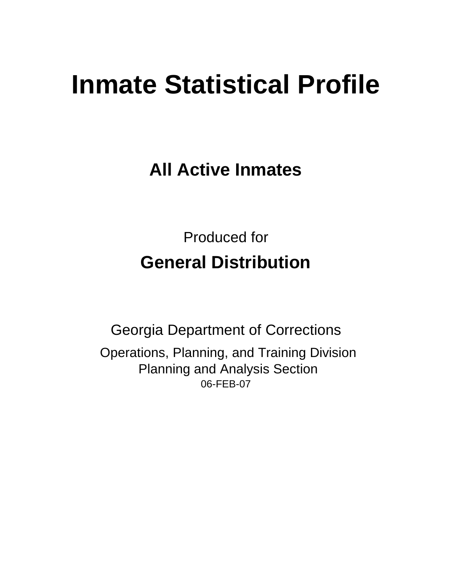# **Inmate Statistical Profile**

**All Active Inmates**

Produced for **General Distribution**

06-FEB-07 Georgia Department of Corrections Operations, Planning, and Training Division Planning and Analysis Section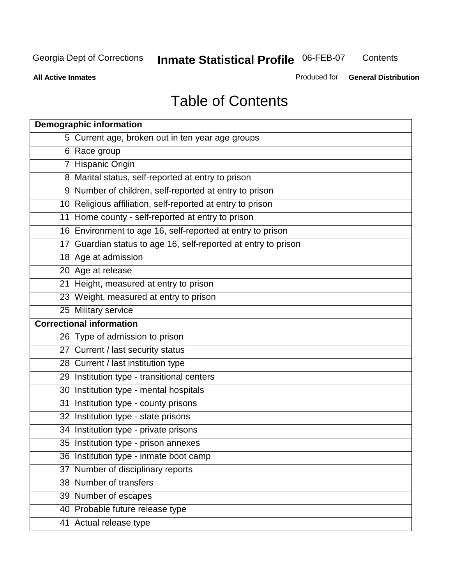**Contents** 

**All Active Inmates**

Produced for **General Distribution**

# Table of Contents

| <b>Demographic information</b>                                 |
|----------------------------------------------------------------|
| 5 Current age, broken out in ten year age groups               |
| 6 Race group                                                   |
| 7 Hispanic Origin                                              |
| 8 Marital status, self-reported at entry to prison             |
| 9 Number of children, self-reported at entry to prison         |
| 10 Religious affiliation, self-reported at entry to prison     |
| 11 Home county - self-reported at entry to prison              |
| 16 Environment to age 16, self-reported at entry to prison     |
| 17 Guardian status to age 16, self-reported at entry to prison |
| 18 Age at admission                                            |
| 20 Age at release                                              |
| 21 Height, measured at entry to prison                         |
| 23 Weight, measured at entry to prison                         |
| 25 Military service                                            |
| <b>Correctional information</b>                                |
| 26 Type of admission to prison                                 |
| 27 Current / last security status                              |
| 28 Current / last institution type                             |
| 29 Institution type - transitional centers                     |
| 30 Institution type - mental hospitals                         |
| 31 Institution type - county prisons                           |
| 32 Institution type - state prisons                            |
| 34 Institution type - private prisons                          |
| 35 Institution type - prison annexes                           |
| 36 Institution type - inmate boot camp                         |
| 37 Number of disciplinary reports                              |
| 38 Number of transfers                                         |
| 39 Number of escapes                                           |
| 40 Probable future release type                                |
| 41 Actual release type                                         |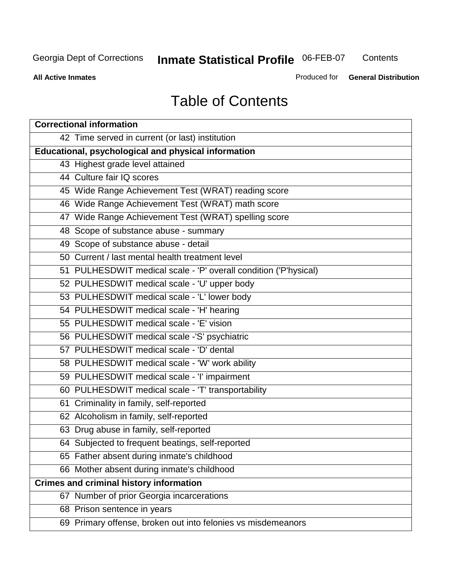**Contents** 

**All Active Inmates**

Produced for **General Distribution**

# Table of Contents

| <b>Correctional information</b>                                  |
|------------------------------------------------------------------|
| 42 Time served in current (or last) institution                  |
| Educational, psychological and physical information              |
| 43 Highest grade level attained                                  |
| 44 Culture fair IQ scores                                        |
| 45 Wide Range Achievement Test (WRAT) reading score              |
| 46 Wide Range Achievement Test (WRAT) math score                 |
| 47 Wide Range Achievement Test (WRAT) spelling score             |
| 48 Scope of substance abuse - summary                            |
| 49 Scope of substance abuse - detail                             |
| 50 Current / last mental health treatment level                  |
| 51 PULHESDWIT medical scale - 'P' overall condition ('P'hysical) |
| 52 PULHESDWIT medical scale - 'U' upper body                     |
| 53 PULHESDWIT medical scale - 'L' lower body                     |
| 54 PULHESDWIT medical scale - 'H' hearing                        |
| 55 PULHESDWIT medical scale - 'E' vision                         |
| 56 PULHESDWIT medical scale -'S' psychiatric                     |
| 57 PULHESDWIT medical scale - 'D' dental                         |
| 58 PULHESDWIT medical scale - 'W' work ability                   |
| 59 PULHESDWIT medical scale - 'I' impairment                     |
| 60 PULHESDWIT medical scale - 'T' transportability               |
| 61 Criminality in family, self-reported                          |
| 62 Alcoholism in family, self-reported                           |
| 63 Drug abuse in family, self-reported                           |
| 64 Subjected to frequent beatings, self-reported                 |
| 65 Father absent during inmate's childhood                       |
| 66 Mother absent during inmate's childhood                       |
| <b>Crimes and criminal history information</b>                   |
| 67 Number of prior Georgia incarcerations                        |
| 68 Prison sentence in years                                      |
| 69 Primary offense, broken out into felonies vs misdemeanors     |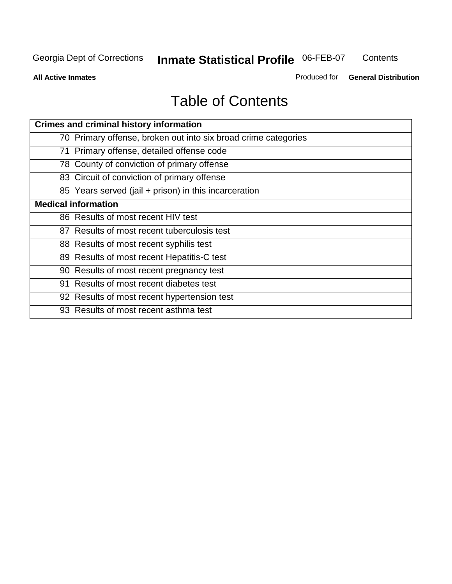**Contents** 

**All Active Inmates**

Produced for **General Distribution**

# Table of Contents

| <b>Crimes and criminal history information</b>                 |
|----------------------------------------------------------------|
| 70 Primary offense, broken out into six broad crime categories |
| 71 Primary offense, detailed offense code                      |
| 78 County of conviction of primary offense                     |
| 83 Circuit of conviction of primary offense                    |
| 85 Years served (jail + prison) in this incarceration          |
| <b>Medical information</b>                                     |
| 86 Results of most recent HIV test                             |
| 87 Results of most recent tuberculosis test                    |
| 88 Results of most recent syphilis test                        |
| 89 Results of most recent Hepatitis-C test                     |
| 90 Results of most recent pregnancy test                       |
| 91 Results of most recent diabetes test                        |
| 92 Results of most recent hypertension test                    |
| 93 Results of most recent asthma test                          |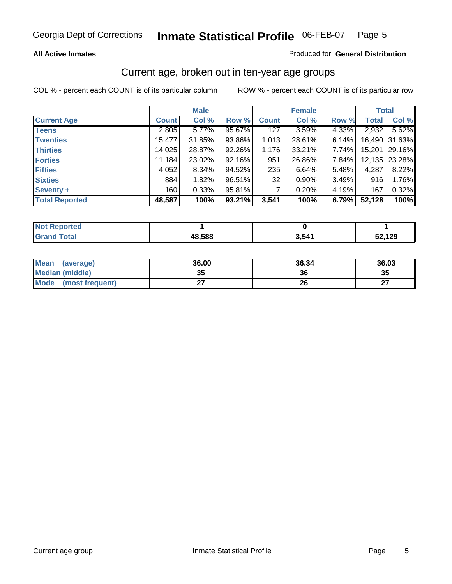#### **All Active Inmates**

#### Produced for **General Distribution**

### Current age, broken out in ten-year age groups

|                       |              | <b>Male</b> |        |              | <b>Female</b> |       |              | <b>Total</b> |
|-----------------------|--------------|-------------|--------|--------------|---------------|-------|--------------|--------------|
| <b>Current Age</b>    | <b>Count</b> | Col %       | Row %  | <b>Count</b> | Col %         | Row % | <b>Total</b> | Col %        |
| <b>Teens</b>          | 2,805        | 5.77%       | 95.67% | 127          | 3.59%         | 4.33% | 2,932        | 5.62%        |
| <b>Twenties</b>       | 15,477       | 31.85%      | 93.86% | 1,013        | 28.61%        | 6.14% | 16,490       | 31.63%       |
| <b>Thirties</b>       | 14,025       | 28.87%      | 92.26% | 1,176        | 33.21%        | 7.74% | 15,201       | 29.16%       |
| <b>Forties</b>        | 11,184       | 23.02%      | 92.16% | 951          | 26.86%        | 7.84% | 12,135       | 23.28%       |
| <b>Fifties</b>        | 4,052        | $8.34\%$    | 94.52% | 235          | 6.64%         | 5.48% | 4,287        | 8.22%        |
| <b>Sixties</b>        | 884          | 1.82%       | 96.51% | 32           | 0.90%         | 3.49% | 916          | 1.76%        |
| Seventy +             | 160          | 0.33%       | 95.81% |              | 0.20%         | 4.19% | 167          | 0.32%        |
| <b>Total Reported</b> | 48,587       | 100%        | 93.21% | 3,541        | 100%          | 6.79% | 52,128       | 100%         |

| سائط الأساب<br>neo<br><b>NOT</b> |        |       |                  |
|----------------------------------|--------|-------|------------------|
|                                  | 48,588 | 5.541 | 1 O C<br>JZ, IZJ |

| <b>Mean</b><br>(average) | 36.00     | 36.34 | 36.03     |
|--------------------------|-----------|-------|-----------|
| <b>Median (middle)</b>   | 25<br>JJ. | 36    | 35        |
| Mode<br>(most frequent)  |           | 26    | ^7<br>. . |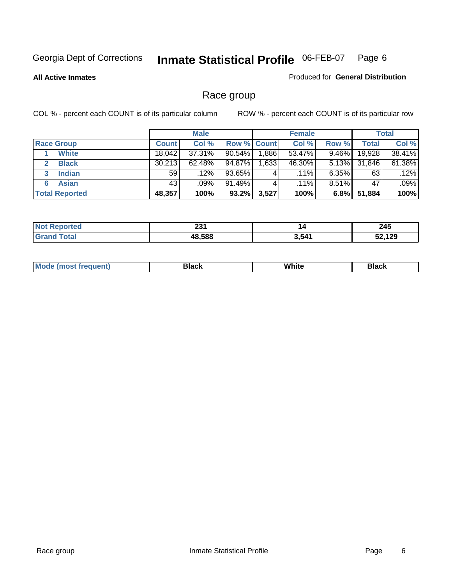#### **All Active Inmates**

#### Produced for **General Distribution**

### Race group

|                       |              | <b>Male</b> |             |       | <b>Female</b> |          |              | <b>Total</b> |
|-----------------------|--------------|-------------|-------------|-------|---------------|----------|--------------|--------------|
| <b>Race Group</b>     | <b>Count</b> | Col %       | Row % Count |       | Col %         | Row %    | <b>Total</b> | Col %        |
| <b>White</b>          | 18.042       | 37.31%      | $90.54\%$   | .886  | 53.47%        | 9.46%    | 19,928       | 38.41%       |
| <b>Black</b>          | 30,213       | $62.48\%$   | 94.87%      | 1,633 | 46.30%        | $5.13\%$ | 31,846       | 61.38%       |
| <b>Indian</b><br>3    | 59           | $.12\%$     | 93.65%      | 4     | $.11\%$       | $6.35\%$ | 63           | .12%         |
| <b>Asian</b>          | 43           | .09%        | 91.49%      |       | $.11\%$       | $8.51\%$ | 47           | .09%         |
| <b>Total Reported</b> | 48,357       | 100%        | $93.2\%$    | 3,527 | 100%          | 6.8%     | 51,884       | 100%         |

| nn.<br>ZJ I | 14   | 245            |
|-------------|------|----------------|
| 48588       | 3541 | .0.400<br>I 43 |

|  | $Mc$ | Black | White<br>$ -$ | 21904<br>DIACK |
|--|------|-------|---------------|----------------|
|--|------|-------|---------------|----------------|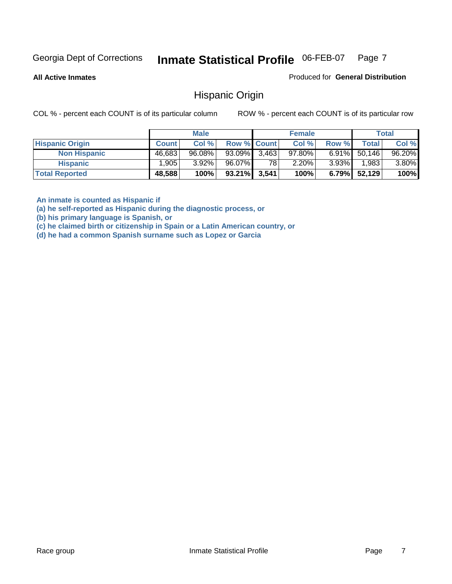**All Active Inmates**

Produced for **General Distribution**

### Hispanic Origin

COL % - percent each COUNT is of its particular column ROW % - percent each COUNT is of its particular row

|                        |              | <b>Male</b> |                    |    | <b>Female</b> |          |        | <b>Total</b> |
|------------------------|--------------|-------------|--------------------|----|---------------|----------|--------|--------------|
| <b>Hispanic Origin</b> | <b>Count</b> | Col %       | <b>Row % Count</b> |    | Col %         | Row %    | Total  | Col %        |
| <b>Non Hispanic</b>    | 46,683       | $96.08\%$   | $93.09\%$ 3,463    |    | $97.80\%$     | $6.91\%$ | 50.146 | 96.20%       |
| <b>Hispanic</b>        | 1.905        | $3.92\%$    | 96.07%             | 78 | $2.20\%$      | $3.93\%$ | 1,983  | 3.80%        |
| <b>Total Reported</b>  | 48,588       | 100%        | $93.21\%$ 3,541    |    | 100%          | $6.79\%$ | 52,129 | 100%         |

**An inmate is counted as Hispanic if** 

**(a) he self-reported as Hispanic during the diagnostic process, or** 

**(b) his primary language is Spanish, or** 

**(c) he claimed birth or citizenship in Spain or a Latin American country, or** 

**(d) he had a common Spanish surname such as Lopez or Garcia**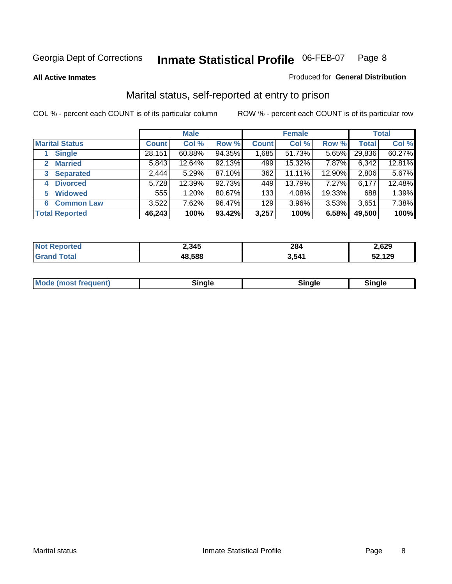**All Active Inmates**

#### Produced for **General Distribution**

### Marital status, self-reported at entry to prison

|                                |              | <b>Male</b> |        |              | <b>Female</b> |        |              | <b>Total</b> |
|--------------------------------|--------------|-------------|--------|--------------|---------------|--------|--------------|--------------|
| <b>Marital Status</b>          | <b>Count</b> | Col %       | Row %  | <b>Count</b> | Col %         | Row %  | <b>Total</b> | Col %        |
| <b>Single</b>                  | 28,151       | $60.88\%$   | 94.35% | 1,685        | 51.73%        | 5.65%  | 29,836       | 60.27%       |
| <b>Married</b><br>$\mathbf{2}$ | 5,843        | 12.64%      | 92.13% | 499          | 15.32%        | 7.87%  | 6,342        | 12.81%       |
| <b>Separated</b><br>3          | 2,444        | 5.29%       | 87.10% | 362          | 11.11%        | 12.90% | 2,806        | 5.67%        |
| <b>Divorced</b><br>4           | 5,728        | 12.39%      | 92.73% | 449          | 13.79%        | 7.27%  | 6,177        | 12.48%       |
| <b>Widowed</b><br>5            | 555          | 1.20%       | 80.67% | 133          | 4.08%         | 19.33% | 688          | 1.39%        |
| <b>Common Law</b><br>6         | 3,522        | 7.62%       | 96.47% | 129          | 3.96%         | 3.53%  | 3,651        | 7.38%        |
| <b>Total Reported</b>          | 46,243       | 100%        | 93.42% | 3,257        | 100%          | 6.58%  | 49,500       | 100%         |

| 2,345 | 284<br>____ | 2,629 |
|-------|-------------|-------|
| 588   | 3,541       | .129  |

| <b>Mode (most frequent)</b><br>Sinale<br>≒ınale |
|-------------------------------------------------|
|-------------------------------------------------|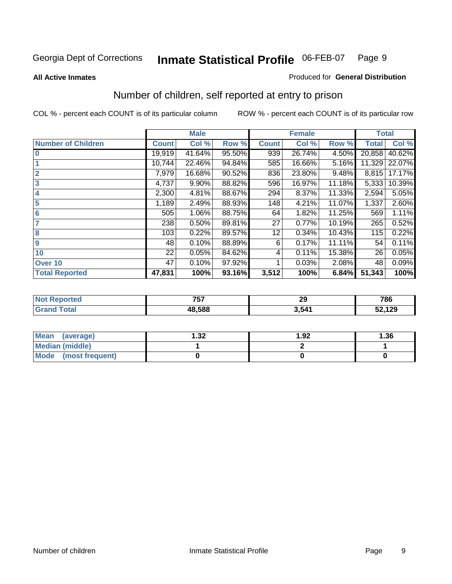#### **All Active Inmates**

#### Produced for **General Distribution**

### Number of children, self reported at entry to prison

|                           |              | <b>Male</b> |        |              | <b>Female</b> |        | <b>Total</b> |        |
|---------------------------|--------------|-------------|--------|--------------|---------------|--------|--------------|--------|
| <b>Number of Children</b> | <b>Count</b> | Col %       | Row %  | <b>Count</b> | Col %         | Row %  | <b>Total</b> | Col %  |
| $\bf{0}$                  | 19,919       | 41.64%      | 95.50% | 939          | 26.74%        | 4.50%  | 20,858       | 40.62% |
|                           | 10,744       | 22.46%      | 94.84% | 585          | 16.66%        | 5.16%  | 11,329       | 22.07% |
| $\overline{2}$            | 7,979        | 16.68%      | 90.52% | 836          | 23.80%        | 9.48%  | 8,815        | 17.17% |
| 3                         | 4,737        | 9.90%       | 88.82% | 596          | 16.97%        | 11.18% | 5,333        | 10.39% |
| 4                         | 2,300        | 4.81%       | 88.67% | 294          | 8.37%         | 11.33% | 2,594        | 5.05%  |
| 5                         | 1,189        | 2.49%       | 88.93% | 148          | 4.21%         | 11.07% | 1,337        | 2.60%  |
| $6\phantom{a}$            | 505          | 1.06%       | 88.75% | 64           | 1.82%         | 11.25% | 569          | 1.11%  |
| 7                         | 238          | 0.50%       | 89.81% | 27           | 0.77%         | 10.19% | 265          | 0.52%  |
| 8                         | 103          | 0.22%       | 89.57% | 12           | 0.34%         | 10.43% | 115          | 0.22%  |
| 9                         | 48           | 0.10%       | 88.89% | 6            | 0.17%         | 11.11% | 54           | 0.11%  |
| 10                        | 22           | 0.05%       | 84.62% | 4            | 0.11%         | 15.38% | 26           | 0.05%  |
| Over 10                   | 47           | 0.10%       | 97.92% |              | 0.03%         | 2.08%  | 48           | 0.09%  |
| <b>Total Reported</b>     | 47,831       | 100%        | 93.16% | 3,512        | 100%          | 6.84%  | 51,343       | 100%   |

| フロフ    | nr.  | <b>70C</b> |
|--------|------|------------|
| 70T    | ∼∸   | 7 O O      |
| 18.588 | .541 |            |

| <b>Mean</b><br>(average) | l.32 | 1.92 | .36 |
|--------------------------|------|------|-----|
| <b>Median (middle)</b>   |      |      |     |
| Mode<br>(most frequent)  |      |      |     |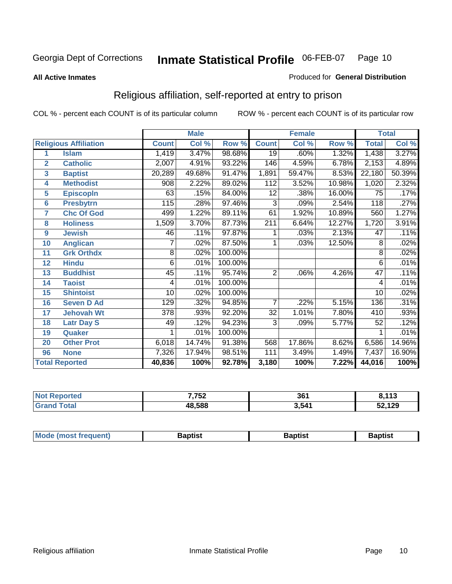#### **All Active Inmates**

#### Produced for **General Distribution**

### Religious affiliation, self-reported at entry to prison

|                       |                              | <b>Male</b>     |        |         |                  | <b>Female</b>             |        | <b>Total</b>    |        |  |
|-----------------------|------------------------------|-----------------|--------|---------|------------------|---------------------------|--------|-----------------|--------|--|
|                       | <b>Religious Affiliation</b> | <b>Count</b>    | Col %  | Row %   | <b>Count</b>     | $\overline{\text{Col}}$ % | Row %  | <b>Total</b>    | Col %  |  |
| 1                     | <b>Islam</b>                 | 1,419           | 3.47%  | 98.68%  | $\overline{19}$  | .60%                      | 1.32%  | 1,438           | 3.27%  |  |
| $\overline{2}$        | <b>Catholic</b>              | 2,007           | 4.91%  | 93.22%  | 146              | 4.59%                     | 6.78%  | 2,153           | 4.89%  |  |
| 3                     | <b>Baptist</b>               | 20,289          | 49.68% | 91.47%  | 1,891            | 59.47%                    | 8.53%  | 22,180          | 50.39% |  |
| 4                     | <b>Methodist</b>             | 908             | 2.22%  | 89.02%  | 112              | 3.52%                     | 10.98% | 1,020           | 2.32%  |  |
| 5                     | <b>EpiscopIn</b>             | 63              | .15%   | 84.00%  | 12               | .38%                      | 16.00% | 75              | .17%   |  |
| 6                     | <b>Presbytrn</b>             | 115             | .28%   | 97.46%  | 3                | .09%                      | 2.54%  | 118             | .27%   |  |
| 7                     | <b>Chc Of God</b>            | 499             | 1.22%  | 89.11%  | 61               | 1.92%                     | 10.89% | 560             | 1.27%  |  |
| 8                     | <b>Holiness</b>              | 1,509           | 3.70%  | 87.73%  | $\overline{211}$ | 6.64%                     | 12.27% | 1,720           | 3.91%  |  |
| $\boldsymbol{9}$      | <b>Jewish</b>                | 46              | .11%   | 97.87%  | 1                | .03%                      | 2.13%  | 47              | .11%   |  |
| 10                    | <b>Anglican</b>              | 7               | .02%   | 87.50%  | 1                | .03%                      | 12.50% | 8               | .02%   |  |
| 11                    | <b>Grk Orthdx</b>            | 8               | .02%   | 100.00% |                  |                           |        | 8               | .02%   |  |
| 12                    | <b>Hindu</b>                 | 6               | .01%   | 100.00% |                  |                           |        | 6               | .01%   |  |
| 13                    | <b>Buddhist</b>              | 45              | .11%   | 95.74%  | $\overline{2}$   | .06%                      | 4.26%  | $\overline{47}$ | .11%   |  |
| 14                    | <b>Taoist</b>                | 4               | .01%   | 100.00% |                  |                           |        | 4               | .01%   |  |
| 15                    | <b>Shintoist</b>             | $\overline{10}$ | .02%   | 100.00% |                  |                           |        | $\overline{10}$ | .02%   |  |
| 16                    | <b>Seven D Ad</b>            | 129             | .32%   | 94.85%  | 7                | .22%                      | 5.15%  | 136             | .31%   |  |
| 17                    | <b>Jehovah Wt</b>            | 378             | .93%   | 92.20%  | 32               | 1.01%                     | 7.80%  | 410             | .93%   |  |
| 18                    | <b>Latr Day S</b>            | 49              | .12%   | 94.23%  | 3                | .09%                      | 5.77%  | 52              | .12%   |  |
| 19                    | Quaker                       |                 | .01%   | 100.00% |                  |                           |        |                 | .01%   |  |
| 20                    | <b>Other Prot</b>            | 6,018           | 14.74% | 91.38%  | 568              | 17.86%                    | 8.62%  | 6,586           | 14.96% |  |
| 96                    | <b>None</b>                  | 7,326           | 17.94% | 98.51%  | 111              | 3.49%                     | 1.49%  | 7,437           | 16.90% |  |
| <b>Total Reported</b> |                              | 40,836          | 100%   | 92.78%  | 3,180            | 100%                      | 7.22%  | 44,016          | 100%   |  |

| <b>Not Reported</b> | 7,752  | 361   | 0.112<br>0,11J |
|---------------------|--------|-------|----------------|
| Гоtal<br>Grar       | 48,588 | 3,541 | 52,129         |

|  | Mode,<br>frequent)<br>umost 1 | 3aptist | Baptist<br>$  -$ | Baptist |
|--|-------------------------------|---------|------------------|---------|
|--|-------------------------------|---------|------------------|---------|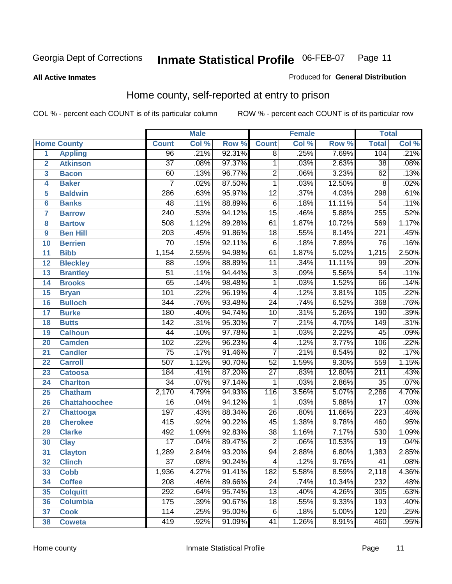#### **All Active Inmates**

#### Produced for **General Distribution**

### Home county, self-reported at entry to prison

|                 |                      |                  | <b>Male</b> |        |                 | <b>Female</b> |        | <b>Total</b>     |       |
|-----------------|----------------------|------------------|-------------|--------|-----------------|---------------|--------|------------------|-------|
|                 | <b>Home County</b>   | <b>Count</b>     | Col %       | Row %  | <b>Count</b>    | Col %         | Row %  | <b>Total</b>     | Col % |
| 1               | <b>Appling</b>       | 96               | .21%        | 92.31% | $\overline{8}$  | .25%          | 7.69%  | 104              | .21%  |
| $\overline{2}$  | <b>Atkinson</b>      | $\overline{37}$  | .08%        | 97.37% | 1               | .03%          | 2.63%  | $\overline{38}$  | .08%  |
| 3               | <b>Bacon</b>         | 60               | .13%        | 96.77% | $\overline{2}$  | .06%          | 3.23%  | 62               | .13%  |
| 4               | <b>Baker</b>         | $\overline{7}$   | .02%        | 87.50% | $\overline{1}$  | .03%          | 12.50% | $\overline{8}$   | .02%  |
| 5               | <b>Baldwin</b>       | 286              | .63%        | 95.97% | $\overline{12}$ | .37%          | 4.03%  | 298              | .61%  |
| $6\phantom{a}$  | <b>Banks</b>         | 48               | .11%        | 88.89% | $\overline{6}$  | .18%          | 11.11% | $\overline{54}$  | .11%  |
| $\overline{7}$  | <b>Barrow</b>        | $\overline{240}$ | .53%        | 94.12% | $\overline{15}$ | .46%          | 5.88%  | 255              | .52%  |
| 8               | <b>Bartow</b>        | 508              | 1.12%       | 89.28% | $\overline{61}$ | 1.87%         | 10.72% | 569              | 1.17% |
| 9               | <b>Ben Hill</b>      | $\overline{203}$ | .45%        | 91.86% | $\overline{18}$ | .55%          | 8.14%  | $\overline{221}$ | .45%  |
| 10              | <b>Berrien</b>       | $\overline{70}$  | .15%        | 92.11% | $\overline{6}$  | .18%          | 7.89%  | $\overline{76}$  | .16%  |
| 11              | <b>Bibb</b>          | 1,154            | 2.55%       | 94.98% | 61              | 1.87%         | 5.02%  | 1,215            | 2.50% |
| 12              | <b>Bleckley</b>      | $\overline{88}$  | .19%        | 88.89% | $\overline{11}$ | .34%          | 11.11% | 99               | .20%  |
| 13              | <b>Brantley</b>      | $\overline{51}$  | .11%        | 94.44% | $\overline{3}$  | .09%          | 5.56%  | $\overline{54}$  | .11%  |
| 14              | <b>Brooks</b>        | $\overline{65}$  | .14%        | 98.48% | $\overline{1}$  | .03%          | 1.52%  | $\overline{66}$  | .14%  |
| 15              | <b>Bryan</b>         | 101              | .22%        | 96.19% | 4               | .12%          | 3.81%  | 105              | .22%  |
| 16              | <b>Bulloch</b>       | 344              | .76%        | 93.48% | $\overline{24}$ | .74%          | 6.52%  | 368              | .76%  |
| $\overline{17}$ | <b>Burke</b>         | 180              | .40%        | 94.74% | $\overline{10}$ | .31%          | 5.26%  | 190              | .39%  |
| 18              | <b>Butts</b>         | $\overline{142}$ | .31%        | 95.30% | $\overline{7}$  | .21%          | 4.70%  | 149              | .31%  |
| 19              | <b>Calhoun</b>       | $\overline{44}$  | .10%        | 97.78% | $\mathbf{1}$    | .03%          | 2.22%  | $\overline{45}$  | .09%  |
| 20              | <b>Camden</b>        | 102              | .22%        | 96.23% | $\overline{4}$  | .12%          | 3.77%  | 106              | .22%  |
| 21              | <b>Candler</b>       | $\overline{75}$  | .17%        | 91.46% | $\overline{7}$  | .21%          | 8.54%  | $\overline{82}$  | .17%  |
| $\overline{22}$ | <b>Carroll</b>       | $\overline{507}$ | 1.12%       | 90.70% | $\overline{52}$ | 1.59%         | 9.30%  | 559              | 1.15% |
| 23              | <b>Catoosa</b>       | 184              | .41%        | 87.20% | $\overline{27}$ | .83%          | 12.80% | $\overline{211}$ | .43%  |
| 24              | <b>Charlton</b>      | $\overline{34}$  | .07%        | 97.14% | 1               | .03%          | 2.86%  | $\overline{35}$  | .07%  |
| 25              | <b>Chatham</b>       | 2,170            | 4.79%       | 94.93% | 116             | 3.56%         | 5.07%  | 2,286            | 4.70% |
| 26              | <b>Chattahoochee</b> | $\overline{16}$  | .04%        | 94.12% | 1               | .03%          | 5.88%  | $\overline{17}$  | .03%  |
| 27              | <b>Chattooga</b>     | $\overline{197}$ | .43%        | 88.34% | $\overline{26}$ | .80%          | 11.66% | $\overline{223}$ | .46%  |
| 28              | <b>Cherokee</b>      | 415              | .92%        | 90.22% | $\overline{45}$ | 1.38%         | 9.78%  | 460              | .95%  |
| 29              | <b>Clarke</b>        | 492              | 1.09%       | 92.83% | $\overline{38}$ | 1.16%         | 7.17%  | 530              | 1.09% |
| 30              | <b>Clay</b>          | $\overline{17}$  | .04%        | 89.47% | $\overline{2}$  | .06%          | 10.53% | $\overline{19}$  | .04%  |
| $\overline{31}$ | <b>Clayton</b>       | 1,289            | 2.84%       | 93.20% | 94              | 2.88%         | 6.80%  | 1,383            | 2.85% |
| 32              | <b>Clinch</b>        | 37               | .08%        | 90.24% | 4               | .12%          | 9.76%  | 41               | .08%  |
| 33              | <b>Cobb</b>          | 1,936            | 4.27%       | 91.41% | 182             | 5.58%         | 8.59%  | 2,118            | 4.36% |
| 34              | <b>Coffee</b>        | 208              | .46%        | 89.66% | $\overline{24}$ | .74%          | 10.34% | 232              | .48%  |
| 35              | <b>Colquitt</b>      | 292              | .64%        | 95.74% | $\overline{13}$ | .40%          | 4.26%  | 305              | .63%  |
| 36              | <b>Columbia</b>      | 175              | .39%        | 90.67% | 18              | .55%          | 9.33%  | 193              | .40%  |
| 37              | <b>Cook</b>          | 114              | .25%        | 95.00% | 6               | .18%          | 5.00%  | 120              | .25%  |
| 38              | <b>Coweta</b>        | 419              | .92%        | 91.09% | $\overline{41}$ | 1.26%         | 8.91%  | 460              | .95%  |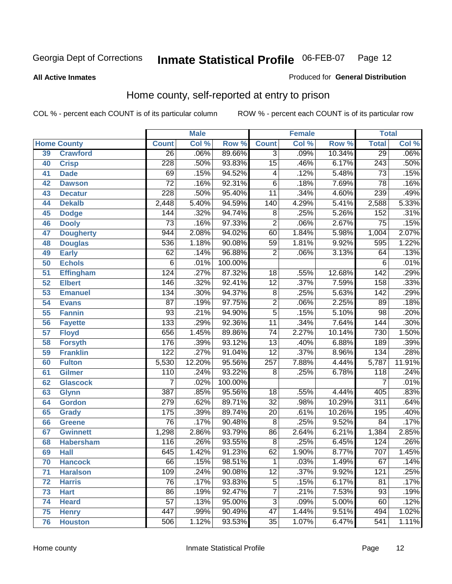#### **All Active Inmates**

#### Produced for **General Distribution**

### Home county, self-reported at entry to prison

|    |                    |                  | <b>Male</b> |         |                  | <b>Female</b> |        | <b>Total</b>     |        |
|----|--------------------|------------------|-------------|---------|------------------|---------------|--------|------------------|--------|
|    | <b>Home County</b> | <b>Count</b>     | Col %       | Row %   | <b>Count</b>     | Col %         | Row %  | <b>Total</b>     | Col %  |
| 39 | <b>Crawford</b>    | $\overline{26}$  | .06%        | 89.66%  | 3                | $.09\%$       | 10.34% | 29               | .06%   |
| 40 | <b>Crisp</b>       | 228              | .50%        | 93.83%  | $\overline{15}$  | .46%          | 6.17%  | 243              | .50%   |
| 41 | <b>Dade</b>        | 69               | .15%        | 94.52%  | 4                | .12%          | 5.48%  | 73               | .15%   |
| 42 | <b>Dawson</b>      | $\overline{72}$  | .16%        | 92.31%  | $\overline{6}$   | .18%          | 7.69%  | $\overline{78}$  | .16%   |
| 43 | <b>Decatur</b>     | $\overline{228}$ | .50%        | 95.40%  | $\overline{11}$  | .34%          | 4.60%  | 239              | .49%   |
| 44 | <b>Dekalb</b>      | 2,448            | 5.40%       | 94.59%  | $\overline{140}$ | 4.29%         | 5.41%  | 2,588            | 5.33%  |
| 45 | <b>Dodge</b>       | 144              | .32%        | 94.74%  | $\overline{8}$   | .25%          | 5.26%  | 152              | .31%   |
| 46 | <b>Dooly</b>       | $\overline{73}$  | .16%        | 97.33%  | $\overline{2}$   | .06%          | 2.67%  | $\overline{75}$  | .15%   |
| 47 | <b>Dougherty</b>   | 944              | 2.08%       | 94.02%  | 60               | 1.84%         | 5.98%  | 1,004            | 2.07%  |
| 48 | <b>Douglas</b>     | 536              | 1.18%       | 90.08%  | 59               | 1.81%         | 9.92%  | 595              | 1.22%  |
| 49 | <b>Early</b>       | 62               | .14%        | 96.88%  | $\overline{2}$   | .06%          | 3.13%  | 64               | .13%   |
| 50 | <b>Echols</b>      | $\overline{6}$   | .01%        | 100.00% |                  |               |        | 6                | .01%   |
| 51 | <b>Effingham</b>   | 124              | .27%        | 87.32%  | 18               | .55%          | 12.68% | 142              | .29%   |
| 52 | <b>Elbert</b>      | 146              | .32%        | 92.41%  | $\overline{12}$  | .37%          | 7.59%  | 158              | .33%   |
| 53 | <b>Emanuel</b>     | 134              | .30%        | 94.37%  | $\overline{8}$   | .25%          | 5.63%  | 142              | .29%   |
| 54 | <b>Evans</b>       | $\overline{87}$  | .19%        | 97.75%  | $\overline{2}$   | .06%          | 2.25%  | 89               | .18%   |
| 55 | <b>Fannin</b>      | $\overline{93}$  | .21%        | 94.90%  | $\overline{5}$   | .15%          | 5.10%  | 98               | .20%   |
| 56 | <b>Fayette</b>     | 133              | .29%        | 92.36%  | $\overline{11}$  | .34%          | 7.64%  | 144              | .30%   |
| 57 | <b>Floyd</b>       | 656              | 1.45%       | 89.86%  | $\overline{74}$  | 2.27%         | 10.14% | 730              | 1.50%  |
| 58 | <b>Forsyth</b>     | 176              | .39%        | 93.12%  | $\overline{13}$  | .40%          | 6.88%  | 189              | .39%   |
| 59 | <b>Franklin</b>    | 122              | .27%        | 91.04%  | $\overline{12}$  | .37%          | 8.96%  | 134              | .28%   |
| 60 | <b>Fulton</b>      | 5,530            | 12.20%      | 95.56%  | $\overline{257}$ | 7.88%         | 4.44%  | 5,787            | 11.91% |
| 61 | <b>Gilmer</b>      | 110              | .24%        | 93.22%  | 8                | .25%          | 6.78%  | 118              | .24%   |
| 62 | <b>Glascock</b>    | 7                | .02%        | 100.00% |                  |               |        | $\overline{7}$   | .01%   |
| 63 | <b>Glynn</b>       | 387              | .85%        | 95.56%  | 18               | .55%          | 4.44%  | 405              | .83%   |
| 64 | <b>Gordon</b>      | 279              | .62%        | 89.71%  | $\overline{32}$  | .98%          | 10.29% | $\overline{311}$ | .64%   |
| 65 | <b>Grady</b>       | 175              | .39%        | 89.74%  | $\overline{20}$  | .61%          | 10.26% | 195              | .40%   |
| 66 | <b>Greene</b>      | $\overline{76}$  | .17%        | 90.48%  | $\overline{8}$   | .25%          | 9.52%  | 84               | .17%   |
| 67 | <b>Gwinnett</b>    | 1,298            | 2.86%       | 93.79%  | 86               | 2.64%         | 6.21%  | 1,384            | 2.85%  |
| 68 | <b>Habersham</b>   | 116              | .26%        | 93.55%  | $\overline{8}$   | .25%          | 6.45%  | 124              | .26%   |
| 69 | <b>Hall</b>        | $\overline{645}$ | 1.42%       | 91.23%  | 62               | 1.90%         | 8.77%  | 707              | 1.45%  |
| 70 | <b>Hancock</b>     | $\overline{66}$  | .15%        | 98.51%  | 1                | .03%          | 1.49%  | 67               | .14%   |
| 71 | <b>Haralson</b>    | 109              | .24%        | 90.08%  | $\overline{12}$  | .37%          | 9.92%  | 121              | .25%   |
| 72 | <b>Harris</b>      | $\overline{76}$  | .17%        | 93.83%  | $\overline{5}$   | .15%          | 6.17%  | 81               | .17%   |
| 73 | <b>Hart</b>        | 86               | .19%        | 92.47%  | $\overline{7}$   | .21%          | 7.53%  | $\overline{93}$  | .19%   |
| 74 | <b>Heard</b>       | $\overline{57}$  | .13%        | 95.00%  | $\overline{3}$   | .09%          | 5.00%  | 60               | .12%   |
| 75 | <b>Henry</b>       | 447              | .99%        | 90.49%  | 47               | 1.44%         | 9.51%  | 494              | 1.02%  |
| 76 | <b>Houston</b>     | 506              | 1.12%       | 93.53%  | $\overline{35}$  | 1.07%         | 6.47%  | 541              | 1.11%  |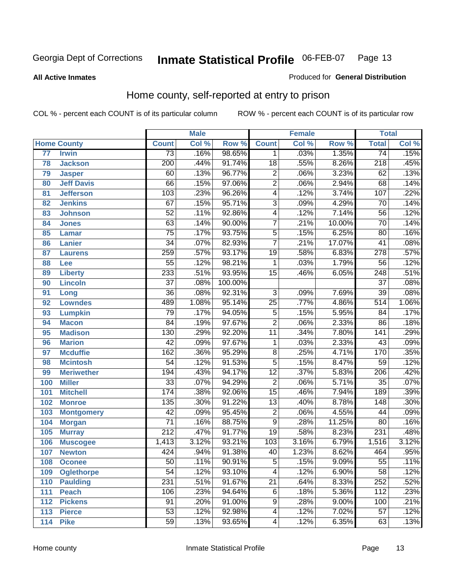**All Active Inmates**

#### Produced for **General Distribution**

### Home county, self-reported at entry to prison

|                 |                    |                  | <b>Male</b> |         |                 | <b>Female</b> |          | <b>Total</b>     |       |
|-----------------|--------------------|------------------|-------------|---------|-----------------|---------------|----------|------------------|-------|
|                 | <b>Home County</b> | <b>Count</b>     | Col %       | Row %   | <b>Count</b>    | Col %         | Row %    | <b>Total</b>     | Col % |
| $\overline{77}$ | <b>Irwin</b>       | 73               | .16%        | 98.65%  | 1               | .03%          | 1.35%    | $\overline{74}$  | .15%  |
| 78              | <b>Jackson</b>     | $\overline{200}$ | .44%        | 91.74%  | $\overline{18}$ | .55%          | 8.26%    | $\overline{218}$ | .45%  |
| 79              | <b>Jasper</b>      | 60               | .13%        | 96.77%  | $\overline{2}$  | .06%          | 3.23%    | 62               | .13%  |
| 80              | <b>Jeff Davis</b>  | 66               | .15%        | 97.06%  | $\overline{2}$  | .06%          | 2.94%    | 68               | .14%  |
| 81              | <b>Jefferson</b>   | $\overline{103}$ | .23%        | 96.26%  | 4               | .12%          | 3.74%    | 107              | .22%  |
| 82              | <b>Jenkins</b>     | $\overline{67}$  | .15%        | 95.71%  | $\overline{3}$  | .09%          | 4.29%    | $\overline{70}$  | .14%  |
| 83              | <b>Johnson</b>     | $\overline{52}$  | .11%        | 92.86%  | $\overline{4}$  | .12%          | 7.14%    | $\overline{56}$  | .12%  |
| 84              | <b>Jones</b>       | $\overline{63}$  | .14%        | 90.00%  | $\overline{7}$  | .21%          | 10.00%   | $\overline{70}$  | .14%  |
| 85              | <b>Lamar</b>       | $\overline{75}$  | .17%        | 93.75%  | $\overline{5}$  | .15%          | 6.25%    | $\overline{80}$  | .16%  |
| 86              | <b>Lanier</b>      | $\overline{34}$  | .07%        | 82.93%  | $\overline{7}$  | .21%          | 17.07%   | $\overline{41}$  | .08%  |
| 87              | <b>Laurens</b>     | 259              | .57%        | 93.17%  | $\overline{19}$ | .58%          | 6.83%    | 278              | .57%  |
| 88              | <b>Lee</b>         | $\overline{55}$  | .12%        | 98.21%  | 1               | .03%          | 1.79%    | $\overline{56}$  | .12%  |
| 89              | <b>Liberty</b>     | $\overline{233}$ | .51%        | 93.95%  | $\overline{15}$ | .46%          | 6.05%    | $\overline{248}$ | .51%  |
| 90              | <b>Lincoln</b>     | $\overline{37}$  | .08%        | 100.00% |                 |               |          | $\overline{37}$  | .08%  |
| 91              | Long               | $\overline{36}$  | .08%        | 92.31%  | $\overline{3}$  | .09%          | 7.69%    | $\overline{39}$  | .08%  |
| 92              | <b>Lowndes</b>     | 489              | 1.08%       | 95.14%  | $\overline{25}$ | .77%          | 4.86%    | $\overline{514}$ | 1.06% |
| 93              | <b>Lumpkin</b>     | 79               | .17%        | 94.05%  | $\overline{5}$  | .15%          | 5.95%    | 84               | .17%  |
| 94              | <b>Macon</b>       | $\overline{84}$  | .19%        | 97.67%  | $\overline{2}$  | .06%          | 2.33%    | $\overline{86}$  | .18%  |
| 95              | <b>Madison</b>     | 130              | .29%        | 92.20%  | $\overline{11}$ | .34%          | 7.80%    | $\overline{141}$ | .29%  |
| 96              | <b>Marion</b>      | $\overline{42}$  | .09%        | 97.67%  | $\mathbf 1$     | .03%          | 2.33%    | $\overline{43}$  | .09%  |
| 97              | <b>Mcduffie</b>    | 162              | .36%        | 95.29%  | $\overline{8}$  | .25%          | 4.71%    | 170              | .35%  |
| 98              | <b>Mcintosh</b>    | $\overline{54}$  | .12%        | 91.53%  | $\overline{5}$  | .15%          | 8.47%    | $\overline{59}$  | .12%  |
| 99              | <b>Meriwether</b>  | 194              | .43%        | 94.17%  | $\overline{12}$ | .37%          | 5.83%    | $\overline{206}$ | .42%  |
| 100             | <b>Miller</b>      | $\overline{33}$  | .07%        | 94.29%  | $\overline{2}$  | .06%          | 5.71%    | $\overline{35}$  | .07%  |
| 101             | <b>Mitchell</b>    | 174              | .38%        | 92.06%  | $\overline{15}$ | .46%          | 7.94%    | 189              | .39%  |
| 102             | <b>Monroe</b>      | 135              | .30%        | 91.22%  | $\overline{13}$ | .40%          | 8.78%    | $\overline{148}$ | .30%  |
| 103             | <b>Montgomery</b>  | $\overline{42}$  | .09%        | 95.45%  | $\overline{2}$  | .06%          | 4.55%    | 44               | .09%  |
| 104             | <b>Morgan</b>      | $\overline{71}$  | .16%        | 88.75%  | $\overline{9}$  | .28%          | 11.25%   | $\overline{80}$  | .16%  |
| 105             | <b>Murray</b>      | $\overline{212}$ | .47%        | 91.77%  | $\overline{19}$ | .58%          | 8.23%    | 231              | .48%  |
| 106             | <b>Muscogee</b>    | 1,413            | 3.12%       | 93.21%  | 103             | 3.16%         | 6.79%    | 1,516            | 3.12% |
| 107             | <b>Newton</b>      | 424              | .94%        | 91.38%  | 40              | 1.23%         | 8.62%    | 464              | .95%  |
| 108             | <b>Oconee</b>      | 50               | .11%        | 90.91%  | 5               | .15%          | $9.09\%$ | 55               | .11%  |
| 109             | <b>Oglethorpe</b>  | $\overline{54}$  | .12%        | 93.10%  | 4               | .12%          | 6.90%    | $\overline{58}$  | .12%  |
| 110             | <b>Paulding</b>    | 231              | .51%        | 91.67%  | $\overline{21}$ | .64%          | 8.33%    | 252              | .52%  |
| 111             | <b>Peach</b>       | 106              | .23%        | 94.64%  | $\overline{6}$  | .18%          | 5.36%    | 112              | .23%  |
| 112             | <b>Pickens</b>     | 91               | .20%        | 91.00%  | 9               | .28%          | 9.00%    | 100              | .21%  |
| 113             | <b>Pierce</b>      | $\overline{53}$  | .12%        | 92.98%  | 4               | .12%          | 7.02%    | 57               | .12%  |
| 114             | <b>Pike</b>        | $\overline{59}$  | .13%        | 93.65%  | $\overline{4}$  | .12%          | 6.35%    | 63               | .13%  |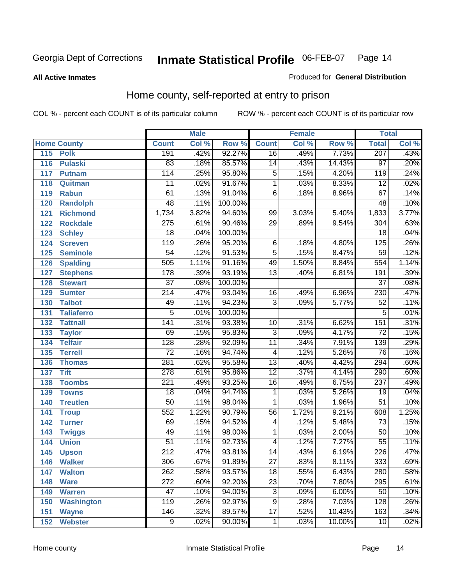**All Active Inmates**

#### Produced for **General Distribution**

### Home county, self-reported at entry to prison

|     |                    |                  | <b>Male</b> |         |                         | <b>Female</b> |        | <b>Total</b>     |                            |
|-----|--------------------|------------------|-------------|---------|-------------------------|---------------|--------|------------------|----------------------------|
|     | <b>Home County</b> | <b>Count</b>     | Col %       | Row %   | <b>Count</b>            | Col %         | Row %  | <b>Total</b>     | $\overline{\text{Col }^9}$ |
| 115 | <b>Polk</b>        | 191              | .42%        | 92.27%  | $\overline{16}$         | .49%          | 7.73%  | 207              | .43%                       |
| 116 | <b>Pulaski</b>     | 83               | .18%        | 85.57%  | $\overline{14}$         | .43%          | 14.43% | $\overline{97}$  | .20%                       |
| 117 | <b>Putnam</b>      | 114              | .25%        | 95.80%  | 5                       | .15%          | 4.20%  | 119              | .24%                       |
| 118 | Quitman            | $\overline{11}$  | .02%        | 91.67%  | $\overline{1}$          | .03%          | 8.33%  | $\overline{12}$  | .02%                       |
| 119 | <b>Rabun</b>       | 61               | .13%        | 91.04%  | $\overline{6}$          | .18%          | 8.96%  | 67               | .14%                       |
| 120 | Randolph           | 48               | .11%        | 100.00% |                         |               |        | 48               | .10%                       |
| 121 | <b>Richmond</b>    | 1,734            | 3.82%       | 94.60%  | 99                      | 3.03%         | 5.40%  | 1,833            | 3.77%                      |
| 122 | <b>Rockdale</b>    | $\overline{275}$ | .61%        | 90.46%  | $\overline{29}$         | .89%          | 9.54%  | 304              | .63%                       |
| 123 | <b>Schley</b>      | $\overline{18}$  | .04%        | 100.00% |                         |               |        | $\overline{18}$  | .04%                       |
| 124 | <b>Screven</b>     | $\overline{119}$ | .26%        | 95.20%  | 6                       | .18%          | 4.80%  | 125              | .26%                       |
| 125 | <b>Seminole</b>    | $\overline{54}$  | .12%        | 91.53%  | $\overline{5}$          | .15%          | 8.47%  | 59               | .12%                       |
| 126 | <b>Spalding</b>    | 505              | 1.11%       | 91.16%  | 49                      | 1.50%         | 8.84%  | 554              | 1.14%                      |
| 127 | <b>Stephens</b>    | $\overline{178}$ | .39%        | 93.19%  | $\overline{13}$         | .40%          | 6.81%  | 191              | .39%                       |
| 128 | <b>Stewart</b>     | $\overline{37}$  | .08%        | 100.00% |                         |               |        | $\overline{37}$  | .08%                       |
| 129 | <b>Sumter</b>      | $\overline{214}$ | .47%        | 93.04%  | 16                      | .49%          | 6.96%  | 230              | .47%                       |
| 130 | <b>Talbot</b>      | 49               | .11%        | 94.23%  | $\overline{3}$          | .09%          | 5.77%  | $\overline{52}$  | .11%                       |
| 131 | <b>Taliaferro</b>  | $\overline{5}$   | .01%        | 100.00% |                         |               |        | $\overline{5}$   | .01%                       |
| 132 | <b>Tattnall</b>    | $\overline{141}$ | .31%        | 93.38%  | $\overline{10}$         | .31%          | 6.62%  | 151              | .31%                       |
| 133 | <b>Taylor</b>      | 69               | .15%        | 95.83%  | $\overline{3}$          | .09%          | 4.17%  | $\overline{72}$  | .15%                       |
| 134 | <b>Telfair</b>     | $\overline{128}$ | .28%        | 92.09%  | $\overline{11}$         | .34%          | 7.91%  | 139              | .29%                       |
| 135 | <b>Terrell</b>     | $\overline{72}$  | .16%        | 94.74%  | $\overline{\mathbf{4}}$ | .12%          | 5.26%  | 76               | .16%                       |
| 136 | <b>Thomas</b>      | $\overline{281}$ | .62%        | 95.58%  | $\overline{13}$         | .40%          | 4.42%  | 294              | .60%                       |
| 137 | <b>Tift</b>        | 278              | .61%        | 95.86%  | $\overline{12}$         | .37%          | 4.14%  | 290              | .60%                       |
| 138 | <b>Toombs</b>      | $\overline{221}$ | .49%        | 93.25%  | $\overline{16}$         | .49%          | 6.75%  | $\overline{237}$ | .49%                       |
| 139 | <b>Towns</b>       | $\overline{18}$  | .04%        | 94.74%  | 1                       | .03%          | 5.26%  | $\overline{19}$  | .04%                       |
| 140 | <b>Treutlen</b>    | $\overline{50}$  | .11%        | 98.04%  | 1                       | .03%          | 1.96%  | $\overline{51}$  | .10%                       |
| 141 | <b>Troup</b>       | 552              | 1.22%       | 90.79%  | $\overline{56}$         | 1.72%         | 9.21%  | 608              | 1.25%                      |
| 142 | <b>Turner</b>      | 69               | .15%        | 94.52%  | 4                       | .12%          | 5.48%  | $\overline{73}$  | .15%                       |
| 143 | <b>Twiggs</b>      | 49               | .11%        | 98.00%  | 1                       | .03%          | 2.00%  | $\overline{50}$  | .10%                       |
| 144 | <b>Union</b>       | $\overline{51}$  | .11%        | 92.73%  | $\overline{\mathbf{4}}$ | .12%          | 7.27%  | $\overline{55}$  | .11%                       |
| 145 | <b>Upson</b>       | $\overline{212}$ | .47%        | 93.81%  | $\overline{14}$         | .43%          | 6.19%  | 226              | .47%                       |
| 146 | <b>Walker</b>      | 306              | .67%        | 91.89%  | 27                      | .83%          | 8.11%  | 333              | .69%                       |
| 147 | <b>Walton</b>      | $\overline{262}$ | .58%        | 93.57%  | $\overline{18}$         | .55%          | 6.43%  | 280              | .58%                       |
| 148 | <b>Ware</b>        | $\overline{272}$ | .60%        | 92.20%  | $\overline{23}$         | .70%          | 7.80%  | 295              | .61%                       |
| 149 | <b>Warren</b>      | $\overline{47}$  | .10%        | 94.00%  | $\overline{3}$          | .09%          | 6.00%  | $\overline{50}$  | .10%                       |
| 150 | <b>Washington</b>  | 119              | .26%        | 92.97%  | $\overline{9}$          | .28%          | 7.03%  | 128              | .26%                       |
| 151 | <b>Wayne</b>       | 146              | .32%        | 89.57%  | $\overline{17}$         | .52%          | 10.43% | 163              | .34%                       |
| 152 | <b>Webster</b>     | $\overline{9}$   | .02%        | 90.00%  | 1                       | .03%          | 10.00% | 10               | .02%                       |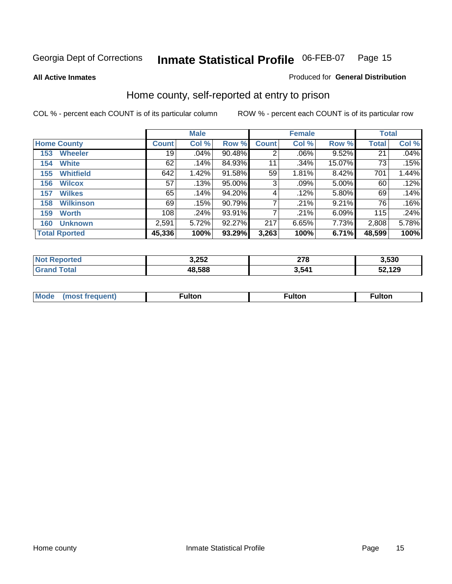**All Active Inmates**

#### Produced for **General Distribution**

### Home county, self-reported at entry to prison

|                    |                      | <b>Male</b>  |       |        |              | <b>Female</b> |        | <b>Total</b> |       |  |
|--------------------|----------------------|--------------|-------|--------|--------------|---------------|--------|--------------|-------|--|
| <b>Home County</b> |                      | <b>Count</b> | Col % | Row %  | <b>Count</b> | Col %         | Row %  | Total        | Col % |  |
| 153                | <b>Wheeler</b>       | 19           | .04%  | 90.48% | 2            | .06%          | 9.52%  | 21           | .04%  |  |
| 154                | <b>White</b>         | 62           | .14%  | 84.93% | 11           | .34%          | 15.07% | 73           | .15%  |  |
| 155                | <b>Whitfield</b>     | 642          | 1.42% | 91.58% | 59           | 1.81%         | 8.42%  | 701          | 1.44% |  |
| 156                | <b>Wilcox</b>        | 57           | .13%  | 95.00% | 3            | .09%          | 5.00%  | 60           | .12%  |  |
| 157                | <b>Wilkes</b>        | 65           | .14%  | 94.20% | 4            | .12%          | 5.80%  | 69           | .14%  |  |
| 158                | <b>Wilkinson</b>     | 69           | .15%  | 90.79% | 7            | .21%          | 9.21%  | 76           | .16%  |  |
| 159                | <b>Worth</b>         | 108          | .24%  | 93.91% | 7            | .21%          | 6.09%  | 115          | .24%  |  |
| 160                | <b>Unknown</b>       | 2,591        | 5.72% | 92.27% | 217          | 6.65%         | 7.73%  | 2,808        | 5.78% |  |
|                    | <b>Total Rported</b> | 45,336       | 100%  | 93.29% | 3,263        | 100%          | 6.71%  | 48,599       | 100%  |  |

| ported<br>NO: | 3,252  | 270<br>21 O | 3,530  |
|---------------|--------|-------------|--------|
| otal<br>. Gr  | 48.588 | 541         | 52,129 |

| <b>Mode</b> | ---<br>.tor | <b>ulton</b> | . |
|-------------|-------------|--------------|---|
|             |             |              |   |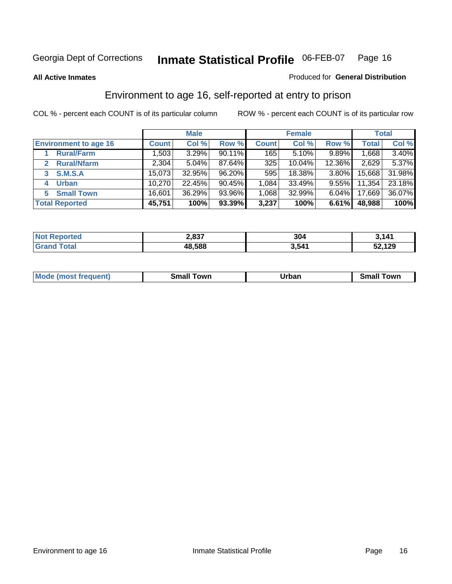**All Active Inmates**

#### Produced for **General Distribution**

### Environment to age 16, self-reported at entry to prison

|                                      |              | <b>Male</b> |        |              | <b>Female</b> |          |              | <b>Total</b> |
|--------------------------------------|--------------|-------------|--------|--------------|---------------|----------|--------------|--------------|
| <b>Environment to age 16</b>         | <b>Count</b> | Col %       | Row %  | <b>Count</b> | Col %         | Row %    | <b>Total</b> | Col %        |
| <b>Rural/Farm</b>                    | 1,503        | 3.29%       | 90.11% | 165          | 5.10%         | 9.89%    | 1,668        | 3.40%        |
| <b>Rural/Nfarm</b><br>$\overline{2}$ | 2,304        | 5.04%       | 87.64% | 325          | 10.04%        | 12.36%   | 2,629        | 5.37%        |
| <b>S.M.S.A</b><br>3                  | 15,073       | 32.95%      | 96.20% | 595          | 18.38%        | 3.80%    | 15,668       | 31.98%       |
| <b>Urban</b>                         | 10,270       | 22.45%      | 90.45% | 1,084        | 33.49%        | $9.55\%$ | 11,354       | 23.18%       |
| <b>Small Town</b><br>5.              | 16,601       | 36.29%      | 93.96% | 1,068        | 32.99%        | 6.04%    | 17,669       | 36.07%       |
| <b>Total Reported</b>                | 45,751       | 100%        | 93.39% | 3,237        | 100%          | 6.61%    | 48,988       | 100%         |

| <b>Not Reported</b>    | 2,837  | 304   | 3.141  |
|------------------------|--------|-------|--------|
| Гоtal<br><b>⊍Grand</b> | 48,588 | 3,541 | 52,129 |

| <b>Mode</b><br>frequent)<br>$\cdots$ | own<br>Small<br>_____ | Jrban<br>____ | ⊺owr<br>ан<br>_____ |
|--------------------------------------|-----------------------|---------------|---------------------|
|                                      |                       |               |                     |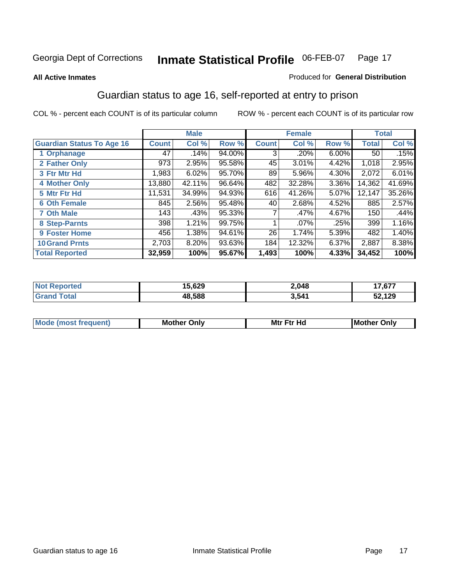#### **All Active Inmates**

#### Produced for **General Distribution**

### Guardian status to age 16, self-reported at entry to prison

|                                  |              | <b>Male</b> |        |              | <b>Female</b> |       |                 | <b>Total</b> |
|----------------------------------|--------------|-------------|--------|--------------|---------------|-------|-----------------|--------------|
| <b>Guardian Status To Age 16</b> | <b>Count</b> | Col %       | Row %  | <b>Count</b> | Col %         | Row % | <b>Total</b>    | Col %        |
| 1 Orphanage                      | 47           | .14%        | 94.00% | 3            | .20%          | 6.00% | 50 <sub>1</sub> | .15%         |
| 2 Father Only                    | 973          | 2.95%       | 95.58% | 45           | 3.01%         | 4.42% | 1,018           | 2.95%        |
| 3 Ftr Mtr Hd                     | 1,983        | 6.02%       | 95.70% | 89           | 5.96%         | 4.30% | 2,072           | 6.01%        |
| <b>4 Mother Only</b>             | 13,880       | 42.11%      | 96.64% | 482          | 32.28%        | 3.36% | 14,362          | 41.69%       |
| 5 Mtr Ftr Hd                     | 11,531       | 34.99%      | 94.93% | 616          | 41.26%        | 5.07% | 12,147          | 35.26%       |
| <b>6 Oth Female</b>              | 845          | 2.56%       | 95.48% | 40 l         | 2.68%         | 4.52% | 885             | 2.57%        |
| <b>7 Oth Male</b>                | 143          | .43%        | 95.33% | 7            | .47%          | 4.67% | 150             | .44%         |
| 8 Step-Parnts                    | 398          | 1.21%       | 99.75% |              | $.07\%$       | .25%  | 399             | 1.16%        |
| 9 Foster Home                    | 456          | 1.38%       | 94.61% | 26           | 1.74%         | 5.39% | 482             | 1.40%        |
| <b>10 Grand Prnts</b>            | 2,703        | 8.20%       | 93.63% | 184          | 12.32%        | 6.37% | 2,887           | 8.38%        |
| <b>Total Reported</b>            | 32,959       | 100%        | 95.67% | 1,493        | 100%          | 4.33% | 34,452          | 100%         |

| rted<br>N | .000<br>029 | 2,048 | $-707$ |
|-----------|-------------|-------|--------|
|           | IR 588      | 3,541 | 129    |

| <b>Mou</b> | Mother<br>Onlv | Hд<br>Mtr Ftr | Only<br>lMoth |
|------------|----------------|---------------|---------------|
|            |                |               |               |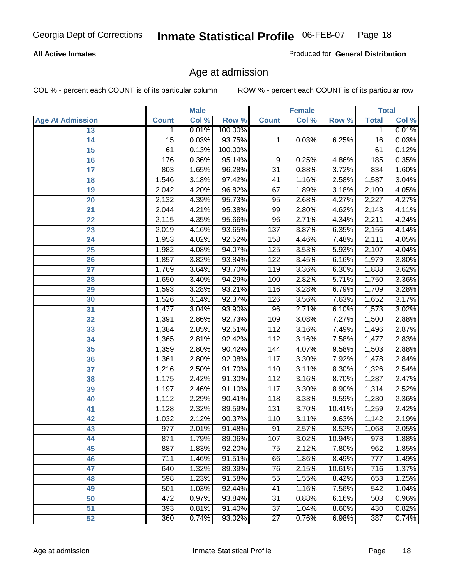#### **All Active Inmates**

Produced for **General Distribution**

### Age at admission

|                         |                  | <b>Male</b> |         |                 | <b>Female</b> |        |              | <b>Total</b> |
|-------------------------|------------------|-------------|---------|-----------------|---------------|--------|--------------|--------------|
| <b>Age At Admission</b> | <b>Count</b>     | Col %       | Row %   | <b>Count</b>    | Col %         | Row %  | <b>Total</b> | Col %        |
| 13                      | 1                | 0.01%       | 100.00% |                 |               |        | 1            | 0.01%        |
| 14                      | $\overline{15}$  | 0.03%       | 93.75%  | 1               | 0.03%         | 6.25%  | 16           | 0.03%        |
| $\overline{15}$         | 61               | 0.13%       | 100.00% |                 |               |        | 61           | 0.12%        |
| 16                      | 176              | 0.36%       | 95.14%  | 9               | 0.25%         | 4.86%  | 185          | 0.35%        |
| $\overline{17}$         | 803              | 1.65%       | 96.28%  | $\overline{31}$ | 0.88%         | 3.72%  | 834          | 1.60%        |
| 18                      | 1,546            | 3.18%       | 97.42%  | 41              | 1.16%         | 2.58%  | 1,587        | 3.04%        |
| 19                      | 2,042            | 4.20%       | 96.82%  | 67              | 1.89%         | 3.18%  | 2,109        | 4.05%        |
| 20                      | 2,132            | 4.39%       | 95.73%  | 95              | 2.68%         | 4.27%  | 2,227        | 4.27%        |
| 21                      | 2,044            | 4.21%       | 95.38%  | 99              | 2.80%         | 4.62%  | 2,143        | 4.11%        |
| 22                      | 2,115            | 4.35%       | 95.66%  | $\overline{96}$ | 2.71%         | 4.34%  | 2,211        | 4.24%        |
| 23                      | 2,019            | 4.16%       | 93.65%  | 137             | 3.87%         | 6.35%  | 2,156        | 4.14%        |
| 24                      | 1,953            | 4.02%       | 92.52%  | 158             | 4.46%         | 7.48%  | 2,111        | 4.05%        |
| $\overline{25}$         | 1,982            | 4.08%       | 94.07%  | 125             | 3.53%         | 5.93%  | 2,107        | 4.04%        |
| 26                      | 1,857            | 3.82%       | 93.84%  | 122             | 3.45%         | 6.16%  | 1,979        | 3.80%        |
| 27                      | 1,769            | 3.64%       | 93.70%  | 119             | 3.36%         | 6.30%  | 1,888        | 3.62%        |
| 28                      | 1,650            | 3.40%       | 94.29%  | 100             | 2.82%         | 5.71%  | 1,750        | 3.36%        |
| 29                      | 1,593            | 3.28%       | 93.21%  | 116             | 3.28%         | 6.79%  | 1,709        | 3.28%        |
| 30                      | 1,526            | 3.14%       | 92.37%  | 126             | 3.56%         | 7.63%  | 1,652        | 3.17%        |
| 31                      | 1,477            | 3.04%       | 93.90%  | 96              | 2.71%         | 6.10%  | 1,573        | 3.02%        |
| 32                      | 1,391            | 2.86%       | 92.73%  | 109             | 3.08%         | 7.27%  | 1,500        | 2.88%        |
| 33                      | 1,384            | 2.85%       | 92.51%  | 112             | 3.16%         | 7.49%  | 1,496        | 2.87%        |
| 34                      | 1,365            | 2.81%       | 92.42%  | 112             | 3.16%         | 7.58%  | 1,477        | 2.83%        |
| 35                      | 1,359            | 2.80%       | 90.42%  | 144             | 4.07%         | 9.58%  | 1,503        | 2.88%        |
| 36                      | 1,361            | 2.80%       | 92.08%  | 117             | 3.30%         | 7.92%  | 1,478        | 2.84%        |
| 37                      | 1,216            | 2.50%       | 91.70%  | 110             | 3.11%         | 8.30%  | 1,326        | 2.54%        |
| 38                      | 1,175            | 2.42%       | 91.30%  | 112             | 3.16%         | 8.70%  | 1,287        | 2.47%        |
| 39                      | 1,197            | 2.46%       | 91.10%  | 117             | 3.30%         | 8.90%  | 1,314        | 2.52%        |
| 40                      | 1,112            | 2.29%       | 90.41%  | 118             | 3.33%         | 9.59%  | 1,230        | 2.36%        |
| 41                      | 1,128            | 2.32%       | 89.59%  | 131             | 3.70%         | 10.41% | 1,259        | 2.42%        |
| 42                      | 1,032            | 2.12%       | 90.37%  | 110             | 3.11%         | 9.63%  | 1,142        | 2.19%        |
| 43                      | 977              | 2.01%       | 91.48%  | 91              | 2.57%         | 8.52%  | 1,068        | 2.05%        |
| 44                      | 871              | 1.79%       | 89.06%  | 107             | 3.02%         | 10.94% | 978          | 1.88%        |
| 45                      | 887              | 1.83%       | 92.20%  | $\overline{75}$ | 2.12%         | 7.80%  | 962          | 1.85%        |
| 46                      | $\overline{711}$ | 1.46%       | 91.51%  | 66              | 1.86%         | 8.49%  | 777          | 1.49%        |
| 47                      | 640              | 1.32%       | 89.39%  | 76              | 2.15%         | 10.61% | 716          | 1.37%        |
| 48                      | 598              | 1.23%       | 91.58%  | 55              | 1.55%         | 8.42%  | 653          | 1.25%        |
| 49                      | 501              | 1.03%       | 92.44%  | 41              | 1.16%         | 7.56%  | 542          | 1.04%        |
| 50                      | 472              | 0.97%       | 93.84%  | 31              | 0.88%         | 6.16%  | 503          | 0.96%        |
| 51                      | 393              | 0.81%       | 91.40%  | $\overline{37}$ | 1.04%         | 8.60%  | 430          | 0.82%        |
| 52                      | 360              | 0.74%       | 93.02%  | 27              | 0.76%         | 6.98%  | 387          | 0.74%        |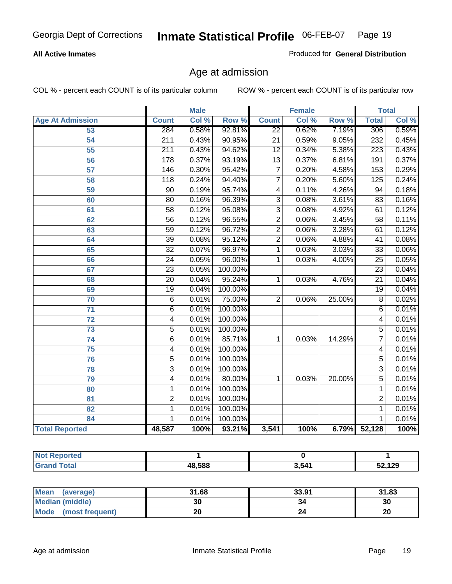#### **All Active Inmates**

Produced for **General Distribution**

### Age at admission

|                          |                  | <b>Male</b> |         |                         | <b>Female</b> |        |                  | <b>Total</b> |
|--------------------------|------------------|-------------|---------|-------------------------|---------------|--------|------------------|--------------|
| <b>Age At Admission</b>  | <b>Count</b>     | Col %       | Row %   | <b>Count</b>            | Col %         | Row %  | <b>Total</b>     | Col %        |
| 53                       | 284              | 0.58%       | 92.81%  | $\overline{22}$         | 0.62%         | 7.19%  | 306              | 0.59%        |
| 54                       | 211              | 0.43%       | 90.95%  | $\overline{21}$         | 0.59%         | 9.05%  | 232              | 0.45%        |
| 55                       | $\overline{211}$ | 0.43%       | 94.62%  | $\overline{12}$         | 0.34%         | 5.38%  | $\overline{223}$ | 0.43%        |
| $\overline{56}$          | 178              | 0.37%       | 93.19%  | $\overline{13}$         | 0.37%         | 6.81%  | 191              | 0.37%        |
| 57                       | 146              | 0.30%       | 95.42%  | $\overline{7}$          | 0.20%         | 4.58%  | 153              | 0.29%        |
| 58                       | $\overline{118}$ | 0.24%       | 94.40%  | $\overline{7}$          | 0.20%         | 5.60%  | 125              | 0.24%        |
| 59                       | $\overline{90}$  | 0.19%       | 95.74%  | $\overline{\mathbf{4}}$ | 0.11%         | 4.26%  | 94               | 0.18%        |
| 60                       | $\overline{80}$  | 0.16%       | 96.39%  | 3                       | 0.08%         | 3.61%  | 83               | 0.16%        |
| 61                       | $\overline{58}$  | 0.12%       | 95.08%  | $\overline{3}$          | 0.08%         | 4.92%  | 61               | 0.12%        |
| 62                       | $\overline{56}$  | 0.12%       | 96.55%  | $\overline{2}$          | 0.06%         | 3.45%  | $\overline{58}$  | 0.11%        |
| 63                       | $\overline{59}$  | 0.12%       | 96.72%  | $\overline{2}$          | 0.06%         | 3.28%  | 61               | 0.12%        |
| 64                       | $\overline{39}$  | 0.08%       | 95.12%  | $\overline{2}$          | 0.06%         | 4.88%  | 41               | 0.08%        |
| 65                       | $\overline{32}$  | 0.07%       | 96.97%  | 1                       | 0.03%         | 3.03%  | $\overline{33}$  | 0.06%        |
| 66                       | $\overline{24}$  | 0.05%       | 96.00%  | 1                       | 0.03%         | 4.00%  | $\overline{25}$  | 0.05%        |
| 67                       | 23               | 0.05%       | 100.00% |                         |               |        | $\overline{23}$  | 0.04%        |
| 68                       | $\overline{20}$  | 0.04%       | 95.24%  | 1                       | 0.03%         | 4.76%  | $\overline{21}$  | 0.04%        |
| 69                       | $\overline{19}$  | 0.04%       | 100.00% |                         |               |        | 19               | 0.04%        |
| 70                       | 6                | 0.01%       | 75.00%  | $\overline{2}$          | 0.06%         | 25.00% | $\overline{8}$   | 0.02%        |
| 71                       | $\overline{6}$   | 0.01%       | 100.00% |                         |               |        | 6                | 0.01%        |
| $\overline{72}$          | $\overline{4}$   | 0.01%       | 100.00% |                         |               |        | 4                | 0.01%        |
| 73                       | $\overline{5}$   | 0.01%       | 100.00% |                         |               |        | $\overline{5}$   | 0.01%        |
| 74                       | $\overline{6}$   | 0.01%       | 85.71%  | 1                       | 0.03%         | 14.29% | 7                | 0.01%        |
| 75                       | 4                | 0.01%       | 100.00% |                         |               |        | 4                | 0.01%        |
| 76                       | $\overline{5}$   | 0.01%       | 100.00% |                         |               |        | $\overline{5}$   | 0.01%        |
| 78                       | $\overline{3}$   | 0.01%       | 100.00% |                         |               |        | $\overline{3}$   | 0.01%        |
| 79                       | $\overline{4}$   | 0.01%       | 80.00%  | 1                       | 0.03%         | 20.00% | $\overline{5}$   | 0.01%        |
| 80                       | 1                | 0.01%       | 100.00% |                         |               |        | 1                | 0.01%        |
| $\overline{\mathbf{81}}$ | $\overline{2}$   | 0.01%       | 100.00% |                         |               |        | 2                | 0.01%        |
| 82                       | 1                | 0.01%       | 100.00% |                         |               |        | 1                | 0.01%        |
| 84                       | 1                | 0.01%       | 100.00% |                         |               |        | 1                | 0.01%        |
| <b>Total Reported</b>    | 48,587           | 100%        | 93.21%  | 3,541                   | 100%          | 6.79%  | 52,128           | 100%         |

| <b>Not Reported</b> |        |       |        |
|---------------------|--------|-------|--------|
| <b>Grand Total</b>  | 48,588 | 3,541 | 52,129 |

| <b>Mean</b><br>(average)       | 31.68 | 33.91 | 31.83 |
|--------------------------------|-------|-------|-------|
| <b>Median (middle)</b>         | 30    | 34    | 30    |
| <b>Mode</b><br>(most frequent) |       |       | 20    |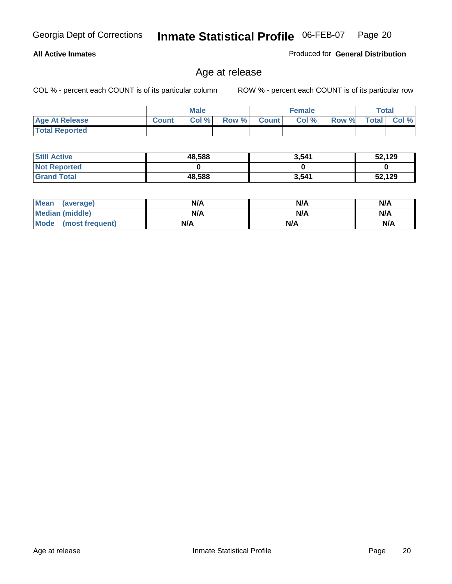#### **All Active Inmates**

Produced for **General Distribution**

### Age at release

|                       |              | <b>Male</b> |       |              | <b>Female</b> |       | <b>Total</b> |       |
|-----------------------|--------------|-------------|-------|--------------|---------------|-------|--------------|-------|
| <b>Age At Release</b> | <b>Count</b> | Col%        | Row % | <b>Count</b> | Col %         | Row % | <b>Total</b> | Col % |
| <b>Total Reported</b> |              |             |       |              |               |       |              |       |

| <b>Still Active</b> | 48,588 | 3,541 | 52,129 |
|---------------------|--------|-------|--------|
| <b>Not Reported</b> |        |       |        |
| <b>Grand Total</b>  | 48,588 | 3,541 | 52,129 |

| Mean (average)       | N/A | N/A | N/A |
|----------------------|-----|-----|-----|
| Median (middle)      | N/A | N/A | N/A |
| Mode (most frequent) | N/A | N/A | N/A |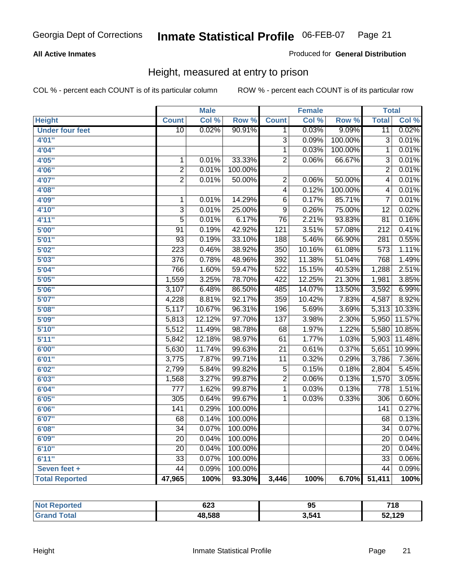#### **All Active Inmates**

#### Produced for **General Distribution**

### Height, measured at entry to prison

|                        |                  | <b>Male</b> |         |                  | <b>Female</b> |         | <b>Total</b>     |        |
|------------------------|------------------|-------------|---------|------------------|---------------|---------|------------------|--------|
| <b>Height</b>          | <b>Count</b>     | Col %       | Row %   | <b>Count</b>     | Col %         | Row %   | <b>Total</b>     | Col %  |
| <b>Under four feet</b> | $\overline{10}$  | 0.02%       | 90.91%  | 1                | 0.03%         | 9.09%   | $\overline{11}$  | 0.02%  |
| 4'01''                 |                  |             |         | $\overline{3}$   | 0.09%         | 100.00% | $\overline{3}$   | 0.01%  |
| 4'04''                 |                  |             |         | $\overline{1}$   | 0.03%         | 100.00% | $\mathbf{1}$     | 0.01%  |
| 4'05"                  | $\mathbf{1}$     | 0.01%       | 33.33%  | $\overline{2}$   | 0.06%         | 66.67%  | $\overline{3}$   | 0.01%  |
| 4'06"                  | $\overline{2}$   | 0.01%       | 100.00% |                  |               |         | $\overline{2}$   | 0.01%  |
| 4'07"                  | $\overline{2}$   | 0.01%       | 50.00%  | $\overline{2}$   | 0.06%         | 50.00%  | $\overline{4}$   | 0.01%  |
| 4'08"                  |                  |             |         | $\overline{4}$   | 0.12%         | 100.00% | 4                | 0.01%  |
| 4'09"                  | $\mathbf 1$      | 0.01%       | 14.29%  | $\overline{6}$   | 0.17%         | 85.71%  | $\overline{7}$   | 0.01%  |
| 4'10"                  | $\overline{3}$   | 0.01%       | 25.00%  | $\overline{9}$   | 0.26%         | 75.00%  | $\overline{12}$  | 0.02%  |
| 4'11''                 | $\overline{5}$   | 0.01%       | 6.17%   | $\overline{76}$  | 2.21%         | 93.83%  | $\overline{81}$  | 0.16%  |
| 5'00''                 | $\overline{91}$  | 0.19%       | 42.92%  | $\overline{121}$ | 3.51%         | 57.08%  | $\overline{212}$ | 0.41%  |
| 5'01''                 | $\overline{93}$  | 0.19%       | 33.10%  | 188              | 5.46%         | 66.90%  | $\overline{281}$ | 0.55%  |
| 5'02''                 | $\overline{223}$ | 0.46%       | 38.92%  | 350              | 10.16%        | 61.08%  | $\overline{573}$ | 1.11%  |
| 5'03''                 | 376              | 0.78%       | 48.96%  | 392              | 11.38%        | 51.04%  | 768              | 1.49%  |
| 5'04"                  | 766              | 1.60%       | 59.47%  | 522              | 15.15%        | 40.53%  | 1,288            | 2.51%  |
| 5'05''                 | 1,559            | 3.25%       | 78.70%  | $\overline{422}$ | 12.25%        | 21.30%  | 1,981            | 3.85%  |
| 5'06''                 | 3,107            | 6.48%       | 86.50%  | 485              | 14.07%        | 13.50%  | 3,592            | 6.99%  |
| 5'07''                 | 4,228            | 8.81%       | 92.17%  | 359              | 10.42%        | 7.83%   | 4,587            | 8.92%  |
| 5'08''                 | 5,117            | 10.67%      | 96.31%  | 196              | 5.69%         | 3.69%   | 5,313            | 10.33% |
| 5'09''                 | 5,813            | 12.12%      | 97.70%  | 137              | 3.98%         | 2.30%   | 5,950            | 11.57% |
| 5'10''                 | 5,512            | 11.49%      | 98.78%  | $\overline{68}$  | 1.97%         | 1.22%   | 5,580            | 10.85% |
| 5'11''                 | 5,842            | 12.18%      | 98.97%  | 61               | 1.77%         | 1.03%   | 5,903            | 11.48% |
| 6'00''                 | 5,630            | 11.74%      | 99.63%  | $\overline{21}$  | 0.61%         | 0.37%   | 5,651            | 10.99% |
| 6'01''                 | 3,775            | 7.87%       | 99.71%  | $\overline{11}$  | 0.32%         | 0.29%   | 3,786            | 7.36%  |
| 6'02''                 | 2,799            | 5.84%       | 99.82%  | $\overline{5}$   | 0.15%         | 0.18%   | 2,804            | 5.45%  |
| 6'03''                 | 1,568            | 3.27%       | 99.87%  | $\overline{2}$   | 0.06%         | 0.13%   | 1,570            | 3.05%  |
| 6'04''                 | $\overline{777}$ | 1.62%       | 99.87%  | $\overline{1}$   | 0.03%         | 0.13%   | 778              | 1.51%  |
| 6'05''                 | $\overline{305}$ | 0.64%       | 99.67%  | $\overline{1}$   | 0.03%         | 0.33%   | $\overline{306}$ | 0.60%  |
| 6'06''                 | 141              | 0.29%       | 100.00% |                  |               |         | 141              | 0.27%  |
| 6'07''                 | 68               | 0.14%       | 100.00% |                  |               |         | 68               | 0.13%  |
| 6'08''                 | $\overline{34}$  | 0.07%       | 100.00% |                  |               |         | $\overline{34}$  | 0.07%  |
| 6'09''                 | $\overline{20}$  | 0.04%       | 100.00% |                  |               |         | $\overline{20}$  | 0.04%  |
| 6'10''                 | $\overline{20}$  | 0.04%       | 100.00% |                  |               |         | $\overline{20}$  | 0.04%  |
| 6'11''                 | $\overline{33}$  | 0.07%       | 100.00% |                  |               |         | $\overline{33}$  | 0.06%  |
| Seven feet +           | 44               | 0.09%       | 100.00% |                  |               |         | 44               | 0.09%  |
| <b>Total Reported</b>  | 47,965           | 100%        | 93.30%  | 3,446            | 100%          | 6.70%   | 51,411           | 100%   |

| orted  | 623    | ΛL<br>◡ | 740<br>10.             |
|--------|--------|---------|------------------------|
| $\sim$ | 48,588 | 3 541   | <b>52420</b><br>. . 23 |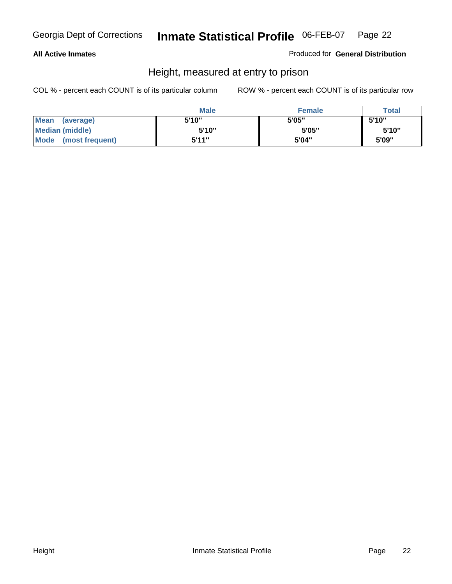#### **All Active Inmates**

Produced for **General Distribution**

### Height, measured at entry to prison

|                        | <b>Male</b> | <b>Female</b> | <b>Total</b> |
|------------------------|-------------|---------------|--------------|
| Mean (average)         | 5'10"       | 5'05"         | 5'10''       |
| <b>Median (middle)</b> | 5'10''      | 5'05"         | 5'10''       |
| Mode (most frequent)   | 5'11"       | 5'04"         | 5'09"        |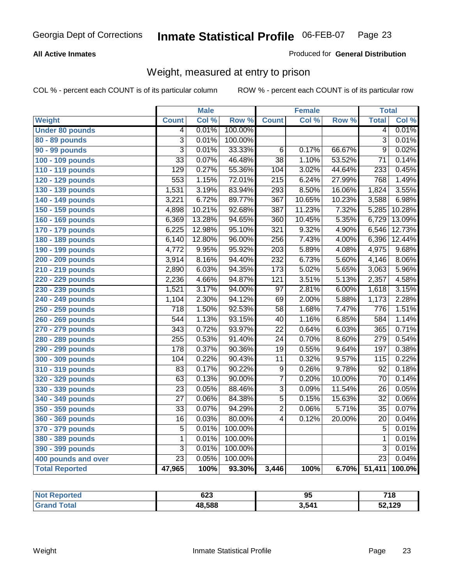#### **All Active Inmates**

#### Produced for **General Distribution**

### Weight, measured at entry to prison

|                        |                  | <b>Male</b> |         |                  | <b>Female</b> |        | <b>Total</b>     |        |
|------------------------|------------------|-------------|---------|------------------|---------------|--------|------------------|--------|
| <b>Weight</b>          | <b>Count</b>     | Col %       | Row %   | <b>Count</b>     | Col %         | Row %  | <b>Total</b>     | Col %  |
| <b>Under 80 pounds</b> | 4                | 0.01%       | 100.00% |                  |               |        | 4                | 0.01%  |
| 80 - 89 pounds         | $\overline{3}$   | 0.01%       | 100.00% |                  |               |        | $\overline{3}$   | 0.01%  |
| 90 - 99 pounds         | $\overline{3}$   | 0.01%       | 33.33%  | $\overline{6}$   | 0.17%         | 66.67% | $\overline{9}$   | 0.02%  |
| 100 - 109 pounds       | $\overline{33}$  | 0.07%       | 46.48%  | $\overline{38}$  | 1.10%         | 53.52% | $\overline{71}$  | 0.14%  |
| 110 - 119 pounds       | $\overline{129}$ | 0.27%       | 55.36%  | 104              | 3.02%         | 44.64% | 233              | 0.45%  |
| 120 - 129 pounds       | 553              | 1.15%       | 72.01%  | $\overline{215}$ | 6.24%         | 27.99% | 768              | 1.49%  |
| 130 - 139 pounds       | 1,531            | 3.19%       | 83.94%  | 293              | 8.50%         | 16.06% | 1,824            | 3.55%  |
| 140 - 149 pounds       | 3,221            | 6.72%       | 89.77%  | $\overline{367}$ | 10.65%        | 10.23% | 3,588            | 6.98%  |
| 150 - 159 pounds       | 4,898            | 10.21%      | 92.68%  | $\overline{387}$ | 11.23%        | 7.32%  | 5,285            | 10.28% |
| 160 - 169 pounds       | 6,369            | 13.28%      | 94.65%  | 360              | 10.45%        | 5.35%  | 6,729            | 13.09% |
| 170 - 179 pounds       | 6,225            | 12.98%      | 95.10%  | 321              | 9.32%         | 4.90%  | 6,546            | 12.73% |
| 180 - 189 pounds       | 6,140            | 12.80%      | 96.00%  | $\overline{256}$ | 7.43%         | 4.00%  | 6,396            | 12.44% |
| 190 - 199 pounds       | 4,772            | 9.95%       | 95.92%  | $\overline{203}$ | 5.89%         | 4.08%  | 4,975            | 9.68%  |
| 200 - 209 pounds       | 3,914            | 8.16%       | 94.40%  | 232              | 6.73%         | 5.60%  | 4,146            | 8.06%  |
| 210 - 219 pounds       | 2,890            | 6.03%       | 94.35%  | 173              | 5.02%         | 5.65%  | 3,063            | 5.96%  |
| 220 - 229 pounds       | 2,236            | 4.66%       | 94.87%  | $\overline{121}$ | 3.51%         | 5.13%  | 2,357            | 4.58%  |
| 230 - 239 pounds       | 1,521            | 3.17%       | 94.00%  | $\overline{97}$  | 2.81%         | 6.00%  | 1,618            | 3.15%  |
| 240 - 249 pounds       | 1,104            | 2.30%       | 94.12%  | 69               | 2.00%         | 5.88%  | 1,173            | 2.28%  |
| 250 - 259 pounds       | $\overline{718}$ | 1.50%       | 92.53%  | $\overline{58}$  | 1.68%         | 7.47%  | 776              | 1.51%  |
| 260 - 269 pounds       | 544              | 1.13%       | 93.15%  | $\overline{40}$  | 1.16%         | 6.85%  | 584              | 1.14%  |
| 270 - 279 pounds       | $\overline{343}$ | 0.72%       | 93.97%  | $\overline{22}$  | 0.64%         | 6.03%  | 365              | 0.71%  |
| 280 - 289 pounds       | 255              | 0.53%       | 91.40%  | $\overline{24}$  | 0.70%         | 8.60%  | $\overline{279}$ | 0.54%  |
| 290 - 299 pounds       | $\overline{178}$ | 0.37%       | 90.36%  | $\overline{19}$  | 0.55%         | 9.64%  | 197              | 0.38%  |
| 300 - 309 pounds       | 104              | 0.22%       | 90.43%  | $\overline{11}$  | 0.32%         | 9.57%  | $\overline{115}$ | 0.22%  |
| 310 - 319 pounds       | $\overline{83}$  | 0.17%       | 90.22%  | $\overline{9}$   | 0.26%         | 9.78%  | $\overline{92}$  | 0.18%  |
| 320 - 329 pounds       | $\overline{63}$  | 0.13%       | 90.00%  | $\overline{7}$   | 0.20%         | 10.00% | $\overline{70}$  | 0.14%  |
| 330 - 339 pounds       | $\overline{23}$  | 0.05%       | 88.46%  | $\overline{3}$   | 0.09%         | 11.54% | $\overline{26}$  | 0.05%  |
| 340 - 349 pounds       | $\overline{27}$  | 0.06%       | 84.38%  | $\overline{5}$   | 0.15%         | 15.63% | $\overline{32}$  | 0.06%  |
| 350 - 359 pounds       | $\overline{33}$  | 0.07%       | 94.29%  | $\overline{2}$   | 0.06%         | 5.71%  | $\overline{35}$  | 0.07%  |
| 360 - 369 pounds       | $\overline{16}$  | 0.03%       | 80.00%  | $\overline{4}$   | 0.12%         | 20.00% | 20               | 0.04%  |
| 370 - 379 pounds       | $\overline{5}$   | 0.01%       | 100.00% |                  |               |        | 5                | 0.01%  |
| 380 - 389 pounds       | $\mathbf 1$      | 0.01%       | 100.00% |                  |               |        | 1                | 0.01%  |
| 390 - 399 pounds       | $\overline{3}$   | 0.01%       | 100.00% |                  |               |        | $\overline{3}$   | 0.01%  |
| 400 pounds and over    | $\overline{23}$  | 0.05%       | 100.00% |                  |               |        | $\overline{23}$  | 0.04%  |
| <b>Total Reported</b>  | 47,965           | 100%        | 93.30%  | 3,446            | 100%          | 6.70%  | 51,411           | 100.0% |

| Reported<br>' N∩t | 623    | ΩF<br>ື | 718    |
|-------------------|--------|---------|--------|
| 'ota.<br>. Gr     | 48.588 | 3,541   | 52,129 |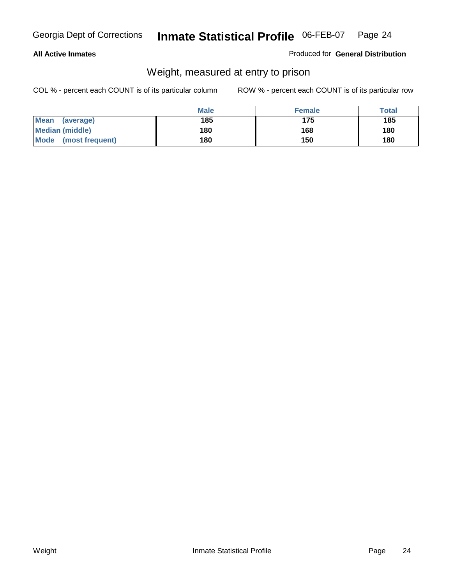#### **All Active Inmates**

#### Produced for **General Distribution**

### Weight, measured at entry to prison

|                                | <b>Male</b> | <b>Female</b> | Total |
|--------------------------------|-------------|---------------|-------|
| <b>Mean</b><br>(average)       | 185         | 175           | 185   |
| <b>Median (middle)</b>         | 180         | 168           | 180   |
| <b>Mode</b><br>(most frequent) | 180         | 150           | 180   |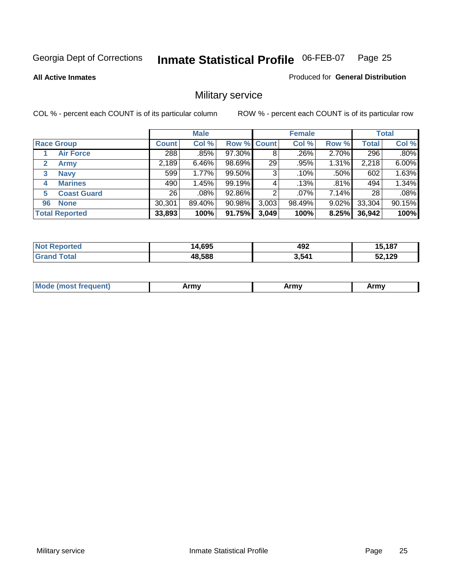**All Active Inmates**

#### Produced for **General Distribution**

### Military service

|                         |              | <b>Male</b> |                    |       | <b>Female</b> |          |              | <b>Total</b> |
|-------------------------|--------------|-------------|--------------------|-------|---------------|----------|--------------|--------------|
| <b>Race Group</b>       | <b>Count</b> | Col %       | <b>Row % Count</b> |       | Col %         | Row %    | <b>Total</b> | Col %        |
| <b>Air Force</b>        | 288          | .85%        | 97.30%             | 8     | .26%          | 2.70%    | 296          | $.80\%$      |
| 2<br><b>Army</b>        | 2,189        | 6.46%       | 98.69%             | 29    | .95%          | 1.31%    | 2,218        | 6.00%        |
| <b>Navy</b><br>3        | 599          | 1.77%       | $99.50\%$          | 3     | .10%          | .50%     | 602          | 1.63%        |
| <b>Marines</b><br>4     | 490          | 1.45%       | 99.19%             | 4     | .13%          | .81%     | 494          | 1.34%        |
| <b>Coast Guard</b><br>5 | 26           | .08%        | 92.86%             | 2     | .07%          | 7.14%    | 28           | .08%         |
| <b>None</b><br>96       | 30,301       | 89.40%      | 90.98%             | 3,003 | 98.49%        | $9.02\%$ | 33,304       | 90.15%       |
| <b>Total Reported</b>   | 33,893       | 100%        | 91.75%             | 3,049 | 100%          | 8.25%    | 36,942       | 100%         |

| <b>Reported</b><br>' N∩t     | 4,695  | 492   | 15,187 |
|------------------------------|--------|-------|--------|
| <b>Total</b><br><b>Grand</b> | 48,588 | 3.541 | 52,129 |

|  | <b>Mou</b> | Army | Army | Army |
|--|------------|------|------|------|
|--|------------|------|------|------|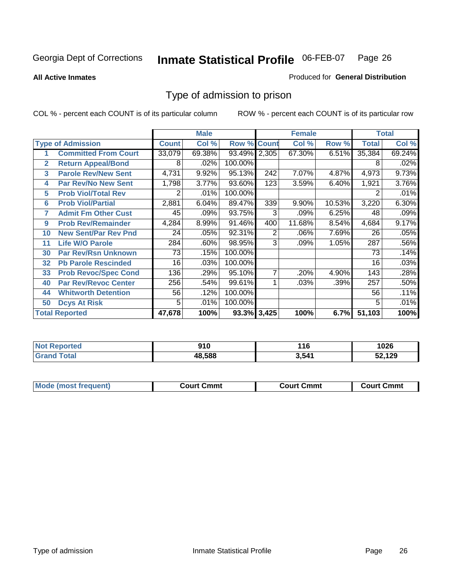#### **All Active Inmates**

#### Produced for **General Distribution**

### Type of admission to prison

|                |                             |              | <b>Male</b> |                    |     | <b>Female</b> |         |              | <b>Total</b> |
|----------------|-----------------------------|--------------|-------------|--------------------|-----|---------------|---------|--------------|--------------|
|                | <b>Type of Admission</b>    | <b>Count</b> | Col %       | <b>Row % Count</b> |     | Col %         | Row %   | <b>Total</b> | Col %        |
| 1              | <b>Committed From Court</b> | 33,079       | 69.38%      | 93.49% 2,305       |     | 67.30%        | 6.51%   | 35,384       | 69.24%       |
| $\overline{2}$ | <b>Return Appeal/Bond</b>   | 8            | .02%        | 100.00%            |     |               |         | 8            | .02%         |
| 3              | <b>Parole Rev/New Sent</b>  | 4,731        | 9.92%       | 95.13%             | 242 | 7.07%         | 4.87%   | 4,973        | 9.73%        |
| 4              | <b>Par Rev/No New Sent</b>  | 1,798        | 3.77%       | 93.60%             | 123 | 3.59%         | 6.40%   | 1,921        | 3.76%        |
| 5              | <b>Prob Viol/Total Rev</b>  | 2            | .01%        | 100.00%            |     |               |         |              | .01%         |
| 6              | <b>Prob Viol/Partial</b>    | 2,881        | 6.04%       | 89.47%             | 339 | 9.90%         | 10.53%  | 3,220        | 6.30%        |
| 7              | <b>Admit Fm Other Cust</b>  | 45           | .09%        | 93.75%             | 3   | .09%          | 6.25%   | 48           | .09%         |
| 9              | <b>Prob Rev/Remainder</b>   | 4,284        | 8.99%       | 91.46%             | 400 | 11.68%        | 8.54%   | 4,684        | 9.17%        |
| 10             | <b>New Sent/Par Rev Pnd</b> | 24           | .05%        | 92.31%             | 2   | .06%          | 7.69%   | 26           | .05%         |
| 11             | <b>Life W/O Parole</b>      | 284          | .60%        | 98.95%             | 3   | .09%          | 1.05%   | 287          | .56%         |
| 30             | <b>Par Rev/Rsn Unknown</b>  | 73           | .15%        | 100.00%            |     |               |         | 73           | .14%         |
| 32             | <b>Pb Parole Rescinded</b>  | 16           | .03%        | 100.00%            |     |               |         | 16           | .03%         |
| 33             | <b>Prob Revoc/Spec Cond</b> | 136          | .29%        | 95.10%             | 7   | .20%          | 4.90%   | 143          | .28%         |
| 40             | <b>Par Rev/Revoc Center</b> | 256          | .54%        | 99.61%             |     | .03%          | $.39\%$ | 257          | .50%         |
| 44             | <b>Whitworth Detention</b>  | 56           | .12%        | 100.00%            |     |               |         | 56           | .11%         |
| 50             | <b>Dcys At Risk</b>         | 5            | .01%        | 100.00%            |     |               |         | 5            | .01%         |
|                | <b>Total Reported</b>       | 47,678       | 100%        | 93.3% 3,425        |     | 100%          | 6.7%    | 51,103       | 100%         |

| Reported<br><b>NOT</b> | п.<br>, , v | 116   | 1026 |
|------------------------|-------------|-------|------|
| <b>ota</b><br>Gr       | 48.588      | 3,541 | ,129 |

| Mod.  | ∵mmt  | Cmmt  | Շՠՠւ |
|-------|-------|-------|------|
| uent) | ∴ourt | ∴∩urt | ווה: |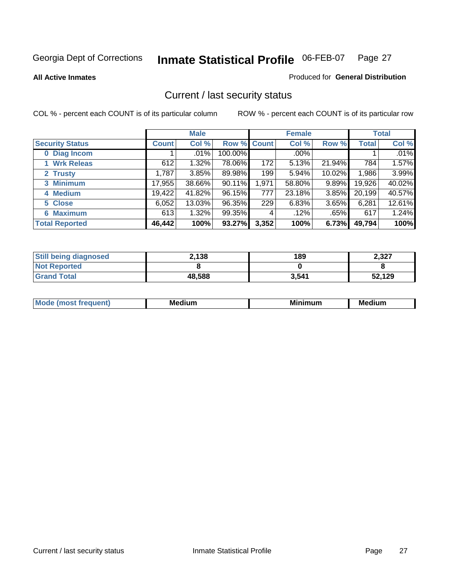**All Active Inmates**

#### Produced for **General Distribution**

### Current / last security status

|                        |              | <b>Male</b> |                    |       | <b>Female</b> |          |              | <b>Total</b> |
|------------------------|--------------|-------------|--------------------|-------|---------------|----------|--------------|--------------|
| <b>Security Status</b> | <b>Count</b> | Col %       | <b>Row % Count</b> |       | Col %         | Row %    | <b>Total</b> | Col %        |
| 0 Diag Incom           |              | .01%        | 100.00%            |       | $.00\%$       |          |              | .01%         |
| 1 Wrk Releas           | 612          | 1.32%       | 78.06%             | 172   | 5.13%         | 21.94%   | 784          | 1.57%        |
| 2 Trusty               | 1,787        | 3.85%       | 89.98%             | 199   | 5.94%         | 10.02%   | 1,986        | 3.99%        |
| 3 Minimum              | 17,955       | 38.66%      | $90.11\%$          | 1,971 | 58.80%        | $9.89\%$ | 19,926       | 40.02%       |
| 4 Medium               | 19,422       | 41.82%      | 96.15%             | 777   | 23.18%        | 3.85%    | 20,199       | 40.57%       |
| 5 Close                | 6,052        | 13.03%      | 96.35%             | 229   | 6.83%         | 3.65%    | 6,281        | 12.61%       |
| <b>6 Maximum</b>       | 613          | 1.32%       | 99.35%             | 4     | .12%          | .65%     | 617          | 1.24%        |
| <b>Total Reported</b>  | 46,442       | 100%        | 93.27%             | 3,352 | 100%          | 6.73%    | 49,794       | 100%         |

| <b>Still being diagnosed</b> | 2,138  | 189   | 2,327  |
|------------------------------|--------|-------|--------|
| <b>Not Reported</b>          |        |       |        |
| <b>Grand Total</b>           | 48,588 | 3,541 | 52,129 |

| $M_{\Omega}$<br>יחב | M۵<br>dium | <b>BAL.</b><br>num | Mer<br>dium |
|---------------------|------------|--------------------|-------------|
|                     |            |                    |             |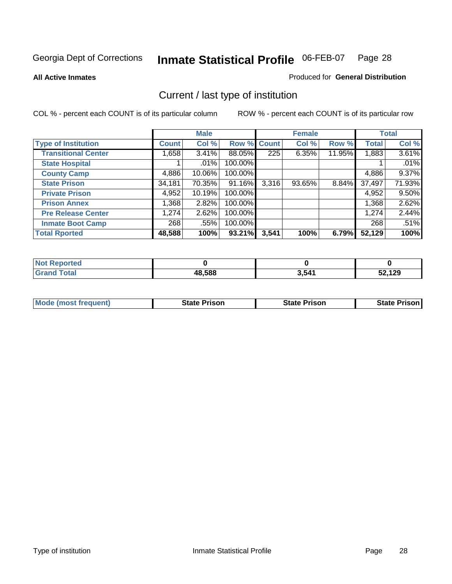**All Active Inmates**

#### Produced for **General Distribution**

### Current / last type of institution

|                            |              | <b>Male</b> |             |                  | <b>Female</b> |        |              | <b>Total</b> |
|----------------------------|--------------|-------------|-------------|------------------|---------------|--------|--------------|--------------|
| <b>Type of Institution</b> | <b>Count</b> | Col %       | Row % Count |                  | Col %         | Row %  | <b>Total</b> | Col %        |
| <b>Transitional Center</b> | 1,658        | $3.41\%$    | 88.05%      | $\overline{225}$ | 6.35%         | 11.95% | 1,883        | 3.61%        |
| <b>State Hospital</b>      |              | $.01\%$     | 100.00%     |                  |               |        |              | .01%         |
| <b>County Camp</b>         | 4,886        | 10.06%      | 100.00%     |                  |               |        | 4,886        | 9.37%        |
| <b>State Prison</b>        | 34,181       | 70.35%      | 91.16%      | 3,316            | 93.65%        | 8.84%  | 37,497       | 71.93%       |
| <b>Private Prison</b>      | 4,952        | 10.19%      | 100.00%     |                  |               |        | 4,952        | 9.50%        |
| <b>Prison Annex</b>        | 1,368        | 2.82%       | 100.00%     |                  |               |        | 1,368        | 2.62%        |
| <b>Pre Release Center</b>  | 1,274        | 2.62%       | 100.00%     |                  |               |        | 1,274        | 2.44%        |
| <b>Inmate Boot Camp</b>    | 268          | .55%        | 100.00%     |                  |               |        | 268          | .51%         |
| <b>Total Rported</b>       | 48,588       | 100%        | 93.21%      | 3,541            | 100%          | 6.79%  | 52,129       | 100%         |

| <b>Not Reported</b> |        |       |        |
|---------------------|--------|-------|--------|
| <b>Grand Total</b>  | 48,588 | 3,541 | 52,129 |

| <b>Mode (most frequent)</b> | State Prison | <b>State Prison</b> | <b>State Prison I</b> |
|-----------------------------|--------------|---------------------|-----------------------|
|                             |              |                     |                       |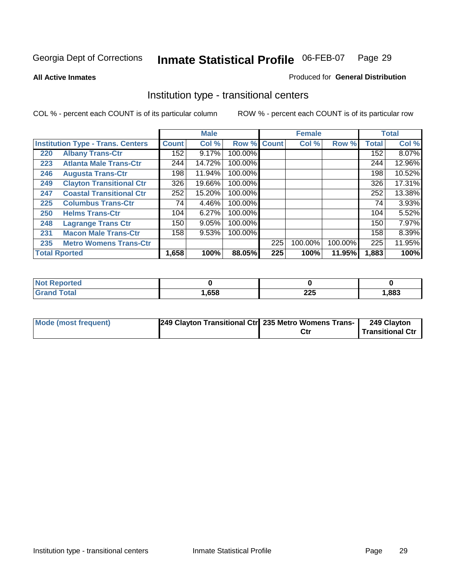**All Active Inmates**

#### Produced for **General Distribution**

### Institution type - transitional centers

|                                          |                                 |              | <b>Male</b> |                    |     | <b>Female</b> |         |              | <b>Total</b> |
|------------------------------------------|---------------------------------|--------------|-------------|--------------------|-----|---------------|---------|--------------|--------------|
| <b>Institution Type - Trans. Centers</b> |                                 | <b>Count</b> | Col %       | <b>Row % Count</b> |     | Col %         | Row %   | <b>Total</b> | Col %        |
| 220                                      | <b>Albany Trans-Ctr</b>         | 152          | 9.17%       | 100.00%            |     |               |         | 152          | 8.07%        |
| 223                                      | <b>Atlanta Male Trans-Ctr</b>   | 244          | 14.72%      | 100.00%            |     |               |         | 244          | 12.96%       |
| 246                                      | <b>Augusta Trans-Ctr</b>        | 198          | 11.94%      | 100.00%            |     |               |         | 198          | 10.52%       |
| 249                                      | <b>Clayton Transitional Ctr</b> | 326          | 19.66%      | 100.00%            |     |               |         | 326          | 17.31%       |
| 247                                      | <b>Coastal Transitional Ctr</b> | 252          | 15.20%      | 100.00%            |     |               |         | 252          | 13.38%       |
| 225                                      | <b>Columbus Trans-Ctr</b>       | 74           | 4.46%       | 100.00%            |     |               |         | 74           | 3.93%        |
| 250                                      | <b>Helms Trans-Ctr</b>          | 104          | 6.27%       | 100.00%            |     |               |         | 104          | 5.52%        |
| 248                                      | <b>Lagrange Trans Ctr</b>       | 150          | 9.05%       | 100.00%            |     |               |         | 150          | 7.97%        |
| 231                                      | <b>Macon Male Trans-Ctr</b>     | 158          | 9.53%       | 100.00%            |     |               |         | 158          | 8.39%        |
| 235                                      | <b>Metro Womens Trans-Ctr</b>   |              |             |                    | 225 | 100.00%       | 100.00% | 225          | 11.95%       |
|                                          | <b>Total Rported</b>            | 1,658        | 100%        | 88.05%             | 225 | 100%          | 11.95%  | 1,883        | 100%         |

| Reported            |      |                             |      |
|---------------------|------|-----------------------------|------|
| <b>ota</b><br>_____ | ,658 | <b>OOF</b><br>LLJ<br>$\sim$ | ,883 |

| <b>Mode (most frequent)</b> | 249 Clayton Transitional Ctr 235 Metro Womens Trans- | Ctr | 249 Clayton<br>Transitional Ctr |
|-----------------------------|------------------------------------------------------|-----|---------------------------------|
|                             |                                                      |     |                                 |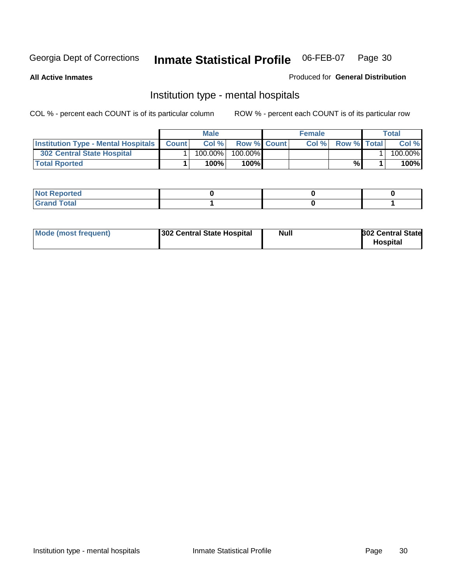**All Active Inmates**

#### Produced for **General Distribution**

### Institution type - mental hospitals

|                                                  | Male       |                    | <b>Female</b> |                    | Total   |
|--------------------------------------------------|------------|--------------------|---------------|--------------------|---------|
| <b>Institution Type - Mental Hospitals Count</b> | Col%       | <b>Row % Count</b> | Col%          | <b>Row %</b> Total | Col %   |
| <b>302 Central State Hospital</b>                | $100.00\%$ | 100.00%            |               |                    | 100.00% |
| <b>Total Rported</b>                             | 100%       | 100%               |               | %                  | 100%    |

| Not Reported |  |  |
|--------------|--|--|
| <b>otal</b>  |  |  |

| Mode (most frequent)<br>302 Central State Hospital | Null | <b>302 Central State</b><br><b>Hospital</b> |
|----------------------------------------------------|------|---------------------------------------------|
|----------------------------------------------------|------|---------------------------------------------|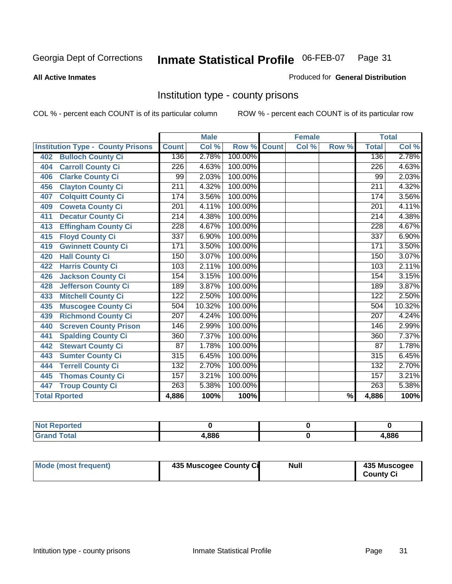#### **All Active Inmates**

#### Produced for **General Distribution**

### Institution type - county prisons

|                                          |                  | <b>Male</b> |         |              | <b>Female</b>             |                          |                  | <b>Total</b> |
|------------------------------------------|------------------|-------------|---------|--------------|---------------------------|--------------------------|------------------|--------------|
| <b>Institution Type - County Prisons</b> | <b>Count</b>     | Col %       | Row %   | <b>Count</b> | $\overline{\text{Col}}$ % | Row %                    | <b>Total</b>     | Col %        |
| <b>Bulloch County Ci</b><br>402          | 136              | 2.78%       | 100.00% |              |                           |                          | 136              | 2.78%        |
| <b>Carroll County Ci</b><br>404          | $\overline{226}$ | 4.63%       | 100.00% |              |                           |                          | $\overline{226}$ | 4.63%        |
| <b>Clarke County Ci</b><br>406           | 99               | 2.03%       | 100.00% |              |                           |                          | 99               | 2.03%        |
| <b>Clayton County Ci</b><br>456          | $\overline{211}$ | 4.32%       | 100.00% |              |                           |                          | $\overline{211}$ | 4.32%        |
| <b>Colquitt County Ci</b><br>407         | 174              | 3.56%       | 100.00% |              |                           |                          | 174              | 3.56%        |
| <b>Coweta County Ci</b><br>409           | $\overline{201}$ | 4.11%       | 100.00% |              |                           |                          | $\overline{201}$ | 4.11%        |
| <b>Decatur County Ci</b><br>411          | 214              | 4.38%       | 100.00% |              |                           |                          | 214              | 4.38%        |
| <b>Effingham County Ci</b><br>413        | 228              | 4.67%       | 100.00% |              |                           |                          | 228              | 4.67%        |
| <b>Floyd County Ci</b><br>415            | 337              | 6.90%       | 100.00% |              |                           |                          | 337              | 6.90%        |
| <b>Gwinnett County Ci</b><br>419         | 171              | 3.50%       | 100.00% |              |                           |                          | 171              | 3.50%        |
| <b>Hall County Ci</b><br>420             | 150              | 3.07%       | 100.00% |              |                           |                          | 150              | 3.07%        |
| <b>Harris County Ci</b><br>422           | 103              | 2.11%       | 100.00% |              |                           |                          | 103              | 2.11%        |
| <b>Jackson County Ci</b><br>426          | 154              | 3.15%       | 100.00% |              |                           |                          | 154              | 3.15%        |
| <b>Jefferson County Ci</b><br>428        | 189              | 3.87%       | 100.00% |              |                           |                          | 189              | 3.87%        |
| <b>Mitchell County Ci</b><br>433         | 122              | 2.50%       | 100.00% |              |                           |                          | 122              | 2.50%        |
| <b>Muscogee County Ci</b><br>435         | 504              | 10.32%      | 100.00% |              |                           |                          | 504              | 10.32%       |
| <b>Richmond County Ci</b><br>439         | 207              | 4.24%       | 100.00% |              |                           |                          | 207              | 4.24%        |
| <b>Screven County Prison</b><br>440      | 146              | 2.99%       | 100.00% |              |                           |                          | 146              | 2.99%        |
| <b>Spalding County Ci</b><br>441         | 360              | 7.37%       | 100.00% |              |                           |                          | 360              | 7.37%        |
| <b>Stewart County Ci</b><br>442          | 87               | 1.78%       | 100.00% |              |                           |                          | 87               | 1.78%        |
| <b>Sumter County Ci</b><br>443           | $\overline{315}$ | 6.45%       | 100.00% |              |                           |                          | $\overline{315}$ | 6.45%        |
| <b>Terrell County Ci</b><br>444          | 132              | 2.70%       | 100.00% |              |                           |                          | 132              | 2.70%        |
| <b>Thomas County Ci</b><br>445           | 157              | 3.21%       | 100.00% |              |                           |                          | 157              | 3.21%        |
| <b>Troup County Ci</b><br>447            | 263              | 5.38%       | 100.00% |              |                           |                          | 263              | 5.38%        |
| <b>Total Rported</b>                     | 4,886            | 100%        | 100%    |              |                           | $\overline{\frac{9}{6}}$ | 4,886            | 100%         |

| æ |       |      |
|---|-------|------|
|   | 4.886 | .886 |

| Mode (most frequent) | 435 Muscogee County Ci | <b>Null</b> | 435 Muscogee     |
|----------------------|------------------------|-------------|------------------|
|                      |                        |             | <b>County Ci</b> |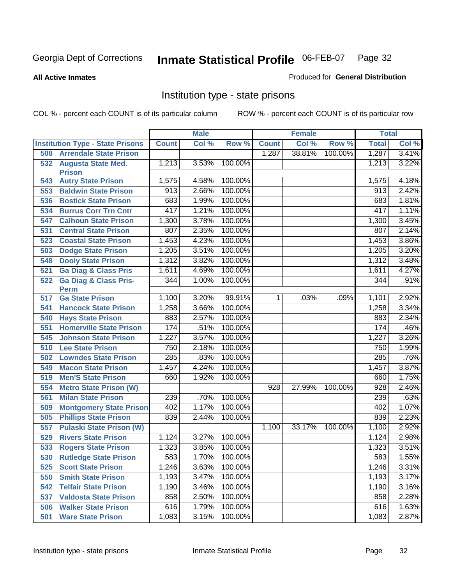**All Active Inmates**

#### Produced for **General Distribution**

### Institution type - state prisons

|     |                                            |              | <b>Male</b> |         |              | <b>Female</b> |         | <b>Total</b> |       |
|-----|--------------------------------------------|--------------|-------------|---------|--------------|---------------|---------|--------------|-------|
|     | <b>Institution Type - State Prisons</b>    | <b>Count</b> | Col %       | Row %   | <b>Count</b> | Col %         | Row %   | <b>Total</b> | Col % |
| 508 | <b>Arrendale State Prison</b>              |              |             |         | 1,287        | 38.81%        | 100.00% | 1,287        | 3.41% |
| 532 | <b>Augusta State Med.</b><br><b>Prison</b> | 1,213        | 3.53%       | 100.00% |              |               |         | 1,213        | 3.22% |
| 543 | <b>Autry State Prison</b>                  | 1,575        | 4.58%       | 100.00% |              |               |         | 1,575        | 4.18% |
| 553 | <b>Baldwin State Prison</b>                | 913          | 2.66%       | 100.00% |              |               |         | 913          | 2.42% |
| 536 | <b>Bostick State Prison</b>                | 683          | 1.99%       | 100.00% |              |               |         | 683          | 1.81% |
| 534 | <b>Burrus Corr Trn Cntr</b>                | 417          | 1.21%       | 100.00% |              |               |         | 417          | 1.11% |
| 547 | <b>Calhoun State Prison</b>                | 1,300        | 3.78%       | 100.00% |              |               |         | 1,300        | 3.45% |
| 531 | <b>Central State Prison</b>                | 807          | 2.35%       | 100.00% |              |               |         | 807          | 2.14% |
| 523 | <b>Coastal State Prison</b>                | 1,453        | 4.23%       | 100.00% |              |               |         | 1,453        | 3.86% |
| 503 | <b>Dodge State Prison</b>                  | 1,205        | 3.51%       | 100.00% |              |               |         | 1,205        | 3.20% |
| 548 | <b>Dooly State Prison</b>                  | 1,312        | 3.82%       | 100.00% |              |               |         | 1,312        | 3.48% |
| 521 | <b>Ga Diag &amp; Class Pris</b>            | 1,611        | 4.69%       | 100.00% |              |               |         | 1,611        | 4.27% |
| 522 | <b>Ga Diag &amp; Class Pris-</b>           | 344          | 1.00%       | 100.00% |              |               |         | 344          | .91%  |
|     | <b>Perm</b>                                |              |             |         |              |               |         |              |       |
| 517 | <b>Ga State Prison</b>                     | 1,100        | 3.20%       | 99.91%  | 1.           | .03%          | .09%    | 1,101        | 2.92% |
| 541 | <b>Hancock State Prison</b>                | 1,258        | 3.66%       | 100.00% |              |               |         | 1,258        | 3.34% |
| 540 | <b>Hays State Prison</b>                   | 883          | 2.57%       | 100.00% |              |               |         | 883          | 2.34% |
| 551 | <b>Homerville State Prison</b>             | 174          | .51%        | 100.00% |              |               |         | 174          | .46%  |
| 545 | <b>Johnson State Prison</b>                | 1,227        | 3.57%       | 100.00% |              |               |         | 1,227        | 3.26% |
| 510 | <b>Lee State Prison</b>                    | 750          | 2.18%       | 100.00% |              |               |         | 750          | 1.99% |
| 502 | <b>Lowndes State Prison</b>                | 285          | .83%        | 100.00% |              |               |         | 285          | .76%  |
| 549 | <b>Macon State Prison</b>                  | 1,457        | 4.24%       | 100.00% |              |               |         | 1,457        | 3.87% |
| 519 | <b>Men'S State Prison</b>                  | 660          | 1.92%       | 100.00% |              |               |         | 660          | 1.75% |
| 554 | <b>Metro State Prison (W)</b>              |              |             |         | 928          | 27.99%        | 100.00% | 928          | 2.46% |
| 561 | <b>Milan State Prison</b>                  | 239          | .70%        | 100.00% |              |               |         | 239          | .63%  |
| 509 | <b>Montgomery State Prison</b>             | 402          | 1.17%       | 100.00% |              |               |         | 402          | 1.07% |
| 505 | <b>Phillips State Prison</b>               | 839          | 2.44%       | 100.00% |              |               |         | 839          | 2.23% |
| 557 | <b>Pulaski State Prison (W)</b>            |              |             |         | 1,100        | 33.17%        | 100.00% | 1,100        | 2.92% |
| 529 | <b>Rivers State Prison</b>                 | 1,124        | 3.27%       | 100.00% |              |               |         | 1,124        | 2.98% |
| 533 | <b>Rogers State Prison</b>                 | 1,323        | 3.85%       | 100.00% |              |               |         | 1,323        | 3.51% |
| 530 | <b>Rutledge State Prison</b>               | 583          | 1.70%       | 100.00% |              |               |         | 583          | 1.55% |
| 525 | <b>Scott State Prison</b>                  | 1,246        | 3.63%       | 100.00% |              |               |         | 1,246        | 3.31% |
| 550 | <b>Smith State Prison</b>                  | 1,193        | 3.47%       | 100.00% |              |               |         | 1,193        | 3.17% |
| 542 | <b>Telfair State Prison</b>                | 1,190        | 3.46%       | 100.00% |              |               |         | 1,190        | 3.16% |
| 537 | <b>Valdosta State Prison</b>               | 858          | 2.50%       | 100.00% |              |               |         | 858          | 2.28% |
| 506 | <b>Walker State Prison</b>                 | 616          | 1.79%       | 100.00% |              |               |         | 616          | 1.63% |
| 501 | <b>Ware State Prison</b>                   | 1,083        | 3.15%       | 100.00% |              |               |         | 1,083        | 2.87% |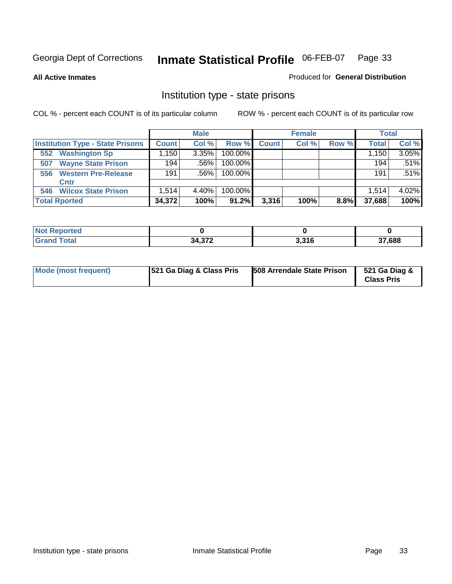**All Active Inmates**

#### Produced for **General Distribution**

### Institution type - state prisons

|     |                                         |              | <b>Male</b> |            |              | <b>Female</b> |       | <b>Total</b> |       |
|-----|-----------------------------------------|--------------|-------------|------------|--------------|---------------|-------|--------------|-------|
|     | <b>Institution Type - State Prisons</b> | <b>Count</b> | Col %       | Row %      | <b>Count</b> | Col %         | Row % | <b>Total</b> | Col % |
| 552 | <b>Washington Sp</b>                    | .150         | 3.35%       | $100.00\%$ |              |               |       | 1,150        | 3.05% |
| 507 | <b>Wayne State Prison</b>               | 194          | .56%        | 100.00%    |              |               |       | 194          | .51%  |
| 556 | <b>Western Pre-Release</b>              | 191          | .56%        | 100.00%    |              |               |       | 191          | .51%  |
|     | Cntr                                    |              |             |            |              |               |       |              |       |
| 546 | <b>Wilcox State Prison</b>              | 1.514        | 4.40%       | 100.00%    |              |               |       | 1.514        | 4.02% |
|     | <b>Total Rported</b>                    | 34,372       | 100%        | 91.2%      | 3,316        | 100%          | 8.8%  | 37,688       | 100%  |

| rtea         |                  |                  |        |
|--------------|------------------|------------------|--------|
| <b>Total</b> | 31372<br>1.J I L | 2.24c<br>J.J I U | 37,688 |

| Mode (most frequent) | <b>521 Ga Diag &amp; Class Pris</b> | 508 Arrendale State Prison | 521 Ga Diag &<br><b>Class Pris</b> |
|----------------------|-------------------------------------|----------------------------|------------------------------------|
|----------------------|-------------------------------------|----------------------------|------------------------------------|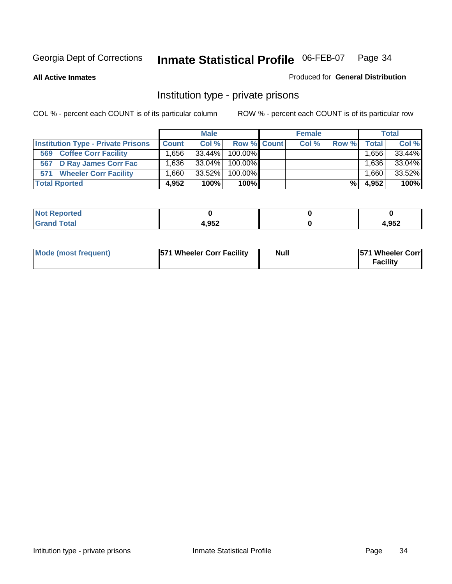**All Active Inmates**

#### Produced for **General Distribution**

### Institution type - private prisons

|                                           |                   | <b>Male</b> |             | <b>Female</b> |       |        | <b>Total</b> |
|-------------------------------------------|-------------------|-------------|-------------|---------------|-------|--------|--------------|
| <b>Institution Type - Private Prisons</b> | <b>Count</b>      | Col %       | Row % Count | Col %         | Row % | Total  | Col %        |
| <b>Coffee Corr Facility</b><br>569        | .656              | 33.44%      | 100.00%     |               |       | .656 ا | 33.44%       |
| 567 D Ray James Corr Fac                  | .636              | 33.04%      | 100.00%     |               |       | 1,636  | 33.04%       |
| <b>Wheeler Corr Facility</b><br>571       | .660 <sup>1</sup> | $33.52\%$   | 100.00%     |               |       | 066.1  | 33.52%       |
| <b>Total Rported</b>                      | 4.952             | 100%        | 100%        |               | %     | 4,952  | 100%         |

| اد د ۱۰۰<br>NOI<br>rtea  |                |      |
|--------------------------|----------------|------|
| <b>Total</b><br>$\sim$ . | ראם ו<br>1.JJZ | ,952 |

| Mode (most frequent) | <b>571 Wheeler Corr Facility</b> | <b>Null</b> | <b>571 Wheeler Corr</b><br>Facility |
|----------------------|----------------------------------|-------------|-------------------------------------|
|----------------------|----------------------------------|-------------|-------------------------------------|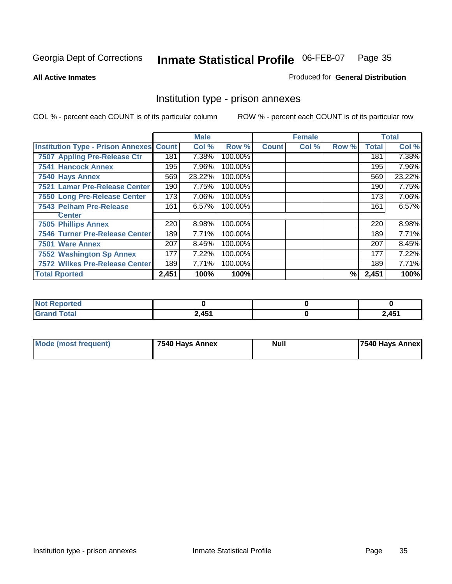#### **All Active Inmates**

#### Produced for **General Distribution**

### Institution type - prison annexes

|                                                |       | <b>Male</b> |         |              | <b>Female</b> |       |              | <b>Total</b> |
|------------------------------------------------|-------|-------------|---------|--------------|---------------|-------|--------------|--------------|
| <b>Institution Type - Prison Annexes Count</b> |       | Col %       | Row %   | <b>Count</b> | Col %         | Row % | <b>Total</b> | Col %        |
| 7507 Appling Pre-Release Ctr                   | 181   | 7.38%       | 100.00% |              |               |       | 181          | 7.38%        |
| <b>7541 Hancock Annex</b>                      | 195   | 7.96%       | 100.00% |              |               |       | 195          | 7.96%        |
| 7540 Hays Annex                                | 569   | 23.22%      | 100.00% |              |               |       | 569          | 23.22%       |
| 7521 Lamar Pre-Release Center                  | 190   | 7.75%       | 100.00% |              |               |       | 190          | 7.75%        |
| 7550 Long Pre-Release Center                   | 173   | 7.06%       | 100.00% |              |               |       | 173          | 7.06%        |
| <b>7543 Pelham Pre-Release</b>                 | 161   | 6.57%       | 100.00% |              |               |       | 161          | 6.57%        |
| <b>Center</b>                                  |       |             |         |              |               |       |              |              |
| <b>7505 Phillips Annex</b>                     | 220   | 8.98%       | 100.00% |              |               |       | 220          | 8.98%        |
| <b>7546 Turner Pre-Release Center</b>          | 189   | 7.71%       | 100.00% |              |               |       | 189          | 7.71%        |
| 7501 Ware Annex                                | 207   | 8.45%       | 100.00% |              |               |       | 207          | 8.45%        |
| <b>7552 Washington Sp Annex</b>                | 177   | 7.22%       | 100.00% |              |               |       | 177          | 7.22%        |
| <b>7572 Wilkes Pre-Release Center</b>          | 189   | 7.71%       | 100.00% |              |               |       | 189          | 7.71%        |
| <b>Total Rported</b>                           | 2,451 | 100%        | 100%    |              |               | %     | 2,451        | 100%         |

| <b>Not Reported</b>   |       |       |
|-----------------------|-------|-------|
| <b>Total</b><br>Grand | 2,451 | 2,451 |

| <b>Mode (most frequent)</b> | 7540 Hays Annex | <b>Null</b> | 7540 Hays Annex |
|-----------------------------|-----------------|-------------|-----------------|
|-----------------------------|-----------------|-------------|-----------------|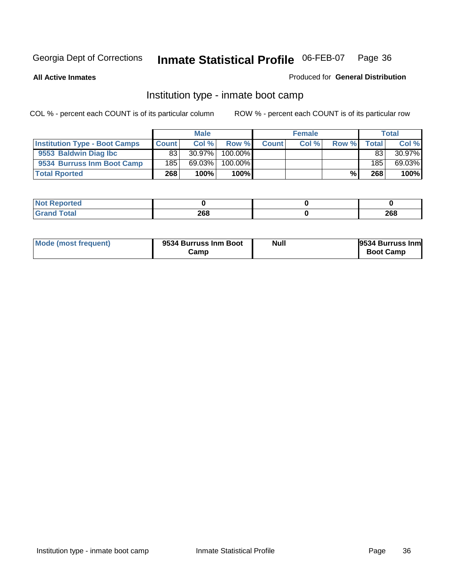**All Active Inmates**

#### Produced for **General Distribution**

### Institution type - inmate boot camp

|                                      |              | <b>Male</b> |            |              | <b>Female</b> |       |       | <b>Total</b> |
|--------------------------------------|--------------|-------------|------------|--------------|---------------|-------|-------|--------------|
| <b>Institution Type - Boot Camps</b> | <b>Count</b> | Col%        | Row %      | <b>Count</b> | Col %         | Row % | Total | Col %        |
| 9553 Baldwin Diag Ibc                | 83           | $30.97\%$   | $100.00\%$ |              |               |       | 83    | 30.97%       |
| 9534 Burruss Inm Boot Camp           | 185          | 69.03%      | 100.00%    |              |               |       | 185   | 69.03%       |
| <b>Total Rported</b>                 | 268          | 100%        | 100%       |              |               | %     | 268   | 100%         |

| теа    |     |     |
|--------|-----|-----|
| $\sim$ | 268 | 268 |

| Mode (most frequent) | 9534 Burruss Inm Boot<br>Camp | Null | 9534 Burruss Inm<br><b>Boot Camp</b> |
|----------------------|-------------------------------|------|--------------------------------------|
|----------------------|-------------------------------|------|--------------------------------------|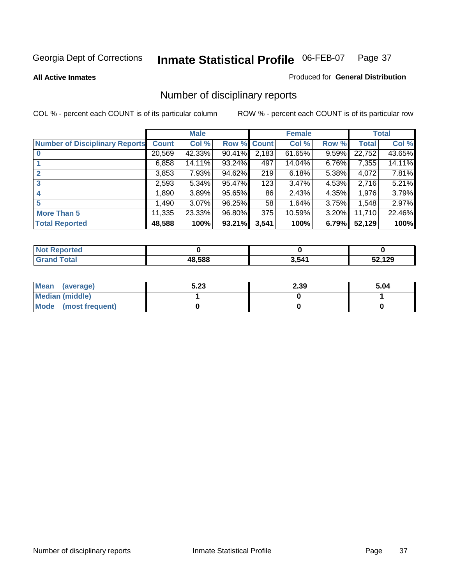#### **All Active Inmates**

#### Produced for **General Distribution**

# Number of disciplinary reports

|                                       |              | <b>Male</b> |        |              | <b>Female</b> |          |              | <b>Total</b> |
|---------------------------------------|--------------|-------------|--------|--------------|---------------|----------|--------------|--------------|
| <b>Number of Disciplinary Reports</b> | <b>Count</b> | Col %       | Row %  | <b>Count</b> | Col %         | Row %    | <b>Total</b> | Col %        |
|                                       | 20,569       | 42.33%      | 90.41% | 2,183        | 61.65%        | 9.59%    | 22,752       | 43.65%       |
|                                       | 6,858        | 14.11%      | 93.24% | 497          | 14.04%        | 6.76%    | 7,355        | 14.11%       |
|                                       | 3,853        | 7.93%       | 94.62% | 219          | 6.18%         | 5.38%    | 4,072        | 7.81%        |
| 3                                     | 2,593        | 5.34%       | 95.47% | 123          | 3.47%         | 4.53%    | 2,716        | 5.21%        |
|                                       | ,890         | 3.89%       | 95.65% | 86           | 2.43%         | 4.35%    | 1,976        | 3.79%        |
| 5                                     | .490         | $3.07\%$    | 96.25% | 58           | 1.64%         | 3.75%    | 1,548        | 2.97%        |
| <b>More Than 5</b>                    | 11,335       | 23.33%      | 96.80% | 375          | 10.59%        | $3.20\%$ | 11,710       | 22.46%       |
| <b>Total Reported</b>                 | 48,588       | 100%        | 93.21% | 3,541        | 100%          | 6.79%    | 52,129       | 100%         |

| -      |       |      |                      |
|--------|-------|------|----------------------|
| ______ | 48588 | ,541 | $\overline{A}$<br>__ |

| Mean (average)       | 5.23 | 2.39 | 5.04 |
|----------------------|------|------|------|
| Median (middle)      |      |      |      |
| Mode (most frequent) |      |      |      |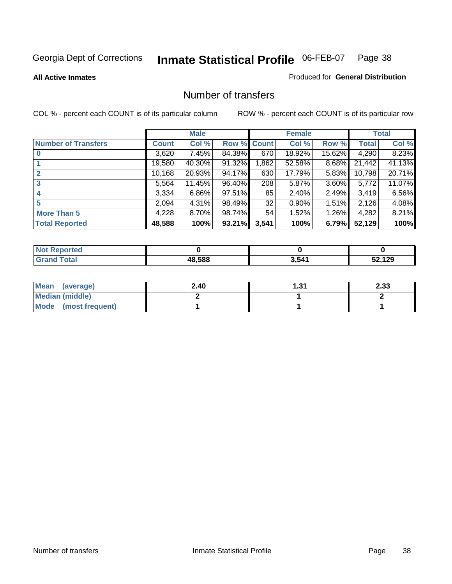Produced for **General Distribution**

#### **All Active Inmates**

### Number of transfers

|                            |         | <b>Male</b> |        |              | <b>Female</b> |          |              | <b>Total</b> |
|----------------------------|---------|-------------|--------|--------------|---------------|----------|--------------|--------------|
| <b>Number of Transfers</b> | Count l | Col %       | Row %  | <b>Count</b> | Col %         | Row %    | <b>Total</b> | Col %        |
|                            | 3,620   | 7.45%       | 84.38% | 670          | 18.92%        | 15.62%   | 4,290        | 8.23%        |
|                            | 19,580  | 40.30%      | 91.32% | ,862         | 52.58%        | 8.68%    | 21,442       | 41.13%       |
|                            | 10,168  | 20.93%      | 94.17% | 630          | 17.79%        | 5.83%    | 10,798       | 20.71%       |
| 3                          | 5,564   | 11.45%      | 96.40% | 208          | 5.87%         | 3.60%    | 5,772        | 11.07%       |
|                            | 3,334   | $6.86\%$    | 97.51% | 85           | 2.40%         | $2.49\%$ | 3.419        | 6.56%        |
| 5                          | 2,094   | 4.31%       | 98.49% | 32           | 0.90%         | $1.51\%$ | 2,126        | 4.08%        |
| <b>More Than 5</b>         | 4,228   | $8.70\%$    | 98.74% | 54           | 1.52%         | 1.26%    | 4,282        | 8.21%        |
| <b>Total Reported</b>      | 48,588  | 100%        | 93.21% | 3,541        | 100%          | 6.79%    | 52,129       | 100%         |

| N               |              |       |                         |
|-----------------|--------------|-------|-------------------------|
| $\sim$ 4 $\sim$ | 18.588<br>ΔХ | . 541 | 120<br>.<br>1 L J<br>__ |

| Mean (average)       | 2.40 | ົາ<br>د. ا | າ າາ<br>دد.ء |
|----------------------|------|------------|--------------|
| Median (middle)      |      |            |              |
| Mode (most frequent) |      |            |              |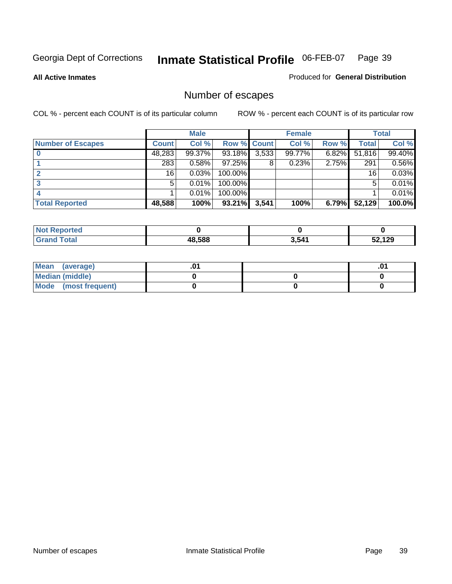Produced for **General Distribution**

#### **All Active Inmates**

# Number of escapes

|                          |              | <b>Male</b> |                    |       | <b>Female</b> |       |        | <b>Total</b> |
|--------------------------|--------------|-------------|--------------------|-------|---------------|-------|--------|--------------|
| <b>Number of Escapes</b> | <b>Count</b> | Col %       | <b>Row % Count</b> |       | Col %         | Row % | Total  | Col %        |
|                          | 48,283       | 99.37%      | 93.18%             | 3,533 | 99.77%        | 6.82% | 51,816 | 99.40%       |
|                          | 283          | 0.58%       | $97.25\%$          | 8     | 0.23%         | 2.75% | 291    | 0.56%        |
|                          | 16           | 0.03%       | $100.00\%$         |       |               |       | 16     | 0.03%        |
|                          | 5            | 0.01%       | 100.00%            |       |               |       | 5      | 0.01%        |
|                          |              | 0.01%       | 100.00%            |       |               |       |        | 0.01%        |
| <b>Total Reported</b>    | 48,588       | 100%        | $93.21\%$          | 3,541 | 100%          | 6.79% | 52,129 | 100.0%       |

| <b>Not Reported</b><br> |      |       |     |
|-------------------------|------|-------|-----|
|                         | .588 | 3,541 | 129 |

| Mean (average)       |  | ו ש. |
|----------------------|--|------|
| Median (middle)      |  |      |
| Mode (most frequent) |  |      |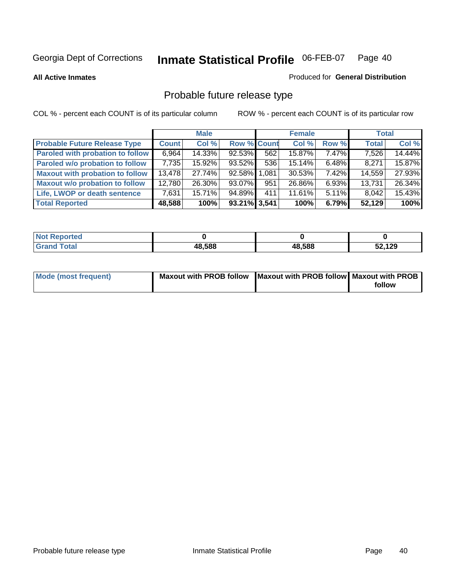**All Active Inmates**

#### Produced for **General Distribution**

# Probable future release type

|                                         |              | <b>Male</b> |                    |     | <b>Female</b> |          | <b>Total</b> |        |
|-----------------------------------------|--------------|-------------|--------------------|-----|---------------|----------|--------------|--------|
| <b>Probable Future Release Type</b>     | <b>Count</b> | Col %       | <b>Row % Count</b> |     | Col %         | Row %    | <b>Total</b> | Col %  |
| <b>Paroled with probation to follow</b> | 6,964        | 14.33%      | $92.53\%$          | 562 | 15.87%        | 7.47%    | 7,526        | 14.44% |
| Paroled w/o probation to follow         | 7,735        | 15.92%      | 93.52%             | 536 | 15.14%        | $6.48\%$ | 8,271        | 15.87% |
| <b>Maxout with probation to follow</b>  | 13,478       | 27.74%      | 92.58% 1.081       |     | 30.53%        | $7.42\%$ | 14,559       | 27.93% |
| <b>Maxout w/o probation to follow</b>   | 12,780       | 26.30%      | 93.07%             | 951 | 26.86%        | $6.93\%$ | 13,731       | 26.34% |
| Life, LWOP or death sentence            | 7,631        | 15.71%      | 94.89%             | 411 | 11.61%        | $5.11\%$ | 8,042        | 15.43% |
| <b>Total Reported</b>                   | 48,588       | 100%        | 93.21% 3,541       |     | 100%          | 6.79%    | 52,129       | 100%   |

| <b>Not</b><br>Reported  |        |        |        |
|-------------------------|--------|--------|--------|
| <b>Total</b><br>' Grand | 48,588 | 48,588 | 52,129 |

| Mode (most frequent) | Maxout with PROB follow   Maxout with PROB follow   Maxout with PROB |        |
|----------------------|----------------------------------------------------------------------|--------|
|                      |                                                                      | follow |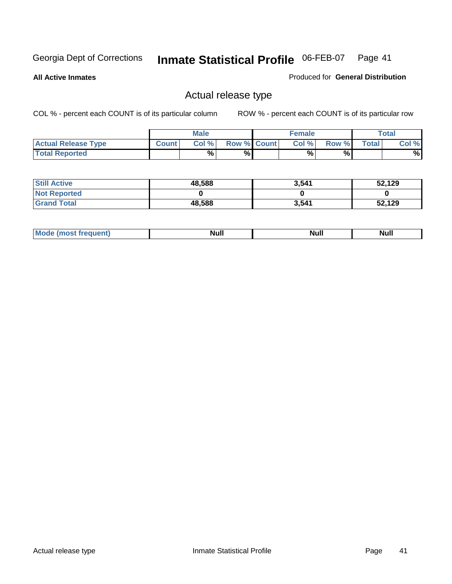**All Active Inmates**

Produced for **General Distribution**

### Actual release type

|                            |              | <b>Male</b> |                    | <b>Female</b> |        |       | $\tau$ otal |
|----------------------------|--------------|-------------|--------------------|---------------|--------|-------|-------------|
| <b>Actual Release Type</b> | <b>Count</b> | Col %       | <b>Row % Count</b> | Col %         | Row %I | Total | Col %       |
| <b>Total Reported</b>      |              | $\%$        | %                  | %             | %      |       | %           |

| <b>Still Active</b> | 48,588 | 3,541 | 52,129 |
|---------------------|--------|-------|--------|
| <b>Not Reported</b> |        |       |        |
| <b>Sand Total</b>   | 48,588 | 3,541 | 52,129 |

| M<br>____ | Ah d <sup>u</sup><br>,,,,, | <b>Null</b> | <b>IVAII</b> |
|-----------|----------------------------|-------------|--------------|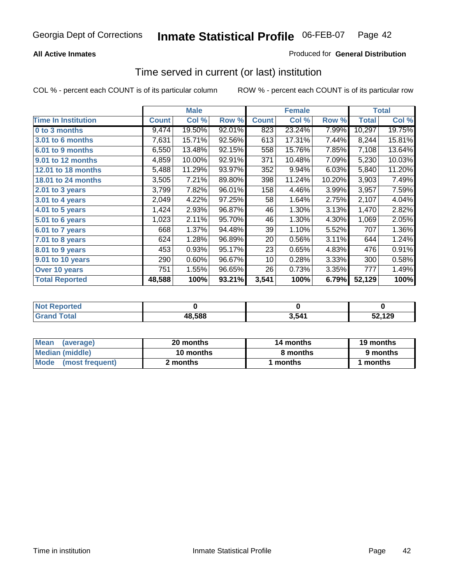### **All Active Inmates**

### Produced for **General Distribution**

### Time served in current (or last) institution

|                            |              | <b>Male</b> |        |              | <b>Female</b> |        |              | <b>Total</b> |
|----------------------------|--------------|-------------|--------|--------------|---------------|--------|--------------|--------------|
| <b>Time In Institution</b> | <b>Count</b> | Col %       | Row %  | <b>Count</b> | Col %         | Row %  | <b>Total</b> | Col %        |
| 0 to 3 months              | 9,474        | 19.50%      | 92.01% | 823          | 23.24%        | 7.99%  | 10,297       | 19.75%       |
| 3.01 to 6 months           | 7,631        | 15.71%      | 92.56% | 613          | 17.31%        | 7.44%  | 8,244        | 15.81%       |
| 6.01 to 9 months           | 6,550        | 13.48%      | 92.15% | 558          | 15.76%        | 7.85%  | 7,108        | 13.64%       |
| 9.01 to 12 months          | 4,859        | 10.00%      | 92.91% | 371          | 10.48%        | 7.09%  | 5,230        | 10.03%       |
| 12.01 to 18 months         | 5,488        | 11.29%      | 93.97% | 352          | 9.94%         | 6.03%  | 5,840        | 11.20%       |
| <b>18.01 to 24 months</b>  | 3,505        | 7.21%       | 89.80% | 398          | 11.24%        | 10.20% | 3,903        | 7.49%        |
| 2.01 to 3 years            | 3,799        | 7.82%       | 96.01% | 158          | 4.46%         | 3.99%  | 3,957        | 7.59%        |
| 3.01 to 4 years            | 2,049        | 4.22%       | 97.25% | 58           | 1.64%         | 2.75%  | 2,107        | 4.04%        |
| 4.01 to 5 years            | 1,424        | 2.93%       | 96.87% | 46           | 1.30%         | 3.13%  | 1,470        | 2.82%        |
| 5.01 to 6 years            | 1,023        | 2.11%       | 95.70% | 46           | 1.30%         | 4.30%  | 1,069        | 2.05%        |
| 6.01 to 7 years            | 668          | 1.37%       | 94.48% | 39           | 1.10%         | 5.52%  | 707          | 1.36%        |
| 7.01 to 8 years            | 624          | 1.28%       | 96.89% | 20           | 0.56%         | 3.11%  | 644          | 1.24%        |
| 8.01 to 9 years            | 453          | 0.93%       | 95.17% | 23           | 0.65%         | 4.83%  | 476          | 0.91%        |
| 9.01 to 10 years           | 290          | 0.60%       | 96.67% | 10           | 0.28%         | 3.33%  | 300          | 0.58%        |
| Over 10 years              | 751          | 1.55%       | 96.65% | 26           | 0.73%         | 3.35%  | 777          | 1.49%        |
| <b>Total Reported</b>      | 48,588       | 100%        | 93.21% | 3,541        | 100%          | 6.79%  | 52,129       | 100%         |

| orted<br>N |        |       |      |
|------------|--------|-------|------|
| `ofai<br>. | 48.588 | . 541 | .129 |

| <b>Mean</b><br>(average)       | 20 months | 14 months | 19 months |  |
|--------------------------------|-----------|-----------|-----------|--|
| Median (middle)                | 10 months | 8 months  | 9 months  |  |
| <b>Mode</b><br>(most frequent) | 2 months  | months    | months    |  |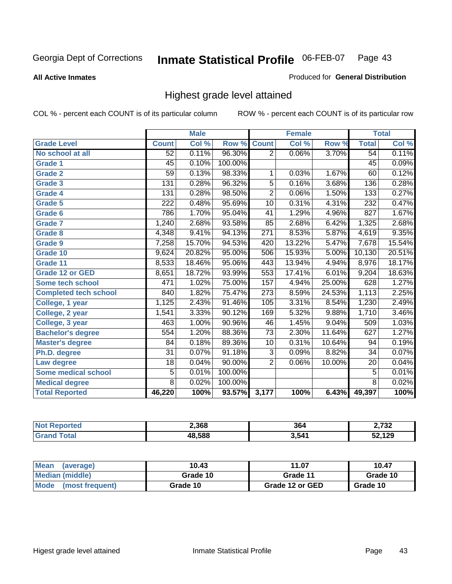**All Active Inmates**

#### Produced for **General Distribution**

### Highest grade level attained

|                              |                  | <b>Male</b> |         |                  | <b>Female</b> |        |                 | <b>Total</b> |
|------------------------------|------------------|-------------|---------|------------------|---------------|--------|-----------------|--------------|
| <b>Grade Level</b>           | <b>Count</b>     | Col %       | Row %   | <b>Count</b>     | Col %         | Row %  | <b>Total</b>    | Col %        |
| No school at all             | 52               | 0.11%       | 96.30%  | $\overline{2}$   | 0.06%         | 3.70%  | 54              | 0.11%        |
| <b>Grade 1</b>               | $\overline{45}$  | 0.10%       | 100.00% |                  |               |        | $\overline{45}$ | 0.09%        |
| <b>Grade 2</b>               | 59               | 0.13%       | 98.33%  | 1                | 0.03%         | 1.67%  | 60              | 0.12%        |
| <b>Grade 3</b>               | 131              | 0.28%       | 96.32%  | 5                | 0.16%         | 3.68%  | 136             | 0.28%        |
| Grade 4                      | 131              | 0.28%       | 98.50%  | $\overline{2}$   | 0.06%         | 1.50%  | 133             | 0.27%        |
| Grade 5                      | $\overline{222}$ | 0.48%       | 95.69%  | $\overline{10}$  | 0.31%         | 4.31%  | 232             | 0.47%        |
| Grade 6                      | 786              | 1.70%       | 95.04%  | $\overline{41}$  | 1.29%         | 4.96%  | 827             | 1.67%        |
| <b>Grade 7</b>               | 1,240            | 2.68%       | 93.58%  | 85               | 2.68%         | 6.42%  | 1,325           | 2.68%        |
| <b>Grade 8</b>               | 4,348            | 9.41%       | 94.13%  | $\overline{271}$ | 8.53%         | 5.87%  | 4,619           | 9.35%        |
| Grade 9                      | 7,258            | 15.70%      | 94.53%  | $\overline{420}$ | 13.22%        | 5.47%  | 7,678           | 15.54%       |
| Grade 10                     | 9,624            | 20.82%      | 95.00%  | 506              | 15.93%        | 5.00%  | 10,130          | 20.51%       |
| Grade 11                     | 8,533            | 18.46%      | 95.06%  | 443              | 13.94%        | 4.94%  | 8,976           | 18.17%       |
| <b>Grade 12 or GED</b>       | 8,651            | 18.72%      | 93.99%  | 553              | 17.41%        | 6.01%  | 9,204           | 18.63%       |
| <b>Some tech school</b>      | 471              | 1.02%       | 75.00%  | 157              | 4.94%         | 25.00% | 628             | 1.27%        |
| <b>Completed tech school</b> | 840              | 1.82%       | 75.47%  | $\overline{273}$ | 8.59%         | 24.53% | 1,113           | 2.25%        |
| College, 1 year              | 1,125            | 2.43%       | 91.46%  | 105              | 3.31%         | 8.54%  | 1,230           | 2.49%        |
| College, 2 year              | 1,541            | 3.33%       | 90.12%  | 169              | 5.32%         | 9.88%  | 1,710           | 3.46%        |
| College, 3 year              | 463              | 1.00%       | 90.96%  | 46               | 1.45%         | 9.04%  | 509             | 1.03%        |
| <b>Bachelor's degree</b>     | 554              | 1.20%       | 88.36%  | $\overline{73}$  | 2.30%         | 11.64% | 627             | 1.27%        |
| <b>Master's degree</b>       | 84               | 0.18%       | 89.36%  | 10               | 0.31%         | 10.64% | 94              | 0.19%        |
| Ph.D. degree                 | $\overline{31}$  | 0.07%       | 91.18%  | $\overline{3}$   | 0.09%         | 8.82%  | 34              | 0.07%        |
| Law degree                   | $\overline{18}$  | 0.04%       | 90.00%  | $\overline{2}$   | 0.06%         | 10.00% | $\overline{20}$ | 0.04%        |
| <b>Some medical school</b>   | 5                | 0.01%       | 100.00% |                  |               |        | $\overline{5}$  | 0.01%        |
| <b>Medical degree</b>        | $\overline{8}$   | 0.02%       | 100.00% |                  |               |        | $\overline{8}$  | 0.02%        |
| <b>Total Reported</b>        | 46,220           | 100%        | 93.57%  | 3,177            | 100%          | 6.43%  | 49,397          | 100%         |

| 2.368  | 364   | ימד ה<br>◡▵ |
|--------|-------|-------------|
| 18.588 | 3,541 | 120         |

| <b>Mean</b><br>(average)       | 10.43    | 11.07           | 10.47    |
|--------------------------------|----------|-----------------|----------|
| Median (middle)                | Grade 10 | Grade 11        | Grade 10 |
| <b>Mode</b><br>(most frequent) | Grade 10 | Grade 12 or GED | Grade 10 |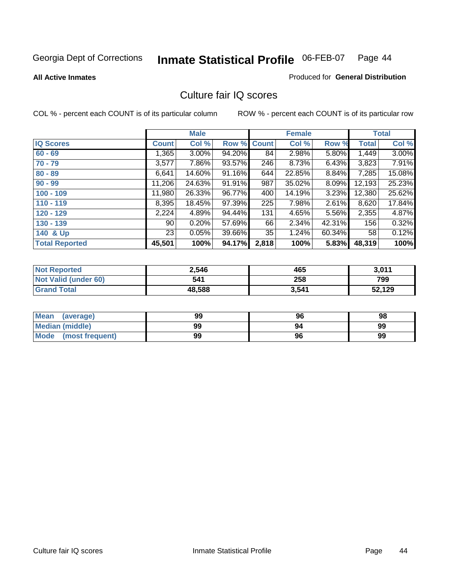**All Active Inmates**

#### Produced for **General Distribution**

### Culture fair IQ scores

|                       |                 | <b>Male</b> |             |       | <b>Female</b> |        |              | <b>Total</b> |
|-----------------------|-----------------|-------------|-------------|-------|---------------|--------|--------------|--------------|
| <b>IQ Scores</b>      | <b>Count</b>    | Col %       | Row % Count |       | Col %         | Row %  | <b>Total</b> | Col %        |
| $60 - 69$             | 1,365           | $3.00\%$    | 94.20%      | 84    | 2.98%         | 5.80%  | 1,449        | 3.00%        |
| $70 - 79$             | 3,577           | 7.86%       | 93.57%      | 246   | 8.73%         | 6.43%  | 3,823        | 7.91%        |
| $80 - 89$             | 6,641           | 14.60%      | 91.16%      | 644   | 22.85%        | 8.84%  | 7,285        | 15.08%       |
| $90 - 99$             | 11,206          | 24.63%      | 91.91%      | 987   | 35.02%        | 8.09%  | 12,193       | 25.23%       |
| $100 - 109$           | 11,980          | 26.33%      | 96.77%      | 400   | 14.19%        | 3.23%  | 12,380       | 25.62%       |
| $110 - 119$           | 8,395           | 18.45%      | 97.39%      | 225   | 7.98%         | 2.61%  | 8,620        | 17.84%       |
| $120 - 129$           | 2,224           | 4.89%       | 94.44%      | 131   | 4.65%         | 5.56%  | 2,355        | 4.87%        |
| $130 - 139$           | 90 <sub>1</sub> | 0.20%       | 57.69%      | 66    | 2.34%         | 42.31% | 156          | 0.32%        |
| 140 & Up              | 23              | 0.05%       | 39.66%      | 35    | 1.24%         | 60.34% | 58           | 0.12%        |
| <b>Total Reported</b> | 45,501          | 100%        | 94.17%      | 2,818 | 100%          | 5.83%  | 48,319       | 100%         |

| <b>Not Reported</b>  | 2,546  | 465   | 3,011  |
|----------------------|--------|-------|--------|
| Not Valid (under 60) | 541    | 258   | 799    |
| <b>Grand Total</b>   | 48,588 | 3,541 | 52,129 |

| <b>Mean</b><br>(average)       | 99 | 96 | 98 |
|--------------------------------|----|----|----|
| <b>Median (middle)</b>         | 99 | 94 | 99 |
| <b>Mode</b><br>(most frequent) | 99 | 96 | 99 |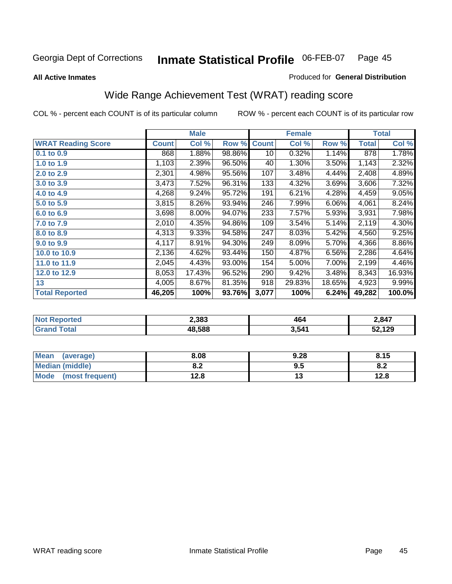Produced for **General Distribution**

#### **All Active Inmates**

# Wide Range Achievement Test (WRAT) reading score

|                           |              | <b>Male</b> |        |              | <b>Female</b> |        |              | <b>Total</b> |
|---------------------------|--------------|-------------|--------|--------------|---------------|--------|--------------|--------------|
| <b>WRAT Reading Score</b> | <b>Count</b> | Col %       | Row %  | <b>Count</b> | Col %         | Row %  | <b>Total</b> | Col %        |
| 0.1 to 0.9                | 868          | 1.88%       | 98.86% | 10           | 0.32%         | 1.14%  | 878          | 1.78%        |
| 1.0 to 1.9                | 1,103        | 2.39%       | 96.50% | 40           | 1.30%         | 3.50%  | 1,143        | 2.32%        |
| 2.0 to 2.9                | 2,301        | 4.98%       | 95.56% | 107          | 3.48%         | 4.44%  | 2,408        | 4.89%        |
| 3.0 to 3.9                | 3,473        | 7.52%       | 96.31% | 133          | 4.32%         | 3.69%  | 3,606        | 7.32%        |
| 4.0 to 4.9                | 4,268        | 9.24%       | 95.72% | 191          | 6.21%         | 4.28%  | 4,459        | 9.05%        |
| 5.0 to 5.9                | 3,815        | 8.26%       | 93.94% | 246          | 7.99%         | 6.06%  | 4,061        | 8.24%        |
| 6.0 to 6.9                | 3,698        | 8.00%       | 94.07% | 233          | 7.57%         | 5.93%  | 3,931        | 7.98%        |
| 7.0 to 7.9                | 2,010        | 4.35%       | 94.86% | 109          | 3.54%         | 5.14%  | 2,119        | 4.30%        |
| 8.0 to 8.9                | 4,313        | 9.33%       | 94.58% | 247          | 8.03%         | 5.42%  | 4,560        | 9.25%        |
| 9.0 to 9.9                | 4,117        | 8.91%       | 94.30% | 249          | 8.09%         | 5.70%  | 4,366        | 8.86%        |
| 10.0 to 10.9              | 2,136        | 4.62%       | 93.44% | 150          | 4.87%         | 6.56%  | 2,286        | 4.64%        |
| 11.0 to 11.9              | 2,045        | 4.43%       | 93.00% | 154          | 5.00%         | 7.00%  | 2,199        | 4.46%        |
| 12.0 to 12.9              | 8,053        | 17.43%      | 96.52% | 290          | 9.42%         | 3.48%  | 8,343        | 16.93%       |
| 13                        | 4,005        | 8.67%       | 81.35% | 918          | 29.83%        | 18.65% | 4,923        | 9.99%        |
| <b>Total Reported</b>     | 46,205       | 100%        | 93.76% | 3,077        | 100%          | 6.24%  | 49,282       | 100.0%       |

| Ter. | 2,383 | 464<br>___ | 2,847 |
|------|-------|------------|-------|
|      | .588  | 3.541      | 129   |

| <b>Mean</b><br>(average) | 8.08       | 9.28 | 8.15                           |
|--------------------------|------------|------|--------------------------------|
| <b>Median (middle)</b>   | 0 מ<br>0.Z | 9.5  | ດ -<br>$\mathbf{0}.\mathbf{L}$ |
| Mode (most frequent)     | 12.8       | ט ו  | 12.8                           |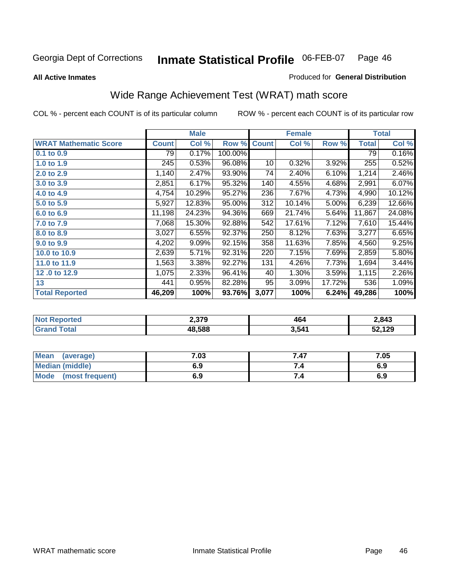**All Active Inmates**

#### Produced for **General Distribution**

# Wide Range Achievement Test (WRAT) math score

|                              |              | <b>Male</b> |         |              | <b>Female</b> |        |              | <b>Total</b> |
|------------------------------|--------------|-------------|---------|--------------|---------------|--------|--------------|--------------|
| <b>WRAT Mathematic Score</b> | <b>Count</b> | Col %       | Row %   | <b>Count</b> | Col %         | Row %  | <b>Total</b> | Col %        |
| 0.1 to 0.9                   | 79           | 0.17%       | 100.00% |              |               |        | 79           | 0.16%        |
| 1.0 to 1.9                   | 245          | 0.53%       | 96.08%  | 10           | 0.32%         | 3.92%  | 255          | 0.52%        |
| 2.0 to 2.9                   | 1,140        | 2.47%       | 93.90%  | 74           | 2.40%         | 6.10%  | 1,214        | 2.46%        |
| 3.0 to 3.9                   | 2,851        | 6.17%       | 95.32%  | 140          | 4.55%         | 4.68%  | 2,991        | 6.07%        |
| 4.0 to 4.9                   | 4,754        | 10.29%      | 95.27%  | 236          | 7.67%         | 4.73%  | 4,990        | 10.12%       |
| 5.0 to 5.9                   | 5,927        | 12.83%      | 95.00%  | 312          | 10.14%        | 5.00%  | 6,239        | 12.66%       |
| 6.0 to 6.9                   | 11,198       | 24.23%      | 94.36%  | 669          | 21.74%        | 5.64%  | 11,867       | 24.08%       |
| 7.0 to 7.9                   | 7,068        | 15.30%      | 92.88%  | 542          | 17.61%        | 7.12%  | 7,610        | 15.44%       |
| 8.0 to 8.9                   | 3,027        | 6.55%       | 92.37%  | 250          | 8.12%         | 7.63%  | 3,277        | 6.65%        |
| 9.0 to 9.9                   | 4,202        | $9.09\%$    | 92.15%  | 358          | 11.63%        | 7.85%  | 4,560        | 9.25%        |
| 10.0 to 10.9                 | 2,639        | 5.71%       | 92.31%  | 220          | 7.15%         | 7.69%  | 2,859        | 5.80%        |
| 11.0 to 11.9                 | 1,563        | 3.38%       | 92.27%  | 131          | 4.26%         | 7.73%  | 1,694        | 3.44%        |
| 12.0 to 12.9                 | 1,075        | 2.33%       | 96.41%  | 40           | 1.30%         | 3.59%  | 1,115        | 2.26%        |
| 13                           | 441          | 0.95%       | 82.28%  | 95           | 3.09%         | 17.72% | 536          | 1.09%        |
| <b>Total Reported</b>        | 46,209       | 100%        | 93.76%  | 3,077        | 100%          | 6.24%  | 49,286       | 100%         |

|      | 2,379  | 46    | 2,843  |
|------|--------|-------|--------|
| otal | 48.588 | 3,541 | 52,129 |

| Mean<br>(average)              | 7.03 | 7.47 | 7.05 |
|--------------------------------|------|------|------|
| <b>Median (middle)</b>         | 6.9  |      | 6.9  |
| <b>Mode</b><br>(most frequent) | 6.9  | 7.4  | 6.9  |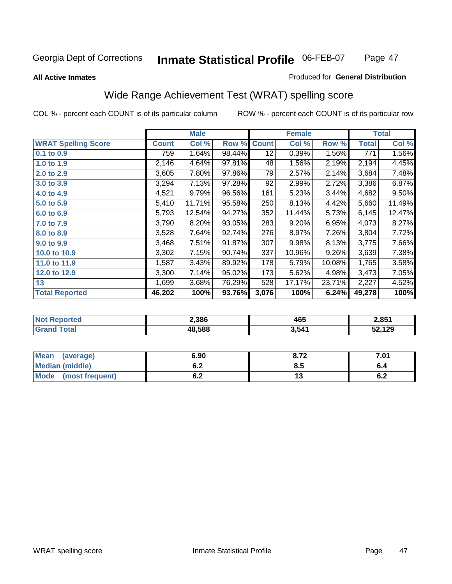#### **All Active Inmates**

#### Produced for **General Distribution**

# Wide Range Achievement Test (WRAT) spelling score

|                            |              | <b>Male</b> |        |                 | <b>Female</b> |        |              | <b>Total</b> |
|----------------------------|--------------|-------------|--------|-----------------|---------------|--------|--------------|--------------|
| <b>WRAT Spelling Score</b> | <b>Count</b> | Col %       | Row %  | <b>Count</b>    | Col %         | Row %  | <b>Total</b> | Col %        |
| 0.1 to 0.9                 | 759          | 1.64%       | 98.44% | $\overline{12}$ | 0.39%         | 1.56%  | 771          | 1.56%        |
| 1.0 to 1.9                 | 2,146        | 4.64%       | 97.81% | 48              | 1.56%         | 2.19%  | 2,194        | 4.45%        |
| 2.0 to 2.9                 | 3,605        | 7.80%       | 97.86% | 79              | 2.57%         | 2.14%  | 3,684        | 7.48%        |
| 3.0 to 3.9                 | 3,294        | 7.13%       | 97.28% | 92              | 2.99%         | 2.72%  | 3,386        | 6.87%        |
| 4.0 to 4.9                 | 4,521        | 9.79%       | 96.56% | 161             | 5.23%         | 3.44%  | 4,682        | 9.50%        |
| 5.0 to 5.9                 | 5,410        | 11.71%      | 95.58% | 250             | 8.13%         | 4.42%  | 5,660        | 11.49%       |
| 6.0 to 6.9                 | 5,793        | 12.54%      | 94.27% | 352             | 11.44%        | 5.73%  | 6,145        | 12.47%       |
| 7.0 to 7.9                 | 3,790        | 8.20%       | 93.05% | 283             | 9.20%         | 6.95%  | 4,073        | 8.27%        |
| 8.0 to 8.9                 | 3,528        | 7.64%       | 92.74% | 276             | 8.97%         | 7.26%  | 3,804        | 7.72%        |
| 9.0 to 9.9                 | 3,468        | 7.51%       | 91.87% | 307             | 9.98%         | 8.13%  | 3,775        | 7.66%        |
| 10.0 to 10.9               | 3,302        | 7.15%       | 90.74% | 337             | 10.96%        | 9.26%  | 3,639        | 7.38%        |
| 11.0 to 11.9               | 1,587        | 3.43%       | 89.92% | 178             | 5.79%         | 10.08% | 1,765        | 3.58%        |
| 12.0 to 12.9               | 3,300        | 7.14%       | 95.02% | 173             | 5.62%         | 4.98%  | 3,473        | 7.05%        |
| 13                         | 1,699        | 3.68%       | 76.29% | 528             | 17.17%        | 23.71% | 2,227        | 4.52%        |
| <b>Total Reported</b>      | 46,202       | 100%        | 93.76% | 3,076           | 100%          | 6.24%  | 49,278       | 100%         |

| 2,386  | 465   | 2,851  |
|--------|-------|--------|
| 18.588 | 3,541 | 52,129 |

| <b>Mean</b><br>(average)       | 6.90               | o 70<br>0.14 | 7.01 |
|--------------------------------|--------------------|--------------|------|
| <b>Median (middle)</b>         | <u>. . </u><br>O.Z | ბ.მ          |      |
| <b>Mode</b><br>(most frequent) | . .<br>U.Z         | . J          | v.z  |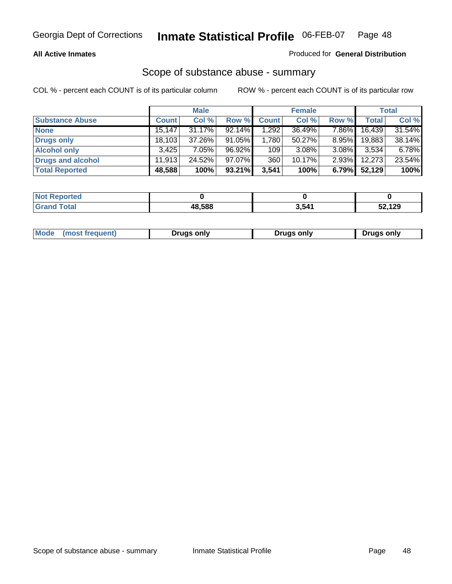#### **All Active Inmates**

#### Produced for **General Distribution**

### Scope of substance abuse - summary

|                        |              | <b>Male</b> |           |              | <b>Female</b> |          |              | <b>Total</b> |
|------------------------|--------------|-------------|-----------|--------------|---------------|----------|--------------|--------------|
| <b>Substance Abuse</b> | <b>Count</b> | Col %       | Row %     | <b>Count</b> | Col %         | Row %    | <b>Total</b> | Col %        |
| <b>None</b>            | 15,147       | $31.17\%$   | 92.14%    | 1,292        | 36.49%        | 7.86%    | 16,439       | 31.54%       |
| Drugs only             | 18.103       | 37.26%      | 91.05%    | 1.780        | 50.27%        | $8.95\%$ | 19,883       | 38.14%       |
| <b>Alcohol only</b>    | 3.425        | $7.05\%$    | 96.92%    | 109          | $3.08\%$      | 3.08%    | 3,534        | 6.78%        |
| Drugs and alcohol      | 11.913       | 24.52%      | $97.07\%$ | 360          | $10.17\%$     | $2.93\%$ | 12,273       | 23.54%       |
| <b>Total Reported</b>  | 48,588       | 100%        | 93.21%    | 3,541        | 100%          | 6.79%    | 52,129       | 100%         |

| <b>Not Reported</b> |        |       |        |
|---------------------|--------|-------|--------|
| <b>Grand Total</b>  | 48.588 | 3,541 | 52,129 |

|  | Mode<br>(most frequent) | Drugs only | Drugs only | Drugs only |
|--|-------------------------|------------|------------|------------|
|--|-------------------------|------------|------------|------------|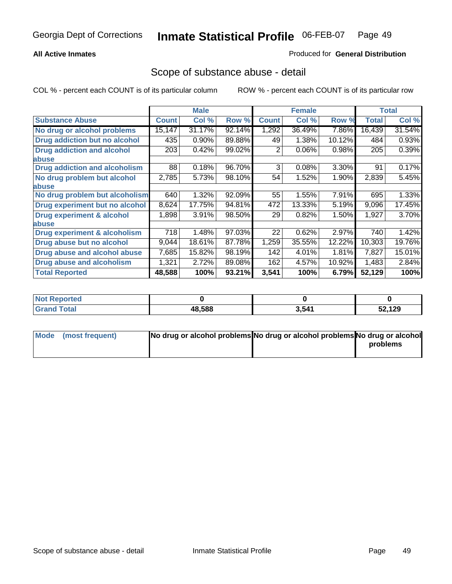### **All Active Inmates**

### Produced for **General Distribution**

### Scope of substance abuse - detail

|                                      |              | <b>Male</b> |        |              | <b>Female</b> |        |              | Total  |
|--------------------------------------|--------------|-------------|--------|--------------|---------------|--------|--------------|--------|
| <b>Substance Abuse</b>               | <b>Count</b> | Col %       | Row %  | <b>Count</b> | Col %         | Row %  | <b>Total</b> | Col %  |
| No drug or alcohol problems          | 15,147       | 31.17%      | 92.14% | 1,292        | 36.49%        | 7.86%  | 16,439       | 31.54% |
| Drug addiction but no alcohol        | 435          | 0.90%       | 89.88% | 49           | 1.38%         | 10.12% | 484          | 0.93%  |
| <b>Drug addiction and alcohol</b>    | 203          | 0.42%       | 99.02% | 2            | 0.06%         | 0.98%  | 205          | 0.39%  |
| <b>labuse</b>                        |              |             |        |              |               |        |              |        |
| <b>Drug addiction and alcoholism</b> | 88           | 0.18%       | 96.70% | 3            | 0.08%         | 3.30%  | 91           | 0.17%  |
| No drug problem but alcohol          | 2,785        | 5.73%       | 98.10% | 54           | 1.52%         | 1.90%  | 2,839        | 5.45%  |
| <b>labuse</b>                        |              |             |        |              |               |        |              |        |
| No drug problem but alcoholism       | 640          | 1.32%       | 92.09% | 55           | 1.55%         | 7.91%  | 695          | 1.33%  |
| Drug experiment but no alcohol       | 8,624        | 17.75%      | 94.81% | 472          | 13.33%        | 5.19%  | 9,096        | 17.45% |
| <b>Drug experiment &amp; alcohol</b> | 1,898        | 3.91%       | 98.50% | 29           | 0.82%         | 1.50%  | 1,927        | 3.70%  |
| <b>labuse</b>                        |              |             |        |              |               |        |              |        |
| Drug experiment & alcoholism         | 718          | 1.48%       | 97.03% | 22           | 0.62%         | 2.97%  | 740          | 1.42%  |
| Drug abuse but no alcohol            | 9,044        | 18.61%      | 87.78% | 1,259        | 35.55%        | 12.22% | 10,303       | 19.76% |
| Drug abuse and alcohol abuse         | 7,685        | 15.82%      | 98.19% | 142          | 4.01%         | 1.81%  | 7,827        | 15.01% |
| Drug abuse and alcoholism            | 1,321        | 2.72%       | 89.08% | 162          | 4.57%         | 10.92% | 1,483        | 2.84%  |
| <b>Total Reported</b>                | 48,588       | 100%        | 93.21% | 3,541        | 100%          | 6.79%  | 52,129       | 100%   |

| <b>Not Reported</b>  |        |       |        |
|----------------------|--------|-------|--------|
| Total<br><b>Grar</b> | 48.588 | 3,541 | 52,129 |

| Mode (most frequent) | No drug or alcohol problems No drug or alcohol problems No drug or alcohol |          |
|----------------------|----------------------------------------------------------------------------|----------|
|                      |                                                                            | problems |
|                      |                                                                            |          |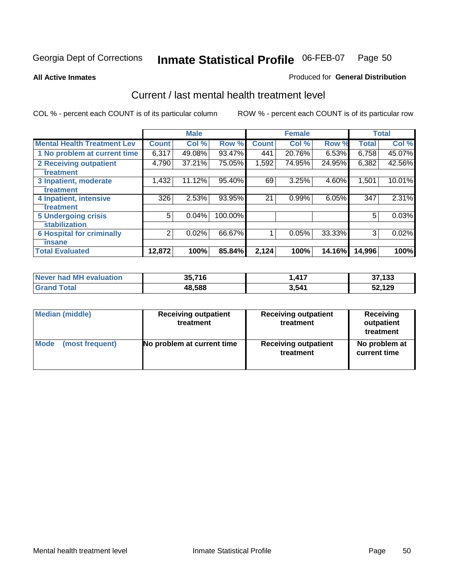#### **All Active Inmates**

#### Produced for **General Distribution**

### Current / last mental health treatment level

|                                    |              | <b>Male</b> |         |              | <b>Female</b> |          |              | <b>Total</b> |
|------------------------------------|--------------|-------------|---------|--------------|---------------|----------|--------------|--------------|
| <b>Mental Health Treatment Lev</b> | <b>Count</b> | Col %       | Row %   | <b>Count</b> | Col%          | Row %    | <b>Total</b> | Col%         |
| 1 No problem at current time       | 6,317        | 49.08%      | 93.47%  | 441          | 20.76%        | $6.53\%$ | 6,758        | 45.07%       |
| <b>2 Receiving outpatient</b>      | 4,790        | 37.21%      | 75.05%  | 1,592        | 74.95%        | 24.95%   | 6,382        | 42.56%       |
| treatment                          |              |             |         |              |               |          |              |              |
| 3 Inpatient, moderate              | 1,432        | 11.12%      | 95.40%  | 69           | 3.25%         | 4.60%    | 1,501        | 10.01%       |
| treatment                          |              |             |         |              |               |          |              |              |
| 4 Inpatient, intensive             | 326          | 2.53%       | 93.95%  | 21           | 0.99%         | 6.05%    | 347          | 2.31%        |
| treatment                          |              |             |         |              |               |          |              |              |
| <b>5 Undergoing crisis</b>         | 5            | 0.04%       | 100.00% |              |               |          | 5            | 0.03%        |
| stabilization                      |              |             |         |              |               |          |              |              |
| <b>6 Hospital for criminally</b>   | 2            | 0.02%       | 66.67%  |              | 0.05%         | 33.33%   | 3            | 0.02%        |
| insane                             |              |             |         |              |               |          |              |              |
| <b>Total Evaluated</b>             | 12,872       | 100%        | 85.84%  | 2,124        | 100%          | 14.16%   | 14,996       | 100%         |

| Never had MH evaluation | 35,716 | 1,417 | 37,133 |
|-------------------------|--------|-------|--------|
| Total<br>็ Grand ไ      | 48,588 | 3,541 | 52,129 |

| <b>Median (middle)</b> | <b>Receiving outpatient</b><br>treatment | <b>Receiving outpatient</b><br>treatment | <b>Receiving</b><br>outpatient<br>treatment |
|------------------------|------------------------------------------|------------------------------------------|---------------------------------------------|
| <b>Mode</b>            | No problem at current time               | <b>Receiving outpatient</b>              | No problem at                               |
| (most frequent)        |                                          | treatment                                | current time                                |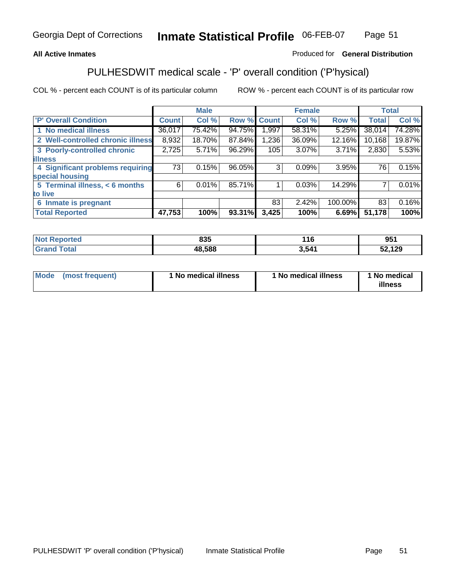### **All Active Inmates**

### Produced for **General Distribution**

### PULHESDWIT medical scale - 'P' overall condition ('P'hysical)

|                                   |              | <b>Male</b> |        |              | <b>Female</b> |         |              | <b>Total</b> |
|-----------------------------------|--------------|-------------|--------|--------------|---------------|---------|--------------|--------------|
| 'P' Overall Condition             | <b>Count</b> | Col %       | Row %  | <b>Count</b> | Col %         | Row %   | <b>Total</b> | Col %        |
| 1 No medical illness              | 36,017       | 75.42%      | 94.75% | 1,997        | 58.31%        | 5.25%   | 38,014       | 74.28%       |
| 2 Well-controlled chronic illness | 8,932        | 18.70%      | 87.84% | 1,236        | 36.09%        | 12.16%  | 10,168       | 19.87%       |
| 3 Poorly-controlled chronic       | 2,725        | 5.71%       | 96.29% | 105          | 3.07%         | 3.71%   | 2,830        | 5.53%        |
| <b>illness</b>                    |              |             |        |              |               |         |              |              |
| 4 Significant problems requiring  | 73           | 0.15%       | 96.05% | 3            | 0.09%         | 3.95%   | 76           | 0.15%        |
| special housing                   |              |             |        |              |               |         |              |              |
| 5 Terminal illness, < 6 months    | 6            | 0.01%       | 85.71% |              | 0.03%         | 14.29%  |              | 0.01%        |
| to live                           |              |             |        |              |               |         |              |              |
| Inmate is pregnant<br>6           |              |             |        | 83           | 2.42%         | 100.00% | 83           | 0.16%        |
| <b>Total Reported</b>             | 47,753       | 100%        | 93.31% | 3,425        | 100%          | 6.69%   | 51,178       | 100%         |

| <b>Not Reported</b> | 835    | 116   | 951    |
|---------------------|--------|-------|--------|
| <b>Grand Total</b>  | 48,588 | 3,541 | 52,129 |

| Mode (most frequent) | 1 No medical illness | 1 No medical illness | 1 No medical |
|----------------------|----------------------|----------------------|--------------|
|                      |                      |                      | illness      |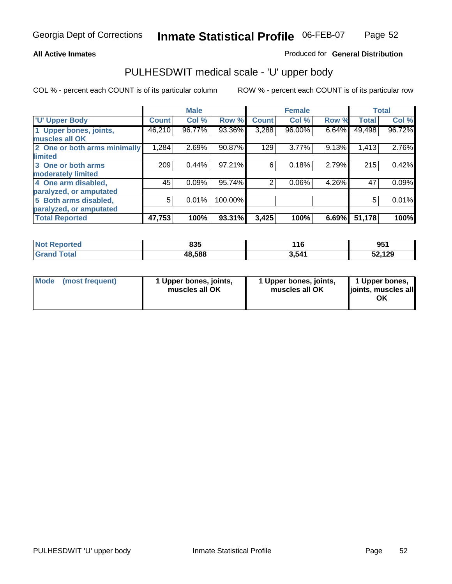#### **All Active Inmates**

#### Produced for **General Distribution**

### PULHESDWIT medical scale - 'U' upper body

|                              |              | <b>Male</b> |         |              | <b>Female</b> |       |              | <b>Total</b> |
|------------------------------|--------------|-------------|---------|--------------|---------------|-------|--------------|--------------|
| <b>U' Upper Body</b>         | <b>Count</b> | Col %       | Row %   | <b>Count</b> | Col %         | Row % | <b>Total</b> | Col %        |
| 1 Upper bones, joints,       | 46,210       | 96.77%      | 93.36%  | 3,288        | 96.00%        | 6.64% | 49,498       | 96.72%       |
| muscles all OK               |              |             |         |              |               |       |              |              |
| 2 One or both arms minimally | 1,284        | 2.69%       | 90.87%  | 129          | 3.77%         | 9.13% | 1,413        | 2.76%        |
| limited                      |              |             |         |              |               |       |              |              |
| 3 One or both arms           | 209          | 0.44%       | 97.21%  | 6            | 0.18%         | 2.79% | 215          | 0.42%        |
| moderately limited           |              |             |         |              |               |       |              |              |
| 4 One arm disabled,          | 45           | 0.09%       | 95.74%  | 2            | 0.06%         | 4.26% | 47           | 0.09%        |
| paralyzed, or amputated      |              |             |         |              |               |       |              |              |
| 5 Both arms disabled,        | 5            | 0.01%       | 100.00% |              |               |       | 5            | 0.01%        |
| paralyzed, or amputated      |              |             |         |              |               |       |              |              |
| <b>Total Reported</b>        | 47,753       | 100%        | 93.31%  | 3,425        | 100%          | 6.69% | 51,178       | 100%         |

| <b>Not Reported</b> | 835    | 16    | OR-<br>JJ. |
|---------------------|--------|-------|------------|
| Total<br>' Grand    | 48,588 | 3,541 | 52,129     |

| <b>Mode</b> | (most frequent) | 1 Upper bones, joints,<br>muscles all OK | 1 Upper bones, joints,<br>muscles all OK | 1 Upper bones,<br>joints, muscles all<br>ΟK |
|-------------|-----------------|------------------------------------------|------------------------------------------|---------------------------------------------|
|-------------|-----------------|------------------------------------------|------------------------------------------|---------------------------------------------|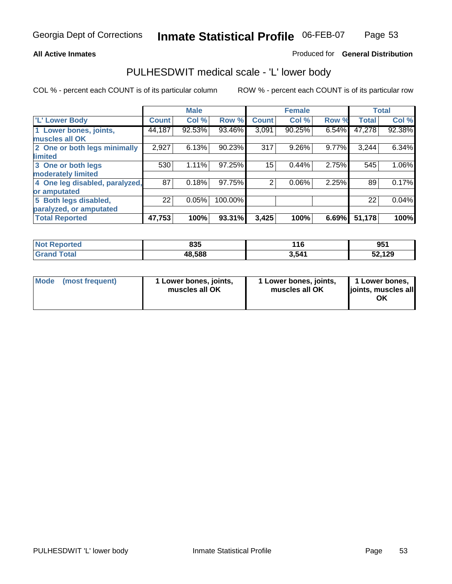#### **All Active Inmates**

### Produced for **General Distribution**

### PULHESDWIT medical scale - 'L' lower body

|                                |              | <b>Male</b> |         |              | <b>Female</b> |       |              | <b>Total</b> |
|--------------------------------|--------------|-------------|---------|--------------|---------------|-------|--------------|--------------|
| 'L' Lower Body                 | <b>Count</b> | Col %       | Row %   | <b>Count</b> | Col %         | Row % | <b>Total</b> | Col %        |
| 1 Lower bones, joints,         | 44,187       | 92.53%      | 93.46%  | 3,091        | 90.25%        | 6.54% | 47,278       | 92.38%       |
| muscles all OK                 |              |             |         |              |               |       |              |              |
| 2 One or both legs minimally   | 2,927        | 6.13%       | 90.23%  | 317          | 9.26%         | 9.77% | 3,244        | 6.34%        |
| limited                        |              |             |         |              |               |       |              |              |
| 3 One or both legs             | 530          | 1.11%       | 97.25%  | 15           | 0.44%         | 2.75% | 545          | 1.06%        |
| moderately limited             |              |             |         |              |               |       |              |              |
| 4 One leg disabled, paralyzed, | 87           | 0.18%       | 97.75%  | 2            | 0.06%         | 2.25% | 89           | 0.17%        |
| or amputated                   |              |             |         |              |               |       |              |              |
| 5 Both legs disabled,          | 22           | 0.05%       | 100.00% |              |               |       | 22           | 0.04%        |
| paralyzed, or amputated        |              |             |         |              |               |       |              |              |
| <b>Total Reported</b>          | 47,753       | 100%        | 93.31%  | 3,425        | 100%          | 6.69% | 51,178       | 100%         |

| <b>Not Reported</b> | 835    | 16    | O5 <sup>2</sup><br><u>59 I</u> |
|---------------------|--------|-------|--------------------------------|
| Total<br>'Grand .   | 48,588 | 3,541 | 52,129                         |

|  | Mode (most frequent) | 1 Lower bones, joints,<br>muscles all OK | 1 Lower bones, joints,<br>muscles all OK | 1 Lower bones,<br>joints, muscles all<br>OK |
|--|----------------------|------------------------------------------|------------------------------------------|---------------------------------------------|
|--|----------------------|------------------------------------------|------------------------------------------|---------------------------------------------|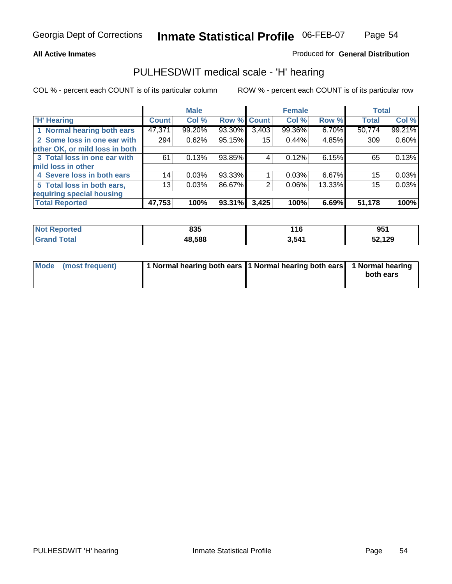#### **All Active Inmates**

### Produced for **General Distribution**

### PULHESDWIT medical scale - 'H' hearing

|                                |              | <b>Male</b> |             |                 | <b>Female</b> |        | <b>Total</b> |        |
|--------------------------------|--------------|-------------|-------------|-----------------|---------------|--------|--------------|--------|
| <b>H'</b> Hearing              | <b>Count</b> | Col %       | Row % Count |                 | Col %         | Row %  | <b>Total</b> | Col %  |
| 1 Normal hearing both ears     | 47,371       | 99.20%      | 93.30%      | 3,403           | 99.36%        | 6.70%  | 50,774       | 99.21% |
| 2 Some loss in one ear with    | 294          | 0.62%       | 95.15%      | 15 <sup>1</sup> | 0.44%         | 4.85%  | 309          | 0.60%  |
| other OK, or mild loss in both |              |             |             |                 |               |        |              |        |
| 3 Total loss in one ear with   | 61           | 0.13%       | 93.85%      | 4               | 0.12%         | 6.15%  | 65           | 0.13%  |
| mild loss in other             |              |             |             |                 |               |        |              |        |
| 4 Severe loss in both ears     | 14           | 0.03%       | 93.33%      |                 | 0.03%         | 6.67%  | 15           | 0.03%  |
| 5 Total loss in both ears,     | 13           | 0.03%       | 86.67%      | 2               | $0.06\%$      | 13.33% | 15           | 0.03%  |
| requiring special housing      |              |             |             |                 |               |        |              |        |
| <b>Total Reported</b>          | 47,753       | 100%        | 93.31%      | 3,425           | 100%          | 6.69%  | 51,178       | 100%   |

| N <sub>of</sub><br><b>ported</b> | 835    | l 16  | 951    |
|----------------------------------|--------|-------|--------|
| 'ota<br>r.,                      | 48.588 | 3,541 | 52,129 |

| Mode (most frequent) | 1 Normal hearing both ears   1 Normal hearing both ears   1 Normal hearing |           |
|----------------------|----------------------------------------------------------------------------|-----------|
|                      |                                                                            | both ears |
|                      |                                                                            |           |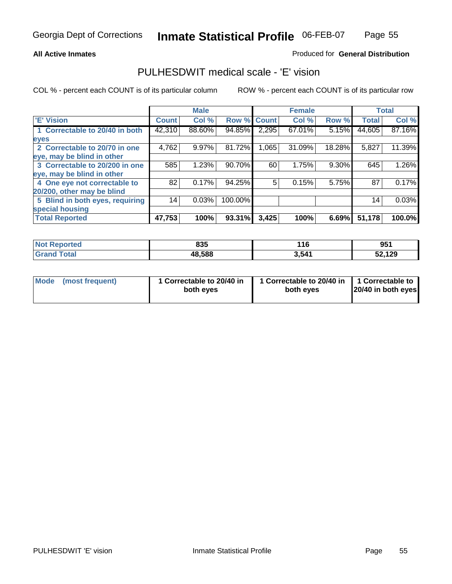#### **All Active Inmates**

### Produced for **General Distribution**

### PULHESDWIT medical scale - 'E' vision

|                                 |              | <b>Male</b> |             |       | <b>Female</b> |        |              | <b>Total</b> |
|---------------------------------|--------------|-------------|-------------|-------|---------------|--------|--------------|--------------|
| 'E' Vision                      | <b>Count</b> | Col %       | Row % Count |       | Col %         | Row %  | <b>Total</b> | Col %        |
| 1 Correctable to 20/40 in both  | 42,310       | 88.60%      | 94.85%      | 2,295 | 67.01%        | 5.15%  | 44,605       | 87.16%       |
| eyes                            |              |             |             |       |               |        |              |              |
| 2 Correctable to 20/70 in one   | 4,762        | 9.97%       | 81.72%      | 1,065 | 31.09%        | 18.28% | 5,827        | 11.39%       |
| eye, may be blind in other      |              |             |             |       |               |        |              |              |
| 3 Correctable to 20/200 in one  | 585          | 1.23%       | 90.70%      | 60    | 1.75%         | 9.30%  | 645          | 1.26%        |
| eye, may be blind in other      |              |             |             |       |               |        |              |              |
| 4 One eye not correctable to    | 82           | 0.17%       | 94.25%      | 5     | 0.15%         | 5.75%  | 87           | 0.17%        |
| 20/200, other may be blind      |              |             |             |       |               |        |              |              |
| 5 Blind in both eyes, requiring | 14           | 0.03%       | 100.00%     |       |               |        | 14           | 0.03%        |
| special housing                 |              |             |             |       |               |        |              |              |
| <b>Total Reported</b>           | 47,753       | 100%        | 93.31%      | 3,425 | 100%          | 6.69%  | 51,178       | 100.0%       |

| <b>Not Reported</b> | 835    | l 16  | 951    |
|---------------------|--------|-------|--------|
| Γota⊦<br>Gra        | 48,588 | 3,541 | 52,129 |

| Mode | (most frequent) | 1 Correctable to 20/40 in<br>both eves | 1 Correctable to 20/40 in   1 Correctable to<br>both eves | 20/40 in both eyes |
|------|-----------------|----------------------------------------|-----------------------------------------------------------|--------------------|
|------|-----------------|----------------------------------------|-----------------------------------------------------------|--------------------|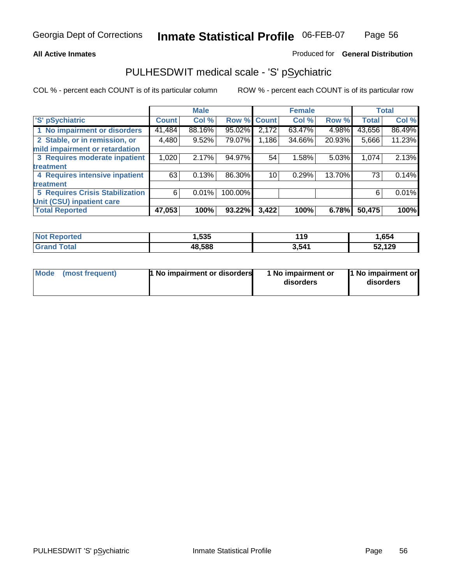#### **All Active Inmates**

#### Produced for **General Distribution**

### PULHESDWIT medical scale - 'S' pSychiatric

|                                        |              | <b>Male</b> |             |       | <b>Female</b> |        |              | <b>Total</b> |
|----------------------------------------|--------------|-------------|-------------|-------|---------------|--------|--------------|--------------|
| 'S' pSychiatric                        | <b>Count</b> | Col %       | Row % Count |       | Col %         | Row %  | <b>Total</b> | Col %        |
| 1 No impairment or disorders           | 41,484       | 88.16%      | 95.02%      | 2,172 | 63.47%        | 4.98%  | 43,656       | 86.49%       |
| 2 Stable, or in remission, or          | 4,480        | 9.52%       | 79.07%      | 1,186 | 34.66%        | 20.93% | 5,666        | 11.23%       |
| mild impairment or retardation         |              |             |             |       |               |        |              |              |
| 3 Requires moderate inpatient          | 1,020        | 2.17%       | 94.97%      | 54    | 1.58%         | 5.03%  | 1,074        | 2.13%        |
| treatment                              |              |             |             |       |               |        |              |              |
| 4 Requires intensive inpatient         | 63           | 0.13%       | 86.30%      | 10    | 0.29%         | 13.70% | 73           | 0.14%        |
| treatment                              |              |             |             |       |               |        |              |              |
| <b>5 Requires Crisis Stabilization</b> | 6            | 0.01%       | 100.00%     |       |               |        | 6            | 0.01%        |
| Unit (CSU) inpatient care              |              |             |             |       |               |        |              |              |
| <b>Total Reported</b>                  | 47,053       | 100%        | 93.22%      | 3,422 | 100%          | 6.78%  | 50,475       | 100%         |

| <b>Not Reported</b>          | ,535   | 119   | 1,654  |
|------------------------------|--------|-------|--------|
| <b>Total</b><br><b>Grand</b> | 48,588 | 3,541 | 52,129 |

| Mode (most frequent) | <b>1 No impairment or disorders</b> | 1 No impairment or<br>disorders | 1 No impairment or<br>disorders |
|----------------------|-------------------------------------|---------------------------------|---------------------------------|
|                      |                                     |                                 |                                 |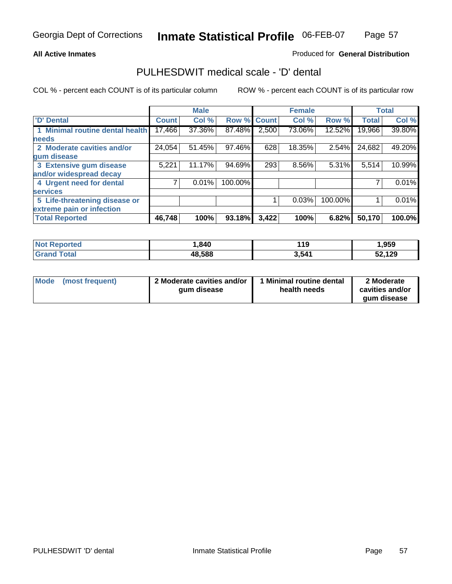#### **All Active Inmates**

### Produced for **General Distribution**

### PULHESDWIT medical scale - 'D' dental

|                                 |              | <b>Male</b> |             |       | <b>Female</b> |         |              | <b>Total</b> |
|---------------------------------|--------------|-------------|-------------|-------|---------------|---------|--------------|--------------|
| 'D' Dental                      | <b>Count</b> | Col %       | Row % Count |       | Col %         | Row %   | <b>Total</b> | Col %        |
| 1 Minimal routine dental health | 17,466       | 37.36%      | 87.48%      | 2,500 | 73.06%        | 12.52%  | 19,966       | 39.80%       |
| <b>needs</b>                    |              |             |             |       |               |         |              |              |
| 2 Moderate cavities and/or      | 24,054       | 51.45%      | 97.46%      | 628   | 18.35%        | 2.54%   | 24,682       | 49.20%       |
| gum disease                     |              |             |             |       |               |         |              |              |
| 3 Extensive gum disease         | 5,221        | 11.17%      | 94.69%      | 293   | 8.56%         | 5.31%   | 5,514        | 10.99%       |
| and/or widespread decay         |              |             |             |       |               |         |              |              |
| 4 Urgent need for dental        |              | 0.01%       | 100.00%     |       |               |         |              | 0.01%        |
| <b>services</b>                 |              |             |             |       |               |         |              |              |
| 5 Life-threatening disease or   |              |             |             |       | 0.03%         | 100.00% |              | 0.01%        |
| extreme pain or infection       |              |             |             |       |               |         |              |              |
| <b>Total Reported</b>           | 46,748       | 100%        | 93.18%      | 3,422 | 100%          | 6.82%   | 50,170       | 100.0%       |

| <b>Not Reported</b> | ,840   | 110<br>- 15 | ,959   |
|---------------------|--------|-------------|--------|
| Total<br>' Grand    | 48,588 | 3,541       | 52,129 |

| <b>Mode</b> | (most frequent) | 2 Moderate cavities and/or<br>qum disease | 1 Minimal routine dental<br>health needs | 2 Moderate<br>cavities and/or |
|-------------|-----------------|-------------------------------------------|------------------------------------------|-------------------------------|
|             |                 |                                           |                                          | qum disease                   |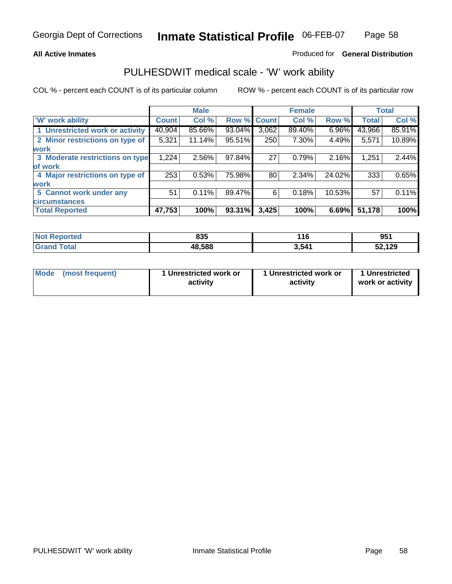#### **All Active Inmates**

#### Produced for **General Distribution**

### PULHESDWIT medical scale - 'W' work ability

|                                 |              | <b>Male</b> |        |             | <b>Female</b> |        |              | <b>Total</b> |
|---------------------------------|--------------|-------------|--------|-------------|---------------|--------|--------------|--------------|
| W' work ability                 | <b>Count</b> | Col %       |        | Row % Count | Col %         | Row %  | <b>Total</b> | Col %        |
| 1 Unrestricted work or activity | 40,904       | 85.66%      | 93.04% | 3,062       | 89.40%        | 6.96%  | 43,966       | 85.91%       |
| 2 Minor restrictions on type of | 5,321        | 11.14%      | 95.51% | 250         | 7.30%         | 4.49%  | 5,571        | 10.89%       |
| <b>work</b>                     |              |             |        |             |               |        |              |              |
| 3 Moderate restrictions on type | 1,224        | 2.56%       | 97.84% | 27          | 0.79%         | 2.16%  | 1,251        | 2.44%        |
| of work                         |              |             |        |             |               |        |              |              |
| 4 Major restrictions on type of | 253          | 0.53%       | 75.98% | 80          | 2.34%         | 24.02% | 333          | 0.65%        |
| <b>work</b>                     |              |             |        |             |               |        |              |              |
| 5 Cannot work under any         | 51           | 0.11%       | 89.47% | 6           | 0.18%         | 10.53% | 57           | 0.11%        |
| <b>circumstances</b>            |              |             |        |             |               |        |              |              |
| <b>Total Reported</b>           | 47,753       | 100%        | 93.31% | 3,425       | 100%          | 6.69%  | 51,178       | 100%         |

| <b>Not Reported</b>          | 835    | 116   | 951    |
|------------------------------|--------|-------|--------|
| <b>Total</b><br><b>Grand</b> | 48,588 | 3,541 | 52,129 |

| Mode | (most frequent) | 1 Unrestricted work or<br>activity | 1 Unrestricted work or<br>activity | 1 Unrestricted<br>work or activity |
|------|-----------------|------------------------------------|------------------------------------|------------------------------------|
|------|-----------------|------------------------------------|------------------------------------|------------------------------------|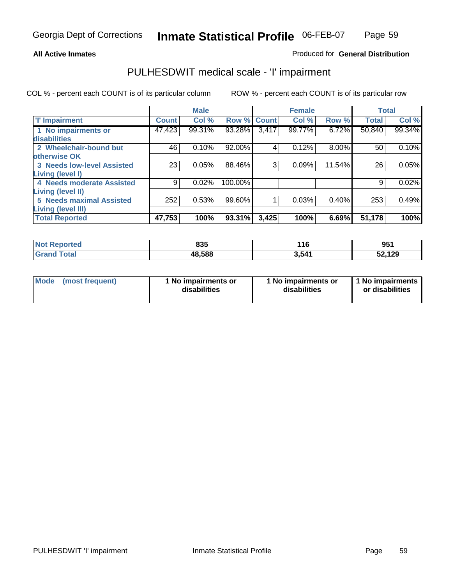### **All Active Inmates**

### Produced for **General Distribution**

### PULHESDWIT medical scale - 'I' impairment

|                                   |              | <b>Male</b> |         |              | <b>Female</b> |        | <b>Total</b> |        |
|-----------------------------------|--------------|-------------|---------|--------------|---------------|--------|--------------|--------|
| <b>T' Impairment</b>              | <b>Count</b> | Col %       | Row %   | <b>Count</b> | Col %         | Row %  | <b>Total</b> | Col %  |
| 1 No impairments or               | 47,423       | 99.31%      | 93.28%  | 3,417        | 99.77%        | 6.72%  | 50,840       | 99.34% |
| disabilities                      |              |             |         |              |               |        |              |        |
| 2 Wheelchair-bound but            | 46           | 0.10%       | 92.00%  | 4            | 0.12%         | 8.00%  | 50           | 0.10%  |
| <b>lotherwise OK</b>              |              |             |         |              |               |        |              |        |
| <b>3 Needs low-level Assisted</b> | 23           | 0.05%       | 88.46%  | 3            | 0.09%         | 11.54% | 26           | 0.05%  |
| Living (level I)                  |              |             |         |              |               |        |              |        |
| 4 Needs moderate Assisted         | 9            | 0.02%       | 100.00% |              |               |        | 9            | 0.02%  |
| Living (level II)                 |              |             |         |              |               |        |              |        |
| <b>5 Needs maximal Assisted</b>   | 252          | 0.53%       | 99.60%  |              | 0.03%         | 0.40%  | 253          | 0.49%  |
| Living (level III)                |              |             |         |              |               |        |              |        |
| <b>Total Reported</b>             | 47,753       | 100%        | 93.31%  | 3,425        | 100%          | 6.69%  | 51,178       | 100%   |

| N <sub>O</sub><br><b>Reported</b> | 835    | 116   | <b>OE1</b><br>່ ວິວ . |
|-----------------------------------|--------|-------|-----------------------|
| `otal<br>Gra                      | 48.588 | 3,541 | ,129<br>v             |

| Mode            | 1 No impairments or | 1 No impairments or | 1 No impairments |
|-----------------|---------------------|---------------------|------------------|
| (most frequent) | disabilities        | disabilities        | or disabilities  |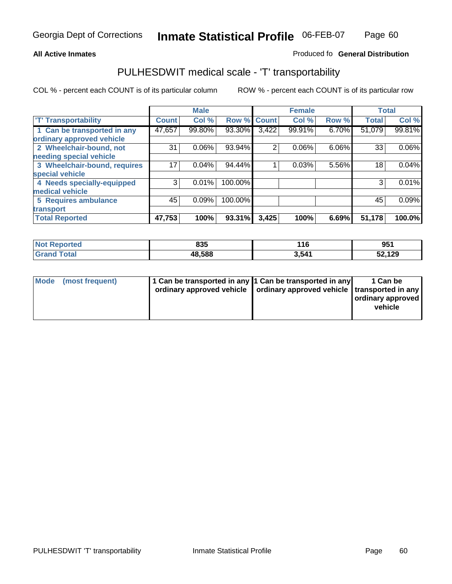#### **Inmate Statistical Profile** 06-FEB-07 Page Page 60

### **All Active Inmates Allowski** Produced fo **General Distribution**

### PULHESDWIT medical scale - 'T' transportability

|                              |              | <b>Male</b> |         |              | <b>Female</b> |       | <b>Total</b> |        |
|------------------------------|--------------|-------------|---------|--------------|---------------|-------|--------------|--------|
| <b>T' Transportability</b>   | <b>Count</b> | Col %       | Row %   | <b>Count</b> | Col %         | Row % | <b>Total</b> | Col %  |
| 1 Can be transported in any  | 47,657       | 99.80%      | 93.30%  | 3,422        | 99.91%        | 6.70% | 51,079       | 99.81% |
| ordinary approved vehicle    |              |             |         |              |               |       |              |        |
| 2 Wheelchair-bound, not      | 31           | 0.06%       | 93.94%  | 2            | 0.06%         | 6.06% | 33           | 0.06%  |
| needing special vehicle      |              |             |         |              |               |       |              |        |
| 3 Wheelchair-bound, requires | 17           | 0.04%       | 94.44%  |              | 0.03%         | 5.56% | 18           | 0.04%  |
| special vehicle              |              |             |         |              |               |       |              |        |
| 4 Needs specially-equipped   | 3            | 0.01%       | 100.00% |              |               |       | 3            | 0.01%  |
| medical vehicle              |              |             |         |              |               |       |              |        |
| <b>5 Requires ambulance</b>  | 45           | 0.09%       | 100.00% |              |               |       | 45           | 0.09%  |
| transport                    |              |             |         |              |               |       |              |        |
| <b>Total Reported</b>        | 47,753       | 100%        | 93.31%  | 3,425        | 100%          | 6.69% | 51,178       | 100.0% |

| $'$ Not $_1$       | 835    | 116    | ለፍላ    |
|--------------------|--------|--------|--------|
| <b>Reported</b>    |        | $\sim$ | ີ ວ∪ ເ |
| <b>Grand Total</b> | 48,588 | 3,541  | 52,129 |

| Mode (most frequent) | 1 Can be transported in any 1 Can be transported in any | ordinary approved vehicle   ordinary approved vehicle   transported in any | 1 Can be<br>ordinary approved<br>vehicle |
|----------------------|---------------------------------------------------------|----------------------------------------------------------------------------|------------------------------------------|
|                      |                                                         |                                                                            |                                          |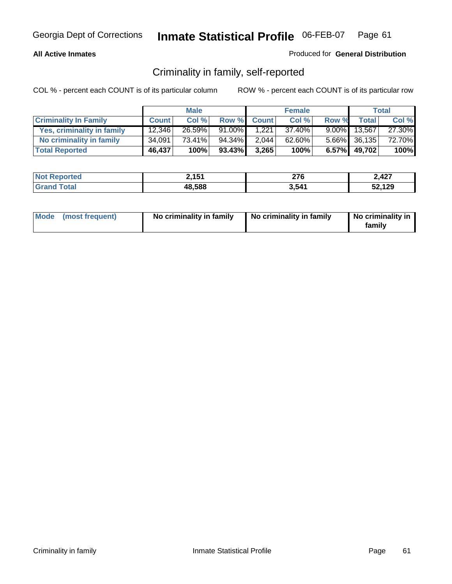### **All Active Inmates**

### Produced for **General Distribution**

### Criminality in family, self-reported

|                              |              | <b>Male</b> |           |              | <b>Female</b> |          |                 | <b>Total</b> |
|------------------------------|--------------|-------------|-----------|--------------|---------------|----------|-----------------|--------------|
| <b>Criminality In Family</b> | <b>Count</b> | Col %       | Row %     | <b>Count</b> | Col %         | Row %    | <b>Total</b>    | Col %        |
| Yes, criminality in family   | 12,346       | 26.59%      | $91.00\%$ | 1.221        | $37.40\%$     | $9.00\%$ | 13,567          | 27.30%       |
| No criminality in family     | 34,091       | 73.41%      | 94.34%    | 2,044        | $62.60\%$     |          | $5.66\%$ 36,135 | 72.70%       |
| <b>Total Reported</b>        | 46,437       | 100%        | $93.43\%$ | 3,265        | 100%          | 6.57%    | 49,702          | 100%         |

| <b>Not</b><br><b>Reported</b> | 151<br>2. IJ I | 276   | 2,427  |
|-------------------------------|----------------|-------|--------|
| Cotal                         | 48,588         | 3,541 | 52,129 |

| Mode (most frequent) |  | No criminality in family | No criminality in family | No criminality in<br>family |
|----------------------|--|--------------------------|--------------------------|-----------------------------|
|----------------------|--|--------------------------|--------------------------|-----------------------------|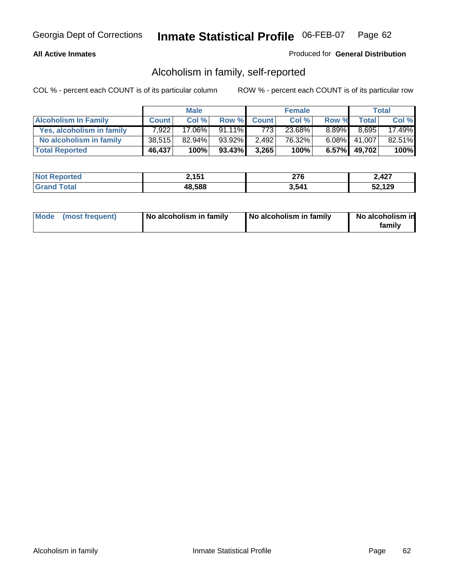### **All Active Inmates**

### Produced for **General Distribution**

### Alcoholism in family, self-reported

|                             |              | <b>Male</b> |           |              | <b>Female</b> |          |                 | <b>Total</b> |
|-----------------------------|--------------|-------------|-----------|--------------|---------------|----------|-----------------|--------------|
| <b>Alcoholism In Family</b> | <b>Count</b> | Col %       | Row %     | <b>Count</b> | Col %         | Row %    | <b>Total</b>    | Col %        |
| Yes, alcoholism in family   | 7.922        | 17.06%      | 91.11%    | 773          | 23.68%        | $8.89\%$ | 8.695           | 17.49%       |
| No alcoholism in family     | 38,515       | $82.94\%$   | 93.92%    | 2,492        | 76.32%        |          | 6.08% 41,007    | 82.51%       |
| <b>Total Reported</b>       | 46,437       | 100%        | $93.43\%$ | 3,265        | 100%          |          | $6.57\%$ 49,702 | 100%         |

| <b>Not Reported</b>   | 2,151  | 276   | 2,427  |
|-----------------------|--------|-------|--------|
| Total<br><b>Grand</b> | 48,588 | 3,541 | 52,129 |

|  | Mode (most frequent) | No alcoholism in family | No alcoholism in family | No alcoholism in<br>family |
|--|----------------------|-------------------------|-------------------------|----------------------------|
|--|----------------------|-------------------------|-------------------------|----------------------------|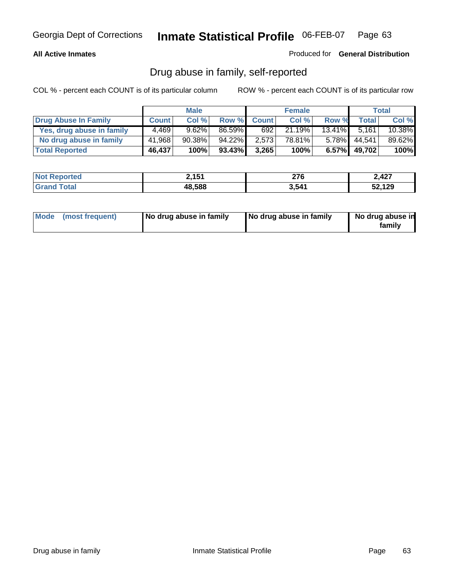### **All Active Inmates**

Produced for **General Distribution**

### Drug abuse in family, self-reported

|                           |              | <b>Male</b> |        |              | <b>Female</b> |          |              | <b>Total</b> |
|---------------------------|--------------|-------------|--------|--------------|---------------|----------|--------------|--------------|
| Drug Abuse In Family      | <b>Count</b> | Col %       | Row %  | <b>Count</b> | Col %         | Row %    | <b>Total</b> | Col %        |
| Yes, drug abuse in family | 4.469        | 9.62%       | 86.59% | 692          | 21.19%        | 13.41%   | 5.161        | 10.38%       |
| No drug abuse in family   | 41,968       | $90.38\%$   | 94.22% | 2,573        | 78.81%        | $5.78\%$ | 44.541       | 89.62%       |
| <b>Total Reported</b>     | 46,437       | 100%        | 93.43% | 3,265        | 100%          |          | 6.57% 49,702 | 100%         |

| <b>Not Reported</b>   | 2,151  | 276   | 2,427  |
|-----------------------|--------|-------|--------|
| Total<br><b>Grand</b> | 48,588 | 3,541 | 52,129 |

|  | Mode (most frequent) | No drug abuse in family | No drug abuse in family | No drug abuse in<br>family |
|--|----------------------|-------------------------|-------------------------|----------------------------|
|--|----------------------|-------------------------|-------------------------|----------------------------|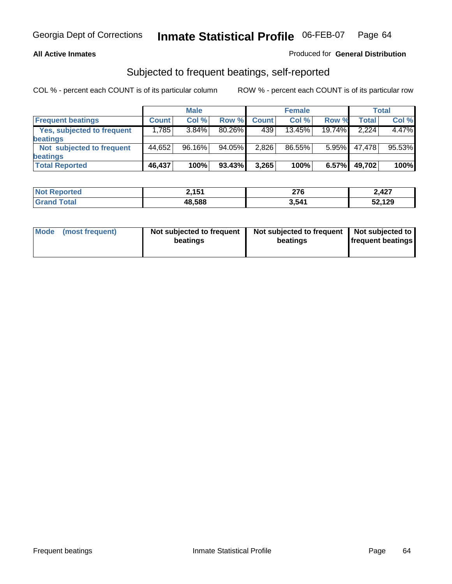#### **All Active Inmates**

### Produced for **General Distribution**

### Subjected to frequent beatings, self-reported

|                                   |              | <b>Male</b> |           |              | <b>Female</b> |          |        | Total  |
|-----------------------------------|--------------|-------------|-----------|--------------|---------------|----------|--------|--------|
| <b>Frequent beatings</b>          | <b>Count</b> | Col %       | Row %     | <b>Count</b> | Col %         | Row %    | Total  | Col %  |
| <b>Yes, subjected to frequent</b> | 1,785        | 3.84%       | $80.26\%$ | 439          | 13.45%        | 19.74%   | 2.224  | 4.47%  |
| beatings                          |              |             |           |              |               |          |        |        |
| Not subjected to frequent         | 44,652       | 96.16%      | 94.05%    | 2,826        | 86.55%        | $5.95\%$ | 47,478 | 95.53% |
| beatings                          |              |             |           |              |               |          |        |        |
| <b>Total Reported</b>             | 46,437       | 100%        | 93.43%    | 3,265        | 100%          | 6.57%    | 49,702 | 100%   |

| N <sub>0</sub><br>rted | , 454<br>2, I J I | 276   | 2,427  |
|------------------------|-------------------|-------|--------|
| $f \wedge f \wedge f$  | 48,588            | 3,541 | 52,129 |

| Mode (most frequent) | Not subjected to frequent<br>beatings | Not subjected to frequent<br>beatings | Not subjected to<br>frequent beatings |  |
|----------------------|---------------------------------------|---------------------------------------|---------------------------------------|--|
|                      |                                       |                                       |                                       |  |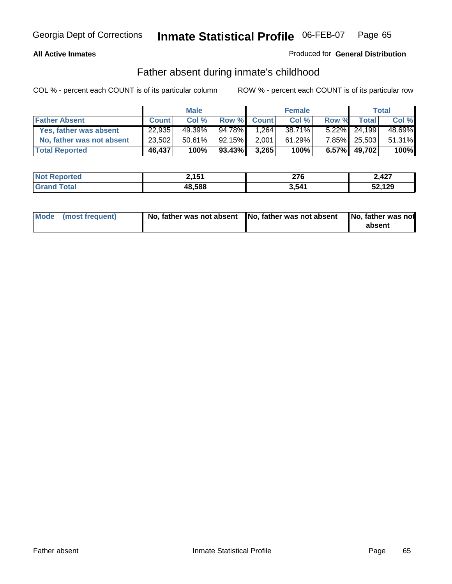#### **All Active Inmates**

### Produced for **General Distribution**

### Father absent during inmate's childhood

|                           | <b>Male</b>  |           | <b>Female</b> |              |        | Total    |              |        |
|---------------------------|--------------|-----------|---------------|--------------|--------|----------|--------------|--------|
| <b>Father Absent</b>      | <b>Count</b> | Col %     | Row %         | <b>Count</b> | Col%   | Row %    | Total        | Col %  |
| Yes, father was absent    | 22,935       | 49.39%    | 94.78%        | .264         | 38.71% | $5.22\%$ | 24.199       | 48.69% |
| No, father was not absent | 23,502       | $50.61\%$ | 92.15%        | 2,001        | 61.29% |          | 7.85% 25,503 | 51.31% |
| <b>Total Reported</b>     | 46,437       | 100%      | 93.43%        | 3,265        | 100%   | $6.57\%$ | 49,702       | 100%   |

| <b>Not Reported</b> | 2,151  | 276   | 2,427  |
|---------------------|--------|-------|--------|
| <b>Grand Total</b>  | 48,588 | 3,541 | 52,129 |

| Mode (most frequent) |  | 「No, father was not absent ┃No, father was not absent ┃No, father was not | absent |
|----------------------|--|---------------------------------------------------------------------------|--------|
|----------------------|--|---------------------------------------------------------------------------|--------|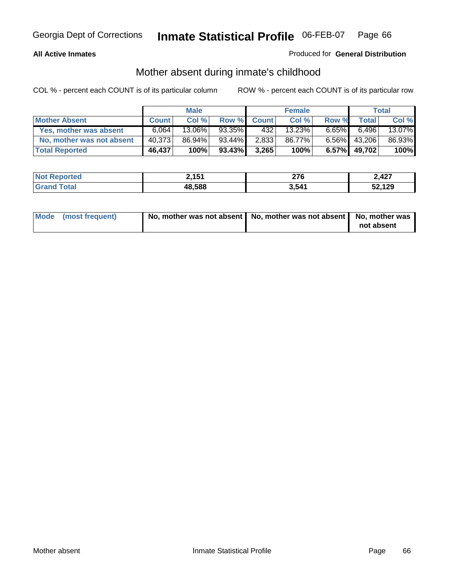#### **All Active Inmates**

### Produced for **General Distribution**

### Mother absent during inmate's childhood

|                           |              | <b>Male</b> |           |              | <b>Female</b> |          |        | Total  |
|---------------------------|--------------|-------------|-----------|--------------|---------------|----------|--------|--------|
| <b>Mother Absent</b>      | <b>Count</b> | Col %       | Row %     | <b>Count</b> | Col %         | Row %    | Total  | Col %  |
| Yes, mother was absent    | 6.064        | 13.06%      | 93.35%    | 4321         | 13.23%        | $6.65\%$ | 6.496  | 13.07% |
| No, mother was not absent | 40,373       | 86.94%      | $93.44\%$ | 2,833        | 86.77%        | $6.56\%$ | 43,206 | 86.93% |
| <b>Total Reported</b>     | 46,437       | 100%        | 93.43%    | 3,265        | 100%          | $6.57\%$ | 49,702 | 100%   |

| <b>Not Reported</b> | 2,151  | 276   | 2,427  |
|---------------------|--------|-------|--------|
| <b>Grand Total</b>  | 48,588 | 3,541 | 52,129 |

| Mode (most frequent) | No, mother was not absent   No, mother was not absent   No, mother was | not absent |
|----------------------|------------------------------------------------------------------------|------------|
|----------------------|------------------------------------------------------------------------|------------|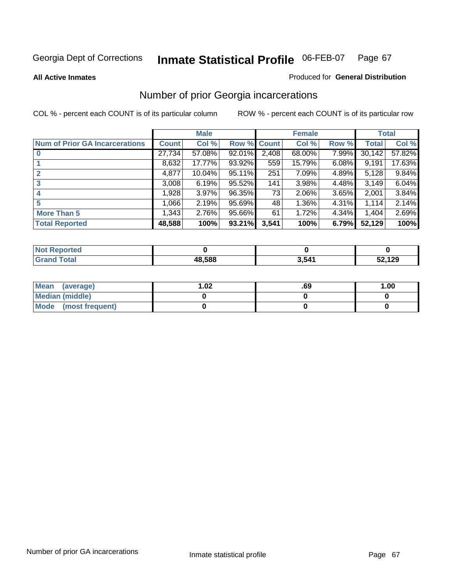#### **All Active Inmates**

#### Produced for **General Distribution**

# Number of prior Georgia incarcerations

|                                       |              | <b>Male</b> |        |              | <b>Female</b> |       |        | <b>Total</b> |
|---------------------------------------|--------------|-------------|--------|--------------|---------------|-------|--------|--------------|
| <b>Num of Prior GA Incarcerations</b> | <b>Count</b> | Col %       | Row %  | <b>Count</b> | Col %         | Row % | Total  | Col %        |
| $\bf{0}$                              | 27,734       | 57.08%      | 92.01% | 2,408        | 68.00%        | 7.99% | 30,142 | 57.82%       |
|                                       | 8,632        | 17.77%      | 93.92% | 559          | 15.79%        | 6.08% | 9,191  | 17.63%       |
|                                       | 4,877        | 10.04%      | 95.11% | 251          | 7.09%         | 4.89% | 5,128  | 9.84%        |
| 3                                     | 3,008        | 6.19%       | 95.52% | 141          | 3.98%         | 4.48% | 3.149  | 6.04%        |
|                                       | 1,928        | 3.97%       | 96.35% | 73           | 2.06%         | 3.65% | 2,001  | 3.84%        |
| 5                                     | 1,066        | 2.19%       | 95.69% | 48           | 1.36%         | 4.31% | 1,114  | 2.14%        |
| <b>More Than 5</b>                    | 1,343        | 2.76%       | 95.66% | 61           | 1.72%         | 4.34% | 1.404  | 2.69%        |
| <b>Total Reported</b>                 | 48,588       | 100%        | 93.21% | 3,541        | 100%          | 6.79% | 52,129 | 100%         |

| w              |        |      |        |
|----------------|--------|------|--------|
| . 625<br>_____ | 48.588 | .541 | 52,129 |

| Mean (average)       | l.O2 | .69 | 1.00 |
|----------------------|------|-----|------|
| Median (middle)      |      |     |      |
| Mode (most frequent) |      |     |      |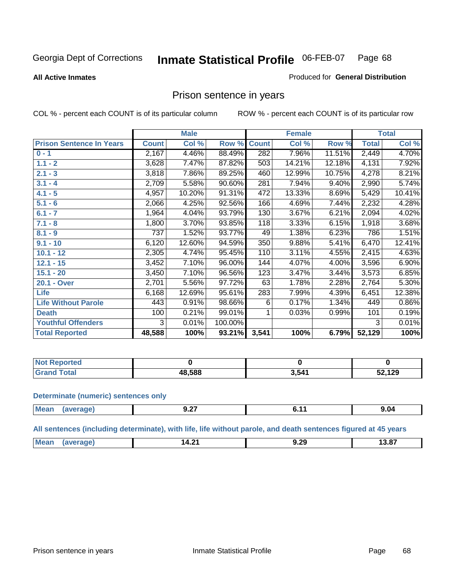#### **All Active Inmates**

#### Produced for **General Distribution**

### Prison sentence in years

COL % - percent each COUNT is of its particular column ROW % - percent each COUNT is of its particular row

|                                 |              | <b>Male</b> |         |              | <b>Female</b> |        |                    | <b>Total</b> |
|---------------------------------|--------------|-------------|---------|--------------|---------------|--------|--------------------|--------------|
| <b>Prison Sentence In Years</b> | <b>Count</b> | Col %       | Row %   | <b>Count</b> | Col %         | Row %  | <b>Total</b>       | Col %        |
| $0 - 1$                         | 2,167        | 4.46%       | 88.49%  | 282          | 7.96%         | 11.51% | 2,449              | 4.70%        |
| $1.1 - 2$                       | 3,628        | 7.47%       | 87.82%  | 503          | 14.21%        | 12.18% | 4,131              | 7.92%        |
| $2.1 - 3$                       | 3,818        | 7.86%       | 89.25%  | 460          | 12.99%        | 10.75% | 4,278              | 8.21%        |
| $3.1 - 4$                       | 2,709        | 5.58%       | 90.60%  | 281          | 7.94%         | 9.40%  | $\overline{2,}990$ | 5.74%        |
| $4.1 - 5$                       | 4,957        | 10.20%      | 91.31%  | 472          | 13.33%        | 8.69%  | 5,429              | 10.41%       |
| $5.1 - 6$                       | 2,066        | 4.25%       | 92.56%  | 166          | 4.69%         | 7.44%  | 2,232              | 4.28%        |
| $6.1 - 7$                       | 1,964        | 4.04%       | 93.79%  | 130          | 3.67%         | 6.21%  | 2,094              | 4.02%        |
| $7.1 - 8$                       | 1,800        | 3.70%       | 93.85%  | 118          | 3.33%         | 6.15%  | 1,918              | 3.68%        |
| $8.1 - 9$                       | 737          | 1.52%       | 93.77%  | 49           | 1.38%         | 6.23%  | 786                | 1.51%        |
| $9.1 - 10$                      | 6,120        | 12.60%      | 94.59%  | 350          | 9.88%         | 5.41%  | 6,470              | 12.41%       |
| $10.1 - 12$                     | 2,305        | 4.74%       | 95.45%  | 110          | 3.11%         | 4.55%  | 2,415              | 4.63%        |
| $12.1 - 15$                     | 3,452        | 7.10%       | 96.00%  | 144          | 4.07%         | 4.00%  | 3,596              | 6.90%        |
| $15.1 - 20$                     | 3,450        | 7.10%       | 96.56%  | 123          | 3.47%         | 3.44%  | 3,573              | 6.85%        |
| 20.1 - Over                     | 2,701        | 5.56%       | 97.72%  | 63           | 1.78%         | 2.28%  | 2,764              | 5.30%        |
| <b>Life</b>                     | 6,168        | 12.69%      | 95.61%  | 283          | 7.99%         | 4.39%  | 6,451              | 12.38%       |
| <b>Life Without Parole</b>      | 443          | 0.91%       | 98.66%  | 6            | 0.17%         | 1.34%  | 449                | 0.86%        |
| <b>Death</b>                    | 100          | 0.21%       | 99.01%  |              | 0.03%         | 0.99%  | 101                | 0.19%        |
| <b>Youthful Offenders</b>       | 3            | 0.01%       | 100.00% |              |               |        | 3                  | 0.01%        |
| <b>Total Reported</b>           | 48,588       | 100%        | 93.21%  | 3,541        | 100%          | 6.79%  | 52,129             | 100%         |

| Reported<br>I NOT               |        |       |        |
|---------------------------------|--------|-------|--------|
| <b>Total</b><br>. Gr $\epsilon$ | 48.588 | 3,541 | 52,129 |

#### **Determinate (numeric) sentences only**

| Mear | тапе.<br>-- | $-2$<br>$J - I$ | . | $\sim$<br>9.04 |
|------|-------------|-----------------|---|----------------|
|      |             |                 |   |                |

**All sentences (including determinate), with life, life without parole, and death sentences figured at 45 years**

| $-$                                              |           |           |  |
|--------------------------------------------------|-----------|-----------|--|
| -<br>J.ZJ<br>$-1.4$<br>. <b>.</b><br>___<br>____ | <b>Me</b> | . .<br>ıл |  |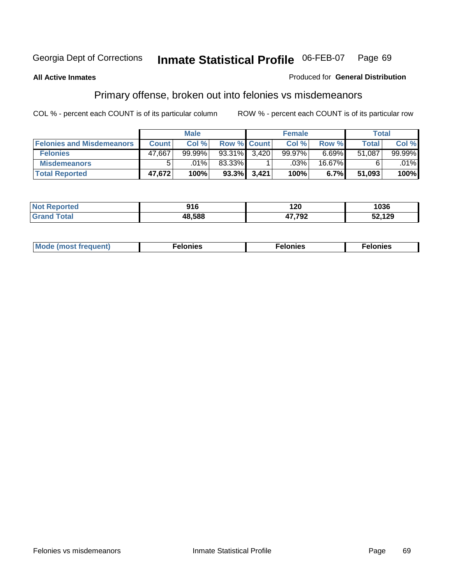**All Active Inmates**

#### Produced for **General Distribution**

### Primary offense, broken out into felonies vs misdemeanors

COL % - percent each COUNT is of its particular column ROW % - percent each COUNT is of its particular row

|                                  |              | <b>Male</b> |                    |       | <b>Female</b> |          |              | Total  |
|----------------------------------|--------------|-------------|--------------------|-------|---------------|----------|--------------|--------|
| <b>Felonies and Misdemeanors</b> | <b>Count</b> | Col %       | <b>Row % Count</b> |       | Col %         | Row %    | <b>Total</b> | Col %  |
| <b>Felonies</b>                  | 47.667       | $99.99\%$   | 93.31%             | 3.420 | 99.97%        | $6.69\%$ | 51.087       | 99.99% |
| <b>Misdemeanors</b>              |              | $.01\%$     | 83.33%             |       | $.03\%$       | 16.67%   |              | .01%   |

| <b>Not</b>   | 04 C   | ^^^         | 1036   |
|--------------|--------|-------------|--------|
| <b>orted</b> | JIV    | 1 Z U       |        |
| Grs          | 48.588 | 7700<br>-34 | 52,129 |

 **Total Reported 47,672 100% 93.3% 3,421 100% 6.7% 51,093 100%** 

| Mode (most frequent) | elonies | elonies | Nonies |
|----------------------|---------|---------|--------|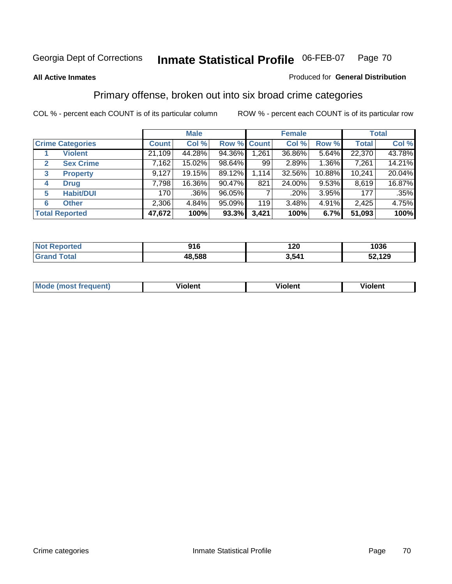#### **All Active Inmates**

#### Produced for **General Distribution**

### Primary offense, broken out into six broad crime categories

|                                  |              | <b>Male</b> |             |       | <b>Female</b> |          |              | <b>Total</b> |
|----------------------------------|--------------|-------------|-------------|-------|---------------|----------|--------------|--------------|
| <b>Crime Categories</b>          | <b>Count</b> | Col %       | Row % Count |       | Col %         | Row %    | <b>Total</b> | Col %        |
| <b>Violent</b>                   | 21,109       | 44.28%      | 94.36%      | 1,261 | 36.86%        | 5.64%    | 22,370       | 43.78%       |
| <b>Sex Crime</b><br>$\mathbf{2}$ | 7,162        | 15.02%      | 98.64%      | 99    | 2.89%         | 1.36%    | 7,261        | 14.21%       |
| $\mathbf{3}$<br><b>Property</b>  | 9,127        | 19.15%      | 89.12%      | 1,114 | 32.56%        | 10.88%   | 10,241       | 20.04%       |
| <b>Drug</b><br>4                 | 7,798        | 16.36%      | 90.47%      | 821   | 24.00%        | $9.53\%$ | 8,619        | 16.87%       |
| <b>Habit/DUI</b><br>5            | 170          | $.36\%$     | 96.05%      |       | .20%          | 3.95%    | 177          | .35%         |
| <b>Other</b><br>6                | 2,306        | 4.84%       | 95.09%      | 119   | 3.48%         | 4.91%    | 2,425        | 4.75%        |
| <b>Total Reported</b>            | 47,672       | 100%        | 93.3%       | 3,421 | 100%          | 6.7%     | 51,093       | 100%         |

| orted<br>N  | 01c<br>ס ו ש | 120   | 1036   |
|-------------|--------------|-------|--------|
| <b>otal</b> | 48,588       | 3.541 | 52,129 |

|  | <b>Mou</b><br>--- | .<br>วlent | ---<br>olent | ≀lent<br>-------- |
|--|-------------------|------------|--------------|-------------------|
|--|-------------------|------------|--------------|-------------------|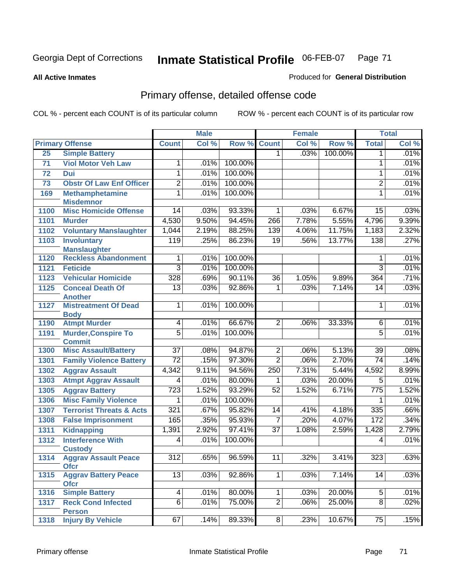#### **All Active Inmates**

### Produced for **General Distribution**

# Primary offense, detailed offense code

|      |                                            |                  | <b>Male</b> |         |                 | <b>Female</b> |         |                  | <b>Total</b> |
|------|--------------------------------------------|------------------|-------------|---------|-----------------|---------------|---------|------------------|--------------|
|      | <b>Primary Offense</b>                     | <b>Count</b>     | Col %       | Row %   | <b>Count</b>    | Col %         | Row %   | <b>Total</b>     | Col %        |
| 25   | <b>Simple Battery</b>                      |                  |             |         | 1 <sup>1</sup>  | .03%          | 100.00% | $\mathbf 1$      | .01%         |
| 71   | <b>Viol Motor Veh Law</b>                  | 1                | .01%        | 100.00% |                 |               |         | 1                | .01%         |
| 72   | <b>Dui</b>                                 | 1                | .01%        | 100.00% |                 |               |         | 1                | .01%         |
| 73   | <b>Obstr Of Law Enf Officer</b>            | $\overline{2}$   | .01%        | 100.00% |                 |               |         | $\overline{2}$   | .01%         |
| 169  | <b>Methamphetamine</b>                     | 1                | .01%        | 100.00% |                 |               |         | 1                | .01%         |
|      | <b>Misdemnor</b>                           |                  |             |         |                 |               |         |                  |              |
| 1100 | <b>Misc Homicide Offense</b>               | $\overline{14}$  | .03%        | 93.33%  | 1               | .03%          | 6.67%   | 15               | .03%         |
| 1101 | <b>Murder</b>                              | 4,530            | 9.50%       | 94.45%  | 266             | 7.78%         | 5.55%   | 4,796            | 9.39%        |
| 1102 | <b>Voluntary Manslaughter</b>              | 1,044            | 2.19%       | 88.25%  | 139             | 4.06%         | 11.75%  | 1,183            | 2.32%        |
| 1103 | <b>Involuntary</b>                         | $\overline{119}$ | .25%        | 86.23%  | $\overline{19}$ | .56%          | 13.77%  | 138              | .27%         |
|      | <b>Manslaughter</b>                        |                  |             |         |                 |               |         |                  |              |
| 1120 | <b>Reckless Abandonment</b>                | 1                | .01%        | 100.00% |                 |               |         | 1                | .01%         |
| 1121 | <b>Feticide</b>                            | $\overline{3}$   | .01%        | 100.00% |                 |               |         | $\overline{3}$   | .01%         |
| 1123 | <b>Vehicular Homicide</b>                  | 328              | .69%        | 90.11%  | $\overline{36}$ | 1.05%         | 9.89%   | 364              | .71%         |
| 1125 | <b>Conceal Death Of</b><br><b>Another</b>  | 13               | .03%        | 92.86%  | 1               | .03%          | 7.14%   | 14               | .03%         |
| 1127 | <b>Mistreatment Of Dead</b>                | 1                | .01%        | 100.00% |                 |               |         | 1                | .01%         |
|      | <b>Body</b>                                |                  |             |         |                 |               |         |                  |              |
| 1190 | <b>Atmpt Murder</b>                        | 4                | .01%        | 66.67%  | $\overline{2}$  | .06%          | 33.33%  | 6                | .01%         |
| 1191 | <b>Murder, Conspire To</b>                 | $\overline{5}$   | .01%        | 100.00% |                 |               |         | $\overline{5}$   | .01%         |
|      | <b>Commit</b>                              |                  |             |         |                 |               |         |                  |              |
| 1300 | <b>Misc Assault/Battery</b>                | $\overline{37}$  | .08%        | 94.87%  | $\overline{2}$  | .06%          | 5.13%   | 39               | .08%         |
| 1301 | <b>Family Violence Battery</b>             | $\overline{72}$  | .15%        | 97.30%  | $\overline{2}$  | .06%          | 2.70%   | 74               | .14%         |
| 1302 | <b>Aggrav Assault</b>                      | 4,342            | 9.11%       | 94.56%  | 250             | 7.31%         | 5.44%   | 4,592            | 8.99%        |
| 1303 | <b>Atmpt Aggrav Assault</b>                | $\overline{4}$   | .01%        | 80.00%  | 1               | .03%          | 20.00%  | $\overline{5}$   | .01%         |
| 1305 | <b>Aggrav Battery</b>                      | $\overline{723}$ | 1.52%       | 93.29%  | 52              | 1.52%         | 6.71%   | $\overline{775}$ | 1.52%        |
| 1306 | <b>Misc Family Violence</b>                | 1                | .01%        | 100.00% |                 |               |         | 1                | .01%         |
| 1307 | <b>Terrorist Threats &amp; Acts</b>        | 321              | .67%        | 95.82%  | 14              | .41%          | 4.18%   | 335              | .66%         |
| 1308 | <b>False Imprisonment</b>                  | 165              | .35%        | 95.93%  | $\overline{7}$  | .20%          | 4.07%   | 172              | .34%         |
| 1311 | <b>Kidnapping</b>                          | 1,391            | 2.92%       | 97.41%  | $\overline{37}$ | 1.08%         | 2.59%   | 1,428            | 2.79%        |
| 1312 | <b>Interference With</b>                   | 4                | .01%        | 100.00% |                 |               |         | 4                | .01%         |
|      | <b>Custody</b>                             |                  |             |         |                 |               |         |                  |              |
| 1314 | <b>Aggrav Assault Peace</b>                | $\overline{312}$ | .65%        | 96.59%  | 11              | $32\%$        | 3.41%   | 323              | .63%         |
| 1315 | <b>Ofcr</b><br><b>Aggrav Battery Peace</b> | 13               | .03%        | 92.86%  | 1               | .03%          | 7.14%   | 14               | .03%         |
|      | <b>Ofcr</b>                                |                  |             |         |                 |               |         |                  |              |
| 1316 | <b>Simple Battery</b>                      | 4                | .01%        | 80.00%  | 1               | .03%          | 20.00%  | 5                | .01%         |
| 1317 | <b>Reck Cond Infected</b>                  | $\overline{6}$   | .01%        | 75.00%  | $\overline{2}$  | .06%          | 25.00%  | 8                | .02%         |
|      | <b>Person</b>                              |                  |             |         |                 |               |         |                  |              |
| 1318 | <b>Injury By Vehicle</b>                   | 67               | .14%        | 89.33%  | 8               | .23%          | 10.67%  | 75               | .15%         |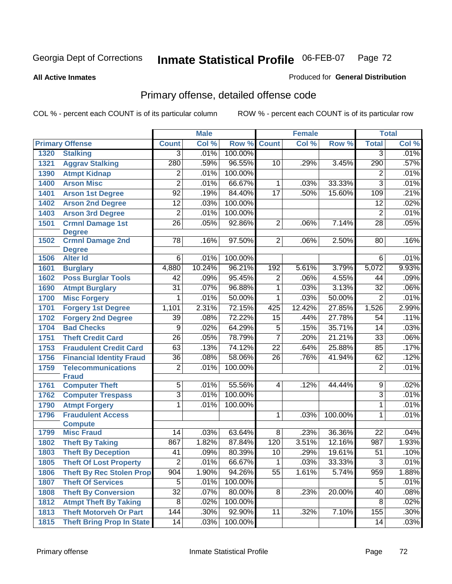**All Active Inmates**

#### Produced for **General Distribution**

# Primary offense, detailed offense code

|      |                                            |                 | <b>Male</b> |         |                 | <b>Female</b> |         |                 | <b>Total</b> |
|------|--------------------------------------------|-----------------|-------------|---------|-----------------|---------------|---------|-----------------|--------------|
|      | <b>Primary Offense</b>                     | <b>Count</b>    | Col %       | Row %   | <b>Count</b>    | Col %         | Row %   | <b>Total</b>    | Col %        |
| 1320 | <b>Stalking</b>                            | $\overline{3}$  | .01%        | 100.00% |                 |               |         | $\overline{3}$  | .01%         |
| 1321 | <b>Aggrav Stalking</b>                     | 280             | .59%        | 96.55%  | 10              | .29%          | 3.45%   | 290             | .57%         |
| 1390 | <b>Atmpt Kidnap</b>                        | $\overline{2}$  | .01%        | 100.00% |                 |               |         | $\overline{2}$  | .01%         |
| 1400 | <b>Arson Misc</b>                          | $\overline{2}$  | .01%        | 66.67%  | 1               | .03%          | 33.33%  | $\overline{3}$  | .01%         |
| 1401 | <b>Arson 1st Degree</b>                    | $\overline{92}$ | .19%        | 84.40%  | $\overline{17}$ | .50%          | 15.60%  | 109             | .21%         |
| 1402 | <b>Arson 2nd Degree</b>                    | $\overline{12}$ | .03%        | 100.00% |                 |               |         | $\overline{12}$ | .02%         |
| 1403 | <b>Arson 3rd Degree</b>                    | $\overline{2}$  | .01%        | 100.00% |                 |               |         | $\overline{2}$  | .01%         |
| 1501 | <b>Crmnl Damage 1st</b>                    | $\overline{26}$ | .05%        | 92.86%  | $\overline{2}$  | .06%          | 7.14%   | $\overline{28}$ | .05%         |
| 1502 | <b>Degree</b><br><b>Crmnl Damage 2nd</b>   | $\overline{78}$ | .16%        | 97.50%  | $\overline{2}$  | .06%          | 2.50%   | 80              | .16%         |
|      | <b>Degree</b>                              |                 |             |         |                 |               |         |                 |              |
| 1506 | <b>Alter Id</b>                            | $\overline{6}$  | .01%        | 100.00% |                 |               |         | $6\overline{6}$ | .01%         |
| 1601 | <b>Burglary</b>                            | 4,880           | 10.24%      | 96.21%  | 192             | 5.61%         | 3.79%   | 5,072           | 9.93%        |
| 1602 | <b>Poss Burglar Tools</b>                  | 42              | .09%        | 95.45%  | $\overline{2}$  | .06%          | 4.55%   | 44              | .09%         |
| 1690 | <b>Atmpt Burglary</b>                      | $\overline{31}$ | .07%        | 96.88%  | $\overline{1}$  | .03%          | 3.13%   | $\overline{32}$ | .06%         |
| 1700 | <b>Misc Forgery</b>                        | $\overline{1}$  | .01%        | 50.00%  | 1               | .03%          | 50.00%  | $\overline{2}$  | .01%         |
| 1701 | <b>Forgery 1st Degree</b>                  | 1,101           | 2.31%       | 72.15%  | 425             | 12.42%        | 27.85%  | 1,526           | 2.99%        |
| 1702 | <b>Forgery 2nd Degree</b>                  | 39              | .08%        | 72.22%  | $\overline{15}$ | .44%          | 27.78%  | 54              | .11%         |
| 1704 | <b>Bad Checks</b>                          | $\overline{9}$  | .02%        | 64.29%  | 5               | .15%          | 35.71%  | 14              | .03%         |
| 1751 | <b>Theft Credit Card</b>                   | $\overline{26}$ | .05%        | 78.79%  | $\overline{7}$  | .20%          | 21.21%  | $\overline{33}$ | .06%         |
| 1753 | <b>Fraudulent Credit Card</b>              | 63              | .13%        | 74.12%  | $\overline{22}$ | .64%          | 25.88%  | 85              | .17%         |
| 1756 | <b>Financial Identity Fraud</b>            | $\overline{36}$ | .08%        | 58.06%  | 26              | .76%          | 41.94%  | 62              | .12%         |
| 1759 | <b>Telecommunications</b>                  | $\overline{2}$  | .01%        | 100.00% |                 |               |         | $\overline{2}$  | .01%         |
|      | <b>Fraud</b>                               |                 |             |         |                 |               |         |                 |              |
| 1761 | <b>Computer Theft</b>                      | $\overline{5}$  | .01%        | 55.56%  | 4               | .12%          | 44.44%  | $\overline{9}$  | .02%         |
| 1762 | <b>Computer Trespass</b>                   | $\overline{3}$  | .01%        | 100.00% |                 |               |         | $\overline{3}$  | .01%         |
| 1790 | <b>Atmpt Forgery</b>                       | $\overline{1}$  | .01%        | 100.00% |                 |               |         | $\overline{1}$  | .01%         |
| 1796 | <b>Fraudulent Access</b><br><b>Compute</b> |                 |             |         | 1               | .03%          | 100.00% | 1               | .01%         |
| 1799 | <b>Misc Fraud</b>                          | 14              | .03%        | 63.64%  | $\overline{8}$  | .23%          | 36.36%  | $\overline{22}$ | .04%         |
| 1802 | <b>Theft By Taking</b>                     | 867             | 1.82%       | 87.84%  | 120             | 3.51%         | 12.16%  | 987             | 1.93%        |
| 1803 | <b>Theft By Deception</b>                  | 41              | .09%        | 80.39%  | $\overline{10}$ | .29%          | 19.61%  | 51              | .10%         |
| 1805 | <b>Theft Of Lost Property</b>              | $\overline{2}$  | .01%        | 66.67%  | $\mathbf{1}$    | .03%          | 33.33%  | $\overline{3}$  | .01%         |
| 1806 | <b>Theft By Rec Stolen Prop</b>            | 904             | 1.90%       | 94.26%  | $\overline{55}$ | 1.61%         | 5.74%   | 959             | 1.88%        |
| 1807 | <b>Theft Of Services</b>                   | 5               | .01%        | 100.00% |                 |               |         | 5               | .01%         |
| 1808 | <b>Theft By Conversion</b>                 | $\overline{32}$ | .07%        | 80.00%  | 8               | .23%          | 20.00%  | 40              | .08%         |
| 1812 | <b>Atmpt Theft By Taking</b>               | 8               | .02%        | 100.00% |                 |               |         | 8               | .02%         |
| 1813 | <b>Theft Motorveh Or Part</b>              | 144             | .30%        | 92.90%  | 11              | .32%          | 7.10%   | 155             | $.30\%$      |
| 1815 | <b>Theft Bring Prop In State</b>           | 14              | .03%        | 100.00% |                 |               |         | 14              | .03%         |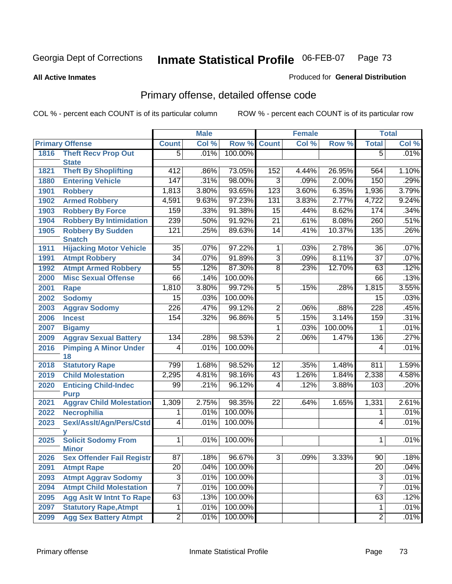**All Active Inmates**

### Produced for **General Distribution**

# Primary offense, detailed offense code

|      |                                           |                  | <b>Male</b> |         |                 | <b>Female</b> |         |                  | <b>Total</b> |
|------|-------------------------------------------|------------------|-------------|---------|-----------------|---------------|---------|------------------|--------------|
|      | <b>Primary Offense</b>                    | <b>Count</b>     | Col %       | Row %   | <b>Count</b>    | Col %         | Row %   | <b>Total</b>     | Col %        |
| 1816 | <b>Theft Recv Prop Out</b>                | $\overline{5}$   | .01%        | 100.00% |                 |               |         | $\overline{5}$   | .01%         |
|      | <b>State</b>                              |                  |             |         |                 |               |         |                  |              |
| 1821 | <b>Theft By Shoplifting</b>               | $\overline{412}$ | .86%        | 73.05%  | 152             | 4.44%         | 26.95%  | 564              | 1.10%        |
| 1880 | <b>Entering Vehicle</b>                   | 147              | .31%        | 98.00%  | $\overline{3}$  | .09%          | 2.00%   | 150              | .29%         |
| 1901 | <b>Robbery</b>                            | 1,813            | 3.80%       | 93.65%  | 123             | 3.60%         | 6.35%   | 1,936            | 3.79%        |
| 1902 | <b>Armed Robbery</b>                      | 4,591            | 9.63%       | 97.23%  | 131             | 3.83%         | 2.77%   | 4,722            | 9.24%        |
| 1903 | <b>Robbery By Force</b>                   | 159              | .33%        | 91.38%  | $\overline{15}$ | .44%          | 8.62%   | 174              | .34%         |
| 1904 | <b>Robbery By Intimidation</b>            | 239              | .50%        | 91.92%  | $\overline{21}$ | .61%          | 8.08%   | 260              | .51%         |
| 1905 | <b>Robbery By Sudden</b><br><b>Snatch</b> | 121              | .25%        | 89.63%  | $\overline{14}$ | .41%          | 10.37%  | 135              | .26%         |
| 1911 | <b>Hijacking Motor Vehicle</b>            | $\overline{35}$  | .07%        | 97.22%  | $\overline{1}$  | .03%          | 2.78%   | 36               | .07%         |
| 1991 | <b>Atmpt Robbery</b>                      | $\overline{34}$  | .07%        | 91.89%  | $\overline{3}$  | .09%          | 8.11%   | $\overline{37}$  | .07%         |
| 1992 | <b>Atmpt Armed Robbery</b>                | $\overline{55}$  | .12%        | 87.30%  | $\overline{8}$  | .23%          | 12.70%  | 63               | .12%         |
| 2000 | <b>Misc Sexual Offense</b>                | 66               | .14%        | 100.00% |                 |               |         | 66               | .13%         |
| 2001 | <b>Rape</b>                               | 1,810            | 3.80%       | 99.72%  | $\overline{5}$  | .15%          | .28%    | 1,815            | 3.55%        |
| 2002 | <b>Sodomy</b>                             | $\overline{15}$  | .03%        | 100.00% |                 |               |         | $\overline{15}$  | .03%         |
| 2003 | <b>Aggrav Sodomy</b>                      | $\overline{226}$ | .47%        | 99.12%  | $\overline{2}$  | .06%          | .88%    | $\overline{228}$ | .45%         |
| 2006 | <b>Incest</b>                             | 154              | .32%        | 96.86%  | $\overline{5}$  | .15%          | 3.14%   | 159              | .31%         |
| 2007 | <b>Bigamy</b>                             |                  |             |         | $\overline{1}$  | .03%          | 100.00% | 1                | .01%         |
| 2009 | <b>Aggrav Sexual Battery</b>              | 134              | .28%        | 98.53%  | $\overline{2}$  | .06%          | 1.47%   | 136              | .27%         |
| 2016 | <b>Pimping A Minor Under</b><br>18        | $\overline{4}$   | .01%        | 100.00% |                 |               |         | 4                | .01%         |
| 2018 | <b>Statutory Rape</b>                     | 799              | 1.68%       | 98.52%  | $\overline{12}$ | .35%          | 1.48%   | 811              | 1.59%        |
| 2019 | <b>Child Molestation</b>                  | 2,295            | 4.81%       | 98.16%  | 43              | 1.26%         | 1.84%   | 2,338            | 4.58%        |
| 2020 | <b>Enticing Child-Indec</b>               | $\overline{99}$  | .21%        | 96.12%  | 4               | .12%          | 3.88%   | 103              | .20%         |
|      | <b>Purp</b>                               |                  |             |         |                 |               |         |                  |              |
| 2021 | <b>Aggrav Child Molestation</b>           | 1,309            | 2.75%       | 98.35%  | 22              | .64%          | 1.65%   | 1,331            | 2.61%        |
| 2022 | <b>Necrophilia</b>                        | 1                | .01%        | 100.00% |                 |               |         | 1                | .01%         |
| 2023 | Sexl/Asslt/Agn/Pers/Cstd                  | 4                | .01%        | 100.00% |                 |               |         | 4                | .01%         |
| 2025 | <b>Solicit Sodomy From</b>                | $\mathbf{1}$     | .01%        | 100.00% |                 |               |         | $\mathbf 1$      | .01%         |
| 2026 | <b>Minor</b><br>Sex Offender Fail Registr | 87               | .18%        | 96.67%  | $\overline{3}$  | $.09\%$       | 3.33%   | 90               | .18%         |
| 2091 | <b>Atmpt Rape</b>                         | $\overline{20}$  | .04%        | 100.00% |                 |               |         | $\overline{20}$  | .04%         |
| 2093 | <b>Atmpt Aggrav Sodomy</b>                | $\overline{3}$   | .01%        | 100.00% |                 |               |         | $\overline{3}$   | .01%         |
| 2094 | <b>Atmpt Child Molestation</b>            | $\overline{7}$   | .01%        | 100.00% |                 |               |         | $\overline{7}$   | .01%         |
| 2095 | <b>Agg Aslt W Intnt To Rape</b>           | 63               | .13%        | 100.00% |                 |               |         | 63               | .12%         |
| 2097 | <b>Statutory Rape, Atmpt</b>              | 1                | .01%        | 100.00% |                 |               |         | $\mathbf 1$      | .01%         |
| 2099 | <b>Agg Sex Battery Atmpt</b>              | $\overline{2}$   | .01%        | 100.00% |                 |               |         | $\overline{2}$   | .01%         |
|      |                                           |                  |             |         |                 |               |         |                  |              |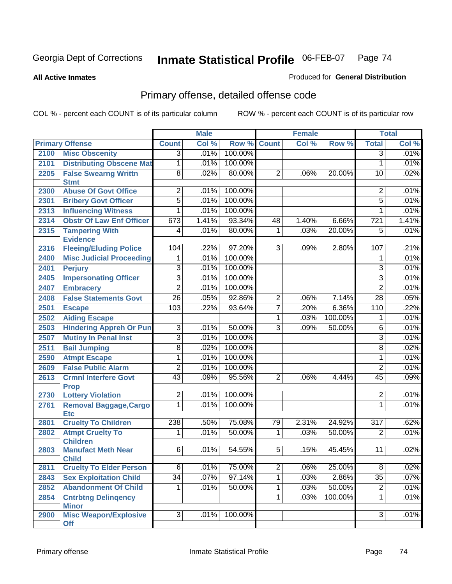**All Active Inmates**

### Produced for **General Distribution**

# Primary offense, detailed offense code

|      |                                             |                 | <b>Male</b> |         |                | <b>Female</b> |         |                  | <b>Total</b> |
|------|---------------------------------------------|-----------------|-------------|---------|----------------|---------------|---------|------------------|--------------|
|      | <b>Primary Offense</b>                      | <b>Count</b>    | Col %       | Row %   | <b>Count</b>   | Col %         | Row %   | <b>Total</b>     | Col %        |
| 2100 | <b>Misc Obscenity</b>                       | $\overline{3}$  | .01%        | 100.00% |                |               |         | $\overline{3}$   | .01%         |
| 2101 | <b>Distributing Obscene Mat</b>             | 1               | .01%        | 100.00% |                |               |         | $\mathbf{1}$     | .01%         |
| 2205 | <b>False Swearng Writtn</b>                 | $\overline{8}$  | .02%        | 80.00%  | $\overline{2}$ | .06%          | 20.00%  | $\overline{10}$  | .02%         |
|      | <b>Stmt</b>                                 |                 |             |         |                |               |         |                  |              |
| 2300 | <b>Abuse Of Govt Office</b>                 | $\overline{c}$  | .01%        | 100.00% |                |               |         | $\overline{2}$   | .01%         |
| 2301 | <b>Bribery Govt Officer</b>                 | $\overline{5}$  | .01%        | 100.00% |                |               |         | 5                | .01%         |
| 2313 | <b>Influencing Witness</b>                  | 1               | .01%        | 100.00% |                |               |         | $\mathbf{1}$     | .01%         |
| 2314 | <b>Obstr Of Law Enf Officer</b>             | 673             | 1.41%       | 93.34%  | 48             | 1.40%         | 6.66%   | $\overline{721}$ | 1.41%        |
| 2315 | <b>Tampering With</b>                       | 4               | .01%        | 80.00%  | $\mathbf{1}$   | .03%          | 20.00%  | 5                | .01%         |
|      | <b>Evidence</b>                             |                 |             |         |                |               |         |                  |              |
| 2316 | <b>Fleeing/Eluding Police</b>               | 104             | .22%        | 97.20%  | $\overline{3}$ | .09%          | 2.80%   | 107              | .21%         |
| 2400 | <b>Misc Judicial Proceeding</b>             | 1               | .01%        | 100.00% |                |               |         | 1                | .01%         |
| 2401 | <b>Perjury</b>                              | $\overline{3}$  | .01%        | 100.00% |                |               |         | $\overline{3}$   | .01%         |
| 2405 | <b>Impersonating Officer</b>                | $\overline{3}$  | .01%        | 100.00% |                |               |         | $\overline{3}$   | .01%         |
| 2407 | <b>Embracery</b>                            | $\overline{2}$  | .01%        | 100.00% |                |               |         | $\overline{2}$   | .01%         |
| 2408 | <b>False Statements Govt</b>                | $\overline{26}$ | .05%        | 92.86%  | $\overline{2}$ | .06%          | 7.14%   | $\overline{28}$  | .05%         |
| 2501 | <b>Escape</b>                               | 103             | .22%        | 93.64%  | $\overline{7}$ | .20%          | 6.36%   | 110              | .22%         |
| 2502 | <b>Aiding Escape</b>                        |                 |             |         | $\overline{1}$ | .03%          | 100.00% | 1                | .01%         |
| 2503 | <b>Hindering Appreh Or Pun</b>              | $\overline{3}$  | .01%        | 50.00%  | $\overline{3}$ | .09%          | 50.00%  | $\overline{6}$   | .01%         |
| 2507 | <b>Mutiny In Penal Inst</b>                 | $\overline{3}$  | .01%        | 100.00% |                |               |         | $\overline{3}$   | .01%         |
| 2511 | <b>Bail Jumping</b>                         | $\overline{8}$  | .02%        | 100.00% |                |               |         | $\overline{8}$   | .02%         |
| 2590 | <b>Atmpt Escape</b>                         | $\overline{1}$  | .01%        | 100.00% |                |               |         | 1                | .01%         |
| 2609 | <b>False Public Alarm</b>                   | $\overline{2}$  | .01%        | 100.00% |                |               |         | $\overline{2}$   | .01%         |
| 2613 | <b>Crmnl Interfere Govt</b>                 | $\overline{43}$ | .09%        | 95.56%  | $\overline{2}$ | .06%          | 4.44%   | 45               | .09%         |
|      | <b>Prop</b>                                 |                 |             |         |                |               |         |                  |              |
| 2730 | <b>Lottery Violation</b>                    | $\overline{2}$  | .01%        | 100.00% |                |               |         | 2                | .01%         |
| 2761 | <b>Removal Baggage, Cargo</b><br><b>Etc</b> | 1               | .01%        | 100.00% |                |               |         | $\mathbf{1}$     | .01%         |
| 2801 | <b>Cruelty To Children</b>                  | 238             | .50%        | 75.08%  | 79             | 2.31%         | 24.92%  | $\overline{317}$ | .62%         |
| 2802 | <b>Atmpt Cruelty To</b>                     | 1               | .01%        | 50.00%  | $\mathbf{1}$   | .03%          | 50.00%  | $\overline{2}$   | .01%         |
|      | <b>Children</b>                             |                 |             |         |                |               |         |                  |              |
| 2803 | <b>Manufact Meth Near</b>                   | $\overline{6}$  | .01%        | 54.55%  | $\overline{5}$ | .15%          | 45.45%  | $\overline{11}$  | .02%         |
|      | <b>Child</b>                                |                 |             |         |                |               |         |                  |              |
| 2811 | <b>Cruelty To Elder Person</b>              | $\overline{6}$  | .01%        | 75.00%  | $\overline{2}$ | .06%          | 25.00%  | $\overline{8}$   | .02%         |
| 2843 | <b>Sex Exploitation Child</b>               | $\overline{34}$ | .07%        | 97.14%  | $\overline{1}$ | .03%          | 2.86%   | $\overline{35}$  | .07%         |
| 2852 | <b>Abandonment Of Child</b>                 | $\mathbf{1}$    | .01%        | 50.00%  | $\overline{1}$ | .03%          | 50.00%  | $\overline{2}$   | .01%         |
| 2854 | <b>Cntrbtng Delingency</b>                  |                 |             |         | $\overline{1}$ | .03%          | 100.00% | $\mathbf{1}$     | .01%         |
|      | <b>Minor</b>                                |                 |             |         |                |               |         |                  |              |
| 2900 | <b>Misc Weapon/Explosive</b><br><b>Off</b>  | $\overline{3}$  | .01%        | 100.00% |                |               |         | 3                | .01%         |
|      |                                             |                 |             |         |                |               |         |                  |              |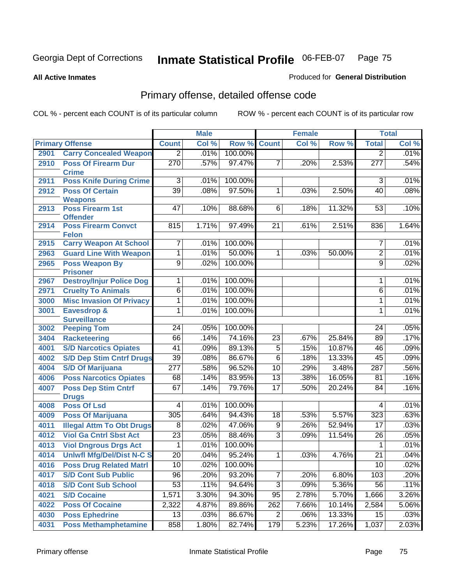**All Active Inmates**

### Produced for **General Distribution**

# Primary offense, detailed offense code

|      |                                               |                  | <b>Male</b> |         |                 | <b>Female</b> |        |                  | <b>Total</b> |
|------|-----------------------------------------------|------------------|-------------|---------|-----------------|---------------|--------|------------------|--------------|
|      | <b>Primary Offense</b>                        | <b>Count</b>     | Col %       | Row %   | <b>Count</b>    | Col %         | Row %  | <b>Total</b>     | Col %        |
| 2901 | <b>Carry Concealed Weapon</b>                 | $\overline{2}$   | .01%        | 100.00% |                 |               |        | 2                | .01%         |
| 2910 | <b>Poss Of Firearm Dur</b><br><b>Crime</b>    | $\overline{270}$ | .57%        | 97.47%  | 7               | .20%          | 2.53%  | $\overline{277}$ | .54%         |
| 2911 | <b>Poss Knife During Crime</b>                | $\overline{3}$   | .01%        | 100.00% |                 |               |        | 3                | .01%         |
| 2912 | <b>Poss Of Certain</b>                        | $\overline{39}$  | .08%        | 97.50%  | $\mathbf{1}$    | .03%          | 2.50%  | 40               | .08%         |
|      | <b>Weapons</b>                                |                  |             |         |                 |               |        |                  |              |
| 2913 | <b>Poss Firearm 1st</b>                       | 47               | .10%        | 88.68%  | 6               | .18%          | 11.32% | 53               | .10%         |
|      | <b>Offender</b>                               |                  |             |         |                 |               |        |                  |              |
| 2914 | <b>Poss Firearm Convct</b>                    | 815              | 1.71%       | 97.49%  | $\overline{21}$ | .61%          | 2.51%  | 836              | 1.64%        |
| 2915 | <b>Felon</b><br><b>Carry Weapon At School</b> | 7                | .01%        | 100.00% |                 |               |        | 7                | .01%         |
| 2963 | <b>Guard Line With Weapon</b>                 | 1                | .01%        | 50.00%  | $\mathbf 1$     | .03%          | 50.00% | $\overline{2}$   | .01%         |
| 2965 | <b>Poss Weapon By</b>                         | $\overline{9}$   | .02%        | 100.00% |                 |               |        | $\overline{9}$   | .02%         |
|      | <b>Prisoner</b>                               |                  |             |         |                 |               |        |                  |              |
| 2967 | <b>Destroy/Injur Police Dog</b>               | 1                | .01%        | 100.00% |                 |               |        | 1                | .01%         |
| 2971 | <b>Cruelty To Animals</b>                     | 6                | .01%        | 100.00% |                 |               |        | 6                | .01%         |
| 3000 | <b>Misc Invasion Of Privacy</b>               | 1                | .01%        | 100.00% |                 |               |        | 1                | .01%         |
| 3001 | Eavesdrop &                                   | 1                | .01%        | 100.00% |                 |               |        | 1                | .01%         |
|      | <b>Surveillance</b>                           |                  |             |         |                 |               |        |                  |              |
| 3002 | <b>Peeping Tom</b>                            | $\overline{24}$  | .05%        | 100.00% |                 |               |        | $\overline{24}$  | .05%         |
| 3404 | <b>Racketeering</b>                           | 66               | .14%        | 74.16%  | $\overline{23}$ | .67%          | 25.84% | 89               | .17%         |
| 4001 | <b>S/D Narcotics Opiates</b>                  | $\overline{41}$  | .09%        | 89.13%  | $\overline{5}$  | .15%          | 10.87% | 46               | .09%         |
| 4002 | <b>S/D Dep Stim Cntrf Drugs</b>               | $\overline{39}$  | .08%        | 86.67%  | $\overline{6}$  | .18%          | 13.33% | 45               | .09%         |
| 4004 | <b>S/D Of Marijuana</b>                       | $\overline{277}$ | .58%        | 96.52%  | 10              | .29%          | 3.48%  | 287              | .56%         |
| 4006 | <b>Poss Narcotics Opiates</b>                 | 68               | .14%        | 83.95%  | $\overline{13}$ | .38%          | 16.05% | 81               | .16%         |
| 4007 | <b>Poss Dep Stim Cntrf</b>                    | 67               | .14%        | 79.76%  | $\overline{17}$ | .50%          | 20.24% | 84               | .16%         |
|      | <b>Drugs</b>                                  |                  |             |         |                 |               |        |                  |              |
| 4008 | <b>Poss Of Lsd</b>                            | $\overline{4}$   | .01%        | 100.00% |                 |               |        | 4                | .01%         |
| 4009 | <b>Poss Of Marijuana</b>                      | 305              | .64%        | 94.43%  | $\overline{18}$ | .53%          | 5.57%  | 323              | .63%         |
| 4011 | <b>Illegal Attm To Obt Drugs</b>              | $\overline{8}$   | .02%        | 47.06%  | $\overline{9}$  | .26%          | 52.94% | $\overline{17}$  | .03%         |
| 4012 | <b>Viol Ga Cntrl Sbst Act</b>                 | $\overline{23}$  | .05%        | 88.46%  | $\overline{3}$  | .09%          | 11.54% | 26               | .05%         |
| 4013 | <b>Viol Dngrous Drgs Act</b>                  | $\mathbf{1}$     | .01%        | 100.00% |                 |               |        | $\mathbf{1}$     | .01%         |
| 4014 | <b>Uniwfl Mfg/Del/Dist N-C S</b>              | $\overline{20}$  | .04%        | 95.24%  | 1               | .03%          | 4.76%  | $\overline{21}$  | .04%         |
| 4016 | <b>Poss Drug Related Matri</b>                | 10               | .02%        | 100.00% |                 |               |        | 10               | .02%         |
| 4017 | <b>S/D Cont Sub Public</b>                    | 96               | .20%        | 93.20%  | 7               | .20%          | 6.80%  | 103              | .20%         |
| 4018 | <b>S/D Cont Sub School</b>                    | $\overline{53}$  | .11%        | 94.64%  | $\overline{3}$  | .09%          | 5.36%  | 56               | .11%         |
| 4021 | <b>S/D Cocaine</b>                            | 1,571            | 3.30%       | 94.30%  | $\overline{95}$ | 2.78%         | 5.70%  | 1,666            | 3.26%        |
| 4022 | <b>Poss Of Cocaine</b>                        | 2,322            | 4.87%       | 89.86%  | 262             | 7.66%         | 10.14% | 2,584            | 5.06%        |
| 4030 | <b>Poss Ephedrine</b>                         | $\overline{13}$  | .03%        | 86.67%  | $\overline{2}$  | .06%          | 13.33% | $\overline{15}$  | .03%         |
| 4031 | <b>Poss Methamphetamine</b>                   | 858              | 1.80%       | 82.74%  | 179             | 5.23%         | 17.26% | 1,037            | 2.03%        |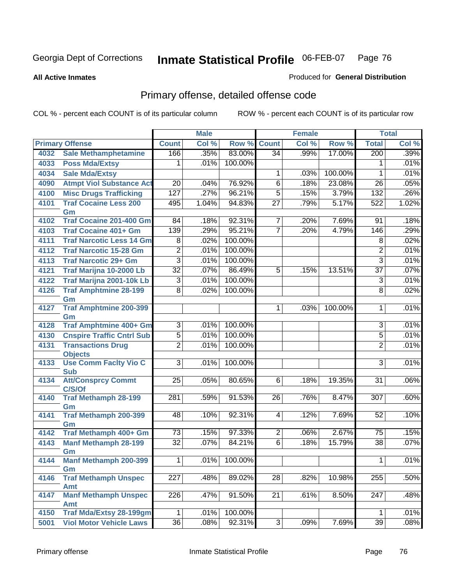**All Active Inmates**

### Produced for **General Distribution**

# Primary offense, detailed offense code

|      |                                              |                  | <b>Male</b> |                 |                 | <b>Female</b> |         |                  | <b>Total</b> |
|------|----------------------------------------------|------------------|-------------|-----------------|-----------------|---------------|---------|------------------|--------------|
|      | <b>Primary Offense</b>                       | <b>Count</b>     | Col %       | Row %           | <b>Count</b>    | CoI%          | Row %   | <b>Total</b>     | Col %        |
| 4032 | <b>Sale Methamphetamine</b>                  | 166              | .35%        | 83.00%          | $\overline{34}$ | .99%          | 17.00%  | 200              | .39%         |
| 4033 | <b>Poss Mda/Extsy</b>                        | 1                | .01%        | 100.00%         |                 |               |         | 1                | .01%         |
| 4034 | <b>Sale Mda/Extsy</b>                        |                  |             |                 | 1               | .03%          | 100.00% | 1                | .01%         |
| 4090 | <b>Atmpt Viol Substance Act</b>              | $\overline{20}$  | .04%        | 76.92%          | $\overline{6}$  | .18%          | 23.08%  | 26               | .05%         |
| 4100 | <b>Misc Drugs Trafficking</b>                | 127              | .27%        | 96.21%          | $\overline{5}$  | .15%          | 3.79%   | 132              | .26%         |
| 4101 | <b>Traf Cocaine Less 200</b>                 | 495              | 1.04%       | 94.83%          | $\overline{27}$ | .79%          | 5.17%   | 522              | 1.02%        |
|      | Gm                                           |                  |             |                 |                 |               |         |                  |              |
| 4102 | <b>Traf Cocaine 201-400 Gm</b>               | 84               | .18%        | 92.31%          | 7               | .20%          | 7.69%   | 91               | .18%         |
| 4103 | <b>Traf Cocaine 401+ Gm</b>                  | 139              | .29%        | 95.21%          | 7               | .20%          | 4.79%   | 146              | .29%         |
| 4111 | <b>Traf Narcotic Less 14 Gm</b>              | 8                | .02%        | 100.00%         |                 |               |         | 8                | .02%         |
| 4112 | <b>Traf Narcotic 15-28 Gm</b>                | $\overline{2}$   | .01%        | 100.00%         |                 |               |         | $\overline{2}$   | .01%         |
| 4113 | <b>Traf Narcotic 29+ Gm</b>                  | $\overline{3}$   | .01%        | 100.00%         |                 |               |         | $\overline{3}$   | .01%         |
| 4121 | Traf Marijna 10-2000 Lb                      | $\overline{32}$  | .07%        | 86.49%          | 5               | .15%          | 13.51%  | $\overline{37}$  | .07%         |
| 4122 | Traf Marijna 2001-10k Lb                     | 3                | .01%        | 100.00%         |                 |               |         | $\overline{3}$   | .01%         |
| 4126 | <b>Traf Amphtmine 28-199</b>                 | $\overline{8}$   | .02%        | 100.00%         |                 |               |         | 8                | .02%         |
|      | Gm                                           |                  |             |                 |                 |               |         |                  |              |
| 4127 | <b>Traf Amphtmine 200-399</b>                |                  |             |                 |                 | .03%          | 100.00% | 1                | .01%         |
| 4128 | Gm<br><b>Traf Amphtmine 400+ Gm</b>          | $\overline{3}$   | .01%        | 100.00%         |                 |               |         | $\overline{3}$   | .01%         |
| 4130 | <b>Cnspire Traffic Cntrl Sub</b>             | $\overline{5}$   | .01%        | 100.00%         |                 |               |         | $\overline{5}$   | .01%         |
| 4131 | <b>Transactions Drug</b>                     | $\overline{2}$   | .01%        | 100.00%         |                 |               |         | $\overline{2}$   | .01%         |
|      | <b>Objects</b>                               |                  |             |                 |                 |               |         |                  |              |
| 4133 | <b>Use Comm Facity Vio C</b>                 | $\overline{3}$   | .01%        | 100.00%         |                 |               |         | $\overline{3}$   | .01%         |
|      | <b>Sub</b>                                   |                  |             |                 |                 |               |         |                  |              |
| 4134 | <b>Att/Consprcy Commt</b>                    | 25               | .05%        | 80.65%          | 6               | .18%          | 19.35%  | 31               | .06%         |
|      | C/S/Of                                       |                  |             |                 |                 |               |         |                  |              |
| 4140 | <b>Traf Methamph 28-199</b>                  | 281              | .59%        | 91.53%          | $\overline{26}$ | .76%          | 8.47%   | 307              | .60%         |
| 4141 | Gm                                           | 48               |             | 92.31%          |                 |               | 7.69%   | 52               | .10%         |
|      | Traf Methamph 200-399<br>Gm                  |                  | .10%        |                 | 4               | .12%          |         |                  |              |
| 4142 | Traf Methamph 400+ Gm                        | $\overline{73}$  | .15%        | 97.33%          | $\overline{2}$  | .06%          | 2.67%   | $\overline{75}$  | .15%         |
| 4143 | <b>Manf Methamph 28-199</b>                  | $\overline{32}$  | .07%        | 84.21%          | $\overline{6}$  | .18%          | 15.79%  | $\overline{38}$  | .07%         |
|      | Gm                                           |                  |             |                 |                 |               |         |                  |              |
| 4144 | <b>Manf Methamph 200-399</b>                 | $\overline{1}$   |             | $.01\%$ 100.00% |                 |               |         | $\overline{1}$   | .01%         |
|      | Gm                                           |                  |             |                 |                 |               |         |                  |              |
| 4146 | <b>Traf Methamph Unspec</b>                  | $\overline{227}$ | .48%        | 89.02%          | $\overline{28}$ | .82%          | 10.98%  | 255              | .50%         |
|      | <b>Amt</b>                                   |                  |             |                 |                 |               |         |                  |              |
| 4147 | <b>Manf Methamph Unspec</b>                  | 226              | .47%        | 91.50%          | 21              | .61%          | 8.50%   | $\overline{247}$ | .48%         |
| 4150 | <b>Amt</b><br><b>Traf Mda/Extsy 28-199gm</b> | $\mathbf 1$      | .01%        | 100.00%         |                 |               |         | 1                | .01%         |
|      | <b>Viol Motor Vehicle Laws</b>               | $\overline{36}$  | .08%        | 92.31%          | $\overline{3}$  | .09%          | 7.69%   | 39               | .08%         |
| 5001 |                                              |                  |             |                 |                 |               |         |                  |              |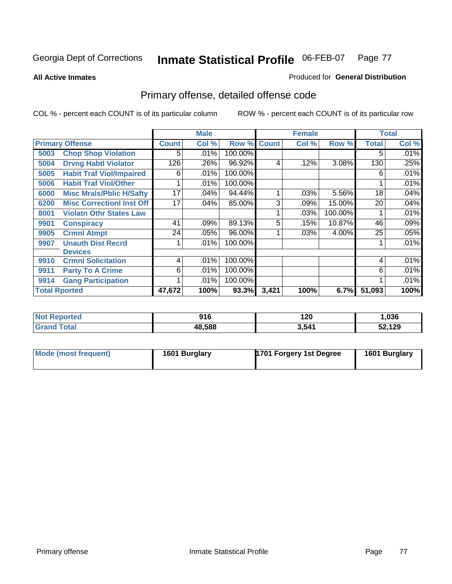**All Active Inmates**

### Produced for **General Distribution**

# Primary offense, detailed offense code

|                      |                                  |              | <b>Male</b> |         |              | <b>Female</b> |         |              | <b>Total</b> |
|----------------------|----------------------------------|--------------|-------------|---------|--------------|---------------|---------|--------------|--------------|
|                      | <b>Primary Offense</b>           | <b>Count</b> | Col %       | Row %   | <b>Count</b> | Col %         | Row %   | <b>Total</b> | Col %        |
| 5003                 | <b>Chop Shop Violation</b>       | 5.           | .01%        | 100.00% |              |               |         | 5            | .01%         |
| 5004                 | <b>Drvng Habtl Violator</b>      | 126          | .26%        | 96.92%  | 4            | .12%          | 3.08%   | 130          | .25%         |
| 5005                 | <b>Habit Traf Viol/Impaired</b>  | 6            | .01%        | 100.00% |              |               |         | 6            | .01%         |
| 5006                 | <b>Habit Traf Viol/Other</b>     |              | .01%        | 100.00% |              |               |         |              | .01%         |
| 6000                 | <b>Misc Mrals/Pblic H/Safty</b>  | 17           | .04%        | 94.44%  | 1            | .03%          | 5.56%   | 18           | .04%         |
| 6200                 | <b>Misc CorrectionI Inst Off</b> | 17           | .04%        | 85.00%  | 3            | .09%          | 15.00%  | 20           | .04%         |
| 8001                 | <b>Violatn Othr States Law</b>   |              |             |         |              | .03%          | 100.00% |              | .01%         |
| 9901                 | <b>Conspiracy</b>                | 41           | .09%        | 89.13%  | 5            | .15%          | 10.87%  | 46           | .09%         |
| 9905                 | <b>Crmnl Atmpt</b>               | 24           | .05%        | 96.00%  |              | .03%          | 4.00%   | 25           | .05%         |
| 9907                 | <b>Unauth Dist Recrd</b>         |              | .01%        | 100.00% |              |               |         |              | .01%         |
|                      | <b>Devices</b>                   |              |             |         |              |               |         |              |              |
| 9910                 | <b>Crmnl Solicitation</b>        | 4            | .01%        | 100.00% |              |               |         | 4            | .01%         |
| 9911                 | <b>Party To A Crime</b>          | 6            | .01%        | 100.00% |              |               |         | 6            | .01%         |
| 9914                 | <b>Gang Participation</b>        |              | .01%        | 100.00% |              |               |         |              | .01%         |
| <b>Total Rported</b> |                                  | 47,672       | 100%        | 93.3%   | 3,421        | 100%          | 6.7%    | 51,093       | 100%         |

| τeα | 916    | 120   | ,036   |
|-----|--------|-------|--------|
|     | 48,588 | 3.541 | 52,129 |

| Mode (most frequent) | 1601 Burglary | 1701 Forgery 1st Degree | 1601 Burglary |
|----------------------|---------------|-------------------------|---------------|
|----------------------|---------------|-------------------------|---------------|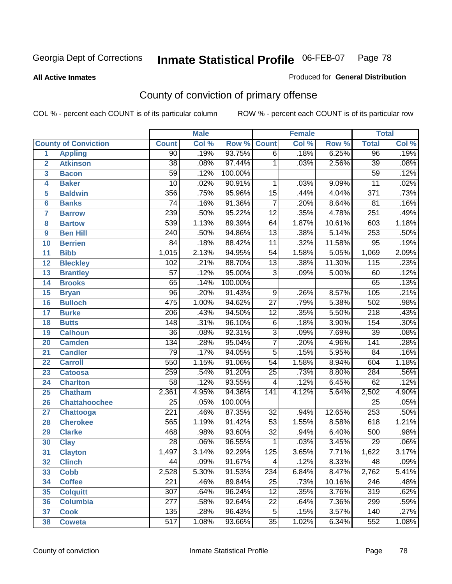### **All Active Inmates**

### Produced for **General Distribution**

# County of conviction of primary offense

|                         |                             |                  | <b>Male</b> |         |                 | Female |        |                  | <b>Total</b> |
|-------------------------|-----------------------------|------------------|-------------|---------|-----------------|--------|--------|------------------|--------------|
|                         | <b>County of Conviction</b> | <b>Count</b>     | Col %       | Row %   | <b>Count</b>    | Col %  | Row %  | <b>Total</b>     | Col %        |
| 1                       | <b>Appling</b>              | $\overline{90}$  | .19%        | 93.75%  | $\overline{6}$  | .18%   | 6.25%  | 96               | .19%         |
| $\overline{2}$          | <b>Atkinson</b>             | $\overline{38}$  | .08%        | 97.44%  | $\mathbf{1}$    | .03%   | 2.56%  | $\overline{39}$  | .08%         |
| $\overline{\mathbf{3}}$ | <b>Bacon</b>                | $\overline{59}$  | .12%        | 100.00% |                 |        |        | 59               | .12%         |
| 4                       | <b>Baker</b>                | $\overline{10}$  | .02%        | 90.91%  | 1               | .03%   | 9.09%  | $\overline{11}$  | .02%         |
| 5                       | <b>Baldwin</b>              | 356              | .75%        | 95.96%  | $\overline{15}$ | .44%   | 4.04%  | $\overline{371}$ | .73%         |
| 6                       | <b>Banks</b>                | $\overline{74}$  | .16%        | 91.36%  | $\overline{7}$  | .20%   | 8.64%  | $\overline{81}$  | .16%         |
| 7                       | <b>Barrow</b>               | 239              | .50%        | 95.22%  | $\overline{12}$ | .35%   | 4.78%  | 251              | .49%         |
| 8                       | <b>Bartow</b>               | 539              | 1.13%       | 89.39%  | 64              | 1.87%  | 10.61% | 603              | 1.18%        |
| 9                       | <b>Ben Hill</b>             | $\overline{240}$ | .50%        | 94.86%  | $\overline{13}$ | .38%   | 5.14%  | 253              | .50%         |
| 10                      | <b>Berrien</b>              | 84               | .18%        | 88.42%  | $\overline{11}$ | .32%   | 11.58% | 95               | .19%         |
| 11                      | <b>Bibb</b>                 | 1,015            | 2.13%       | 94.95%  | $\overline{54}$ | 1.58%  | 5.05%  | 1,069            | 2.09%        |
| 12                      | <b>Bleckley</b>             | 102              | .21%        | 88.70%  | $\overline{13}$ | .38%   | 11.30% | $\overline{115}$ | .23%         |
| $\overline{13}$         | <b>Brantley</b>             | $\overline{57}$  | .12%        | 95.00%  | $\overline{3}$  | .09%   | 5.00%  | 60               | .12%         |
| 14                      | <b>Brooks</b>               | $\overline{65}$  | .14%        | 100.00% |                 |        |        | 65               | .13%         |
| 15                      | <b>Bryan</b>                | $\overline{96}$  | .20%        | 91.43%  | $\overline{9}$  | .26%   | 8.57%  | 105              | .21%         |
| 16                      | <b>Bulloch</b>              | 475              | 1.00%       | 94.62%  | $\overline{27}$ | .79%   | 5.38%  | 502              | .98%         |
| 17                      | <b>Burke</b>                | $\overline{206}$ | .43%        | 94.50%  | $\overline{12}$ | .35%   | 5.50%  | $\overline{218}$ | .43%         |
| 18                      | <b>Butts</b>                | 148              | .31%        | 96.10%  | $\overline{6}$  | .18%   | 3.90%  | 154              | .30%         |
| 19                      | <b>Calhoun</b>              | $\overline{36}$  | .08%        | 92.31%  | $\overline{3}$  | .09%   | 7.69%  | $\overline{39}$  | .08%         |
| 20                      | <b>Camden</b>               | 134              | .28%        | 95.04%  | $\overline{7}$  | .20%   | 4.96%  | $\overline{141}$ | .28%         |
| 21                      | <b>Candler</b>              | 79               | .17%        | 94.05%  | $\overline{5}$  | .15%   | 5.95%  | 84               | .16%         |
| 22                      | <b>Carroll</b>              | 550              | 1.15%       | 91.06%  | $\overline{54}$ | 1.58%  | 8.94%  | 604              | 1.18%        |
| 23                      | <b>Catoosa</b>              | 259              | .54%        | 91.20%  | $\overline{25}$ | .73%   | 8.80%  | 284              | .56%         |
| 24                      | <b>Charlton</b>             | $\overline{58}$  | .12%        | 93.55%  | 4               | .12%   | 6.45%  | 62               | .12%         |
| 25                      | <b>Chatham</b>              | 2,361            | 4.95%       | 94.36%  | 141             | 4.12%  | 5.64%  | 2,502            | 4.90%        |
| 26                      | <b>Chattahoochee</b>        | $\overline{25}$  | .05%        | 100.00% |                 |        |        | $\overline{25}$  | .05%         |
| 27                      | <b>Chattooga</b>            | $\overline{221}$ | .46%        | 87.35%  | $\overline{32}$ | .94%   | 12.65% | 253              | .50%         |
| 28                      | <b>Cherokee</b>             | 565              | 1.19%       | 91.42%  | $\overline{53}$ | 1.55%  | 8.58%  | 618              | 1.21%        |
| 29                      | <b>Clarke</b>               | 468              | .98%        | 93.60%  | $\overline{32}$ | .94%   | 6.40%  | 500              | .98%         |
| 30                      | <b>Clay</b>                 | $\overline{28}$  | .06%        | 96.55%  | $\mathbf{1}$    | .03%   | 3.45%  | $\overline{29}$  | .06%         |
| 31                      | <b>Clayton</b>              | 1,497            | 3.14%       | 92.29%  | 125             | 3.65%  | 7.71%  | 1,622            | 3.17%        |
| 32                      | <b>Clinch</b>               | 44               | .09%        | 91.67%  | 4               | .12%   | 8.33%  | 48               | .09%         |
| 33                      | <b>Cobb</b>                 | 2,528            | 5.30%       | 91.53%  | 234             | 6.84%  | 8.47%  | 2,762            | 5.41%        |
| 34                      | <b>Coffee</b>               | 221              | .46%        | 89.84%  | 25              | .73%   | 10.16% | 246              | .48%         |
| 35                      | <b>Colquitt</b>             | 307              | .64%        | 96.24%  | 12              | .35%   | 3.76%  | 319              | .62%         |
| 36                      | <b>Columbia</b>             | 277              | .58%        | 92.64%  | 22              | .64%   | 7.36%  | 299              | .59%         |
| 37                      | <b>Cook</b>                 | 135              | .28%        | 96.43%  | $\overline{5}$  | .15%   | 3.57%  | 140              | .27%         |
| 38                      | <b>Coweta</b>               | 517              | 1.08%       | 93.66%  | 35              | 1.02%  | 6.34%  | 552              | 1.08%        |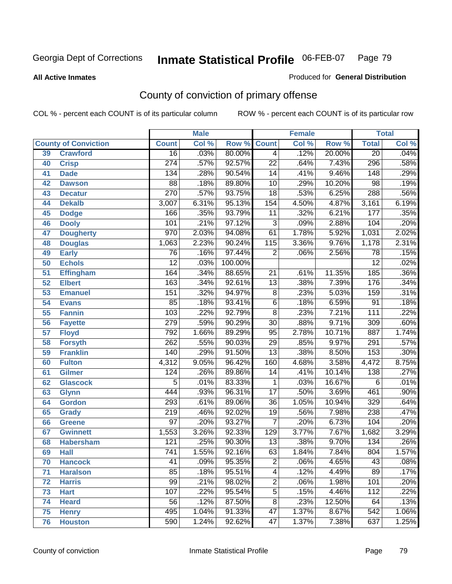**All Active Inmates**

### Produced for **General Distribution**

# County of conviction of primary offense

|                 |                             |                  | <b>Male</b> |         |                 | <b>Female</b> |        |                  | <b>Total</b> |
|-----------------|-----------------------------|------------------|-------------|---------|-----------------|---------------|--------|------------------|--------------|
|                 | <b>County of Conviction</b> | <b>Count</b>     | Col %       | Row %   | <b>Count</b>    | Col %         | Row %  | <b>Total</b>     | Col %        |
| 39              | <b>Crawford</b>             | $\overline{16}$  | .03%        | 80.00%  | $\overline{4}$  | .12%          | 20.00% | $\overline{20}$  | .04%         |
| 40              | <b>Crisp</b>                | $\overline{274}$ | .57%        | 92.57%  | $\overline{22}$ | .64%          | 7.43%  | 296              | .58%         |
| 41              | <b>Dade</b>                 | 134              | .28%        | 90.54%  | 14              | .41%          | 9.46%  | 148              | .29%         |
| 42              | <b>Dawson</b>               | $\overline{88}$  | .18%        | 89.80%  | 10              | .29%          | 10.20% | $\overline{98}$  | .19%         |
| 43              | <b>Decatur</b>              | 270              | .57%        | 93.75%  | $\overline{18}$ | .53%          | 6.25%  | 288              | .56%         |
| 44              | <b>Dekalb</b>               | 3,007            | 6.31%       | 95.13%  | 154             | 4.50%         | 4.87%  | 3,161            | 6.19%        |
| 45              | <b>Dodge</b>                | 166              | .35%        | 93.79%  | $\overline{11}$ | .32%          | 6.21%  | $\overline{177}$ | .35%         |
| 46              | <b>Dooly</b>                | 101              | .21%        | 97.12%  | $\overline{3}$  | .09%          | 2.88%  | 104              | .20%         |
| 47              | <b>Dougherty</b>            | $\overline{970}$ | 2.03%       | 94.08%  | 61              | 1.78%         | 5.92%  | 1,031            | 2.02%        |
| 48              | <b>Douglas</b>              | 1,063            | 2.23%       | 90.24%  | 115             | 3.36%         | 9.76%  | 1,178            | 2.31%        |
| 49              | <b>Early</b>                | 76               | .16%        | 97.44%  | $\overline{2}$  | .06%          | 2.56%  | $\overline{78}$  | .15%         |
| 50              | <b>Echols</b>               | $\overline{12}$  | .03%        | 100.00% |                 |               |        | $\overline{12}$  | .02%         |
| $\overline{51}$ | <b>Effingham</b>            | 164              | .34%        | 88.65%  | $\overline{21}$ | .61%          | 11.35% | 185              | .36%         |
| 52              | <b>Elbert</b>               | $\overline{163}$ | .34%        | 92.61%  | $\overline{13}$ | .38%          | 7.39%  | 176              | .34%         |
| 53              | <b>Emanuel</b>              | 151              | .32%        | 94.97%  | $\overline{8}$  | .23%          | 5.03%  | 159              | .31%         |
| $\overline{54}$ | <b>Evans</b>                | 85               | .18%        | 93.41%  | $\overline{6}$  | .18%          | 6.59%  | $\overline{91}$  | .18%         |
| 55              | <b>Fannin</b>               | 103              | .22%        | 92.79%  | $\overline{8}$  | .23%          | 7.21%  | $\overline{111}$ | .22%         |
| 56              | <b>Fayette</b>              | 279              | .59%        | 90.29%  | $\overline{30}$ | .88%          | 9.71%  | 309              | .60%         |
| 57              | <b>Floyd</b>                | 792              | 1.66%       | 89.29%  | $\overline{95}$ | 2.78%         | 10.71% | 887              | 1.74%        |
| 58              | <b>Forsyth</b>              | $\overline{262}$ | .55%        | 90.03%  | 29              | .85%          | 9.97%  | $\overline{291}$ | .57%         |
| 59              | <b>Franklin</b>             | 140              | .29%        | 91.50%  | $\overline{13}$ | .38%          | 8.50%  | 153              | .30%         |
| 60              | <b>Fulton</b>               | 4,312            | 9.05%       | 96.42%  | 160             | 4.68%         | 3.58%  | 4,472            | 8.75%        |
| 61              | Gilmer                      | 124              | .26%        | 89.86%  | 14              | .41%          | 10.14% | 138              | .27%         |
| 62              | <b>Glascock</b>             | $\overline{5}$   | .01%        | 83.33%  | $\mathbf{1}$    | .03%          | 16.67% | $\overline{6}$   | .01%         |
| 63              | <b>Glynn</b>                | 444              | .93%        | 96.31%  | $\overline{17}$ | .50%          | 3.69%  | 461              | .90%         |
| 64              | <b>Gordon</b>               | 293              | .61%        | 89.06%  | $\overline{36}$ | 1.05%         | 10.94% | 329              | .64%         |
| 65              | <b>Grady</b>                | $\overline{219}$ | .46%        | 92.02%  | $\overline{19}$ | .56%          | 7.98%  | 238              | .47%         |
| 66              | <b>Greene</b>               | $\overline{97}$  | .20%        | 93.27%  | $\overline{7}$  | .20%          | 6.73%  | 104              | .20%         |
| 67              | <b>Gwinnett</b>             | 1,553            | 3.26%       | 92.33%  | 129             | 3.77%         | 7.67%  | 1,682            | 3.29%        |
| 68              | <b>Habersham</b>            | $\overline{121}$ | .25%        | 90.30%  | $\overline{13}$ | .38%          | 9.70%  | 134              | .26%         |
| 69              | <b>Hall</b>                 | $\overline{741}$ | 1.55%       | 92.16%  | 63              | 1.84%         | 7.84%  | 804              | 1.57%        |
| 70              | <b>Hancock</b>              | 41               | .09%        | 95.35%  | 2               | .06%          | 4.65%  | 43               | .08%         |
| 71              | <b>Haralson</b>             | 85               | .18%        | 95.51%  | 4               | .12%          | 4.49%  | 89               | .17%         |
| 72              | <b>Harris</b>               | $\overline{99}$  | .21%        | 98.02%  | $\overline{2}$  | .06%          | 1.98%  | 101              | .20%         |
| 73              | <b>Hart</b>                 | 107              | .22%        | 95.54%  | $\overline{5}$  | .15%          | 4.46%  | 112              | .22%         |
| 74              | <b>Heard</b>                | $\overline{56}$  | .12%        | 87.50%  | $\overline{8}$  | .23%          | 12.50% | 64               | .13%         |
| 75              | <b>Henry</b>                | 495              | 1.04%       | 91.33%  | 47              | 1.37%         | 8.67%  | $\overline{542}$ | 1.06%        |
| 76              | <b>Houston</b>              | 590              | 1.24%       | 92.62%  | $\overline{47}$ | 1.37%         | 7.38%  | 637              | 1.25%        |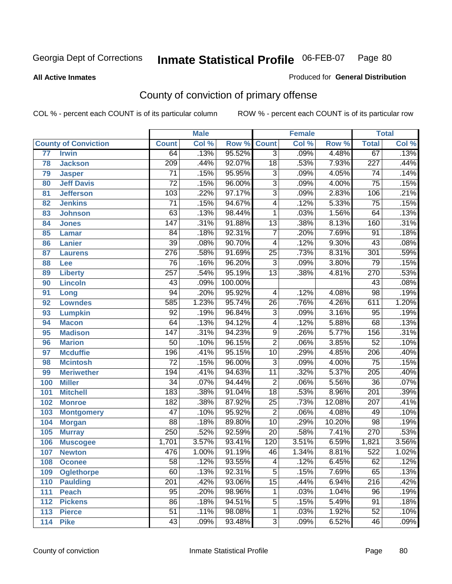#### **All Active Inmates**

### Produced for **General Distribution**

# County of conviction of primary offense

|                 |                             |                  | <b>Male</b> |         |                 | <b>Female</b> |        |                  | <b>Total</b> |
|-----------------|-----------------------------|------------------|-------------|---------|-----------------|---------------|--------|------------------|--------------|
|                 | <b>County of Conviction</b> | <b>Count</b>     | Col %       | Row %   | <b>Count</b>    | Col %         | Row %  | <b>Total</b>     | Col %        |
| $\overline{77}$ | <b>Irwin</b>                | 64               | .13%        | 95.52%  | $\overline{3}$  | .09%          | 4.48%  | 67               | .13%         |
| 78              | <b>Jackson</b>              | 209              | .44%        | 92.07%  | $\overline{18}$ | .53%          | 7.93%  | 227              | .44%         |
| 79              | <b>Jasper</b>               | $\overline{71}$  | .15%        | 95.95%  | $\overline{3}$  | .09%          | 4.05%  | $\overline{74}$  | .14%         |
| 80              | <b>Jeff Davis</b>           | $\overline{72}$  | .15%        | 96.00%  | $\overline{3}$  | .09%          | 4.00%  | $\overline{75}$  | .15%         |
| 81              | <b>Jefferson</b>            | 103              | .22%        | 97.17%  | $\overline{3}$  | .09%          | 2.83%  | 106              | .21%         |
| 82              | <b>Jenkins</b>              | $\overline{71}$  | .15%        | 94.67%  | $\overline{4}$  | .12%          | 5.33%  | $\overline{75}$  | .15%         |
| 83              | <b>Johnson</b>              | 63               | .13%        | 98.44%  | 1               | .03%          | 1.56%  | 64               | .13%         |
| 84              | <b>Jones</b>                | 147              | .31%        | 91.88%  | $\overline{13}$ | .38%          | 8.13%  | 160              | .31%         |
| 85              | <b>Lamar</b>                | $\overline{84}$  | .18%        | 92.31%  | $\overline{7}$  | .20%          | 7.69%  | $\overline{91}$  | .18%         |
| 86              | <b>Lanier</b>               | $\overline{39}$  | .08%        | 90.70%  | 4               | .12%          | 9.30%  | 43               | .08%         |
| 87              | <b>Laurens</b>              | $\overline{276}$ | .58%        | 91.69%  | $\overline{25}$ | .73%          | 8.31%  | 301              | .59%         |
| 88              | Lee                         | $\overline{76}$  | .16%        | 96.20%  | $\overline{3}$  | .09%          | 3.80%  | $\overline{79}$  | .15%         |
| 89              | <b>Liberty</b>              | $\overline{257}$ | .54%        | 95.19%  | $\overline{13}$ | .38%          | 4.81%  | 270              | .53%         |
| 90              | <b>Lincoln</b>              | 43               | .09%        | 100.00% |                 |               |        | 43               | .08%         |
| 91              | Long                        | $\overline{94}$  | .20%        | 95.92%  | 4               | .12%          | 4.08%  | $\overline{98}$  | .19%         |
| 92              | <b>Lowndes</b>              | 585              | 1.23%       | 95.74%  | 26              | .76%          | 4.26%  | 611              | 1.20%        |
| 93              | <b>Lumpkin</b>              | $\overline{92}$  | .19%        | 96.84%  | $\overline{3}$  | .09%          | 3.16%  | $\overline{95}$  | .19%         |
| 94              | <b>Macon</b>                | 64               | .13%        | 94.12%  | 4               | .12%          | 5.88%  | 68               | .13%         |
| 95              | <b>Madison</b>              | $\overline{147}$ | .31%        | 94.23%  | $\overline{9}$  | .26%          | 5.77%  | 156              | .31%         |
| 96              | <b>Marion</b>               | 50               | .10%        | 96.15%  | $\overline{2}$  | .06%          | 3.85%  | $\overline{52}$  | .10%         |
| 97              | <b>Mcduffie</b>             | 196              | .41%        | 95.15%  | 10              | .29%          | 4.85%  | 206              | .40%         |
| 98              | <b>Mcintosh</b>             | $\overline{72}$  | .15%        | 96.00%  | $\overline{3}$  | .09%          | 4.00%  | $\overline{75}$  | .15%         |
| 99              | <b>Meriwether</b>           | 194              | .41%        | 94.63%  | $\overline{11}$ | .32%          | 5.37%  | $\overline{205}$ | .40%         |
| 100             | <b>Miller</b>               | $\overline{34}$  | .07%        | 94.44%  | $\overline{2}$  | .06%          | 5.56%  | $\overline{36}$  | .07%         |
| 101             | <b>Mitchell</b>             | 183              | .38%        | 91.04%  | $\overline{18}$ | .53%          | 8.96%  | $\overline{201}$ | .39%         |
| 102             | <b>Monroe</b>               | 182              | .38%        | 87.92%  | $\overline{25}$ | .73%          | 12.08% | 207              | .41%         |
| 103             | <b>Montgomery</b>           | $\overline{47}$  | .10%        | 95.92%  | $\overline{2}$  | .06%          | 4.08%  | 49               | .10%         |
| 104             | <b>Morgan</b>               | $\overline{88}$  | .18%        | 89.80%  | $\overline{10}$ | .29%          | 10.20% | 98               | .19%         |
| 105             | <b>Murray</b>               | 250              | .52%        | 92.59%  | $\overline{20}$ | .58%          | 7.41%  | 270              | .53%         |
| 106             | <b>Muscogee</b>             | 1,701            | 3.57%       | 93.41%  | 120             | 3.51%         | 6.59%  | 1,821            | 3.56%        |
| 107             | <b>Newton</b>               | 476              | 1.00%       | 91.19%  | 46              | 1.34%         | 8.81%  | 522              | 1.02%        |
| 108             | <b>Oconee</b>               | 58               | .12%        | 93.55%  | 4               | .12%          | 6.45%  | 62               | .12%         |
| 109             | <b>Oglethorpe</b>           | 60               | .13%        | 92.31%  | $\overline{5}$  | .15%          | 7.69%  | 65               | .13%         |
| 110             | Paulding                    | $\overline{201}$ | .42%        | 93.06%  | $\overline{15}$ | .44%          | 6.94%  | $\overline{216}$ | .42%         |
| 111             | <b>Peach</b>                | 95               | .20%        | 98.96%  | 1               | .03%          | 1.04%  | 96               | .19%         |
| 112             | <b>Pickens</b>              | 86               | .18%        | 94.51%  | 5               | .15%          | 5.49%  | 91               | .18%         |
| 113             | <b>Pierce</b>               | $\overline{51}$  | .11%        | 98.08%  | $\mathbf{1}$    | .03%          | 1.92%  | 52               | .10%         |
| 114             | <b>Pike</b>                 | 43               | .09%        | 93.48%  | $\overline{3}$  | .09%          | 6.52%  | 46               | .09%         |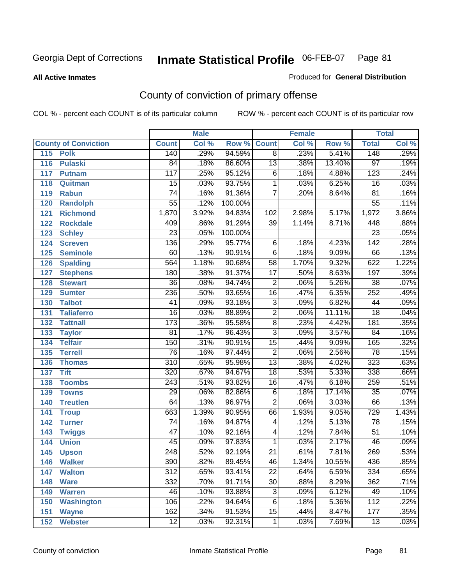**All Active Inmates**

## Georgia Dept of Corrections **Inmate Statistical Profile** 06-FEB-07 Page 81

Produced for **General Distribution**

# County of conviction of primary offense

|                             |                  | <b>Male</b> |         |                 | <b>Female</b>              |        |                  | <b>Total</b> |
|-----------------------------|------------------|-------------|---------|-----------------|----------------------------|--------|------------------|--------------|
| <b>County of Conviction</b> | <b>Count</b>     | Col %       | Row %   | <b>Count</b>    | $\overline{\text{Col }\%}$ | Row %  | <b>Total</b>     | Col %        |
| 115 Polk                    | 140              | .29%        | 94.59%  | $\overline{8}$  | .23%                       | 5.41%  | 148              | .29%         |
| 116<br><b>Pulaski</b>       | $\overline{84}$  | .18%        | 86.60%  | $\overline{13}$ | .38%                       | 13.40% | $\overline{97}$  | .19%         |
| 117<br><b>Putnam</b>        | $\overline{117}$ | .25%        | 95.12%  | $\overline{6}$  | .18%                       | 4.88%  | $\overline{123}$ | .24%         |
| 118<br>Quitman              | $\overline{15}$  | .03%        | 93.75%  | $\mathbf{1}$    | .03%                       | 6.25%  | $\overline{16}$  | .03%         |
| 119<br><b>Rabun</b>         | $\overline{74}$  | .16%        | 91.36%  | $\overline{7}$  | .20%                       | 8.64%  | $\overline{81}$  | .16%         |
| 120<br><b>Randolph</b>      | $\overline{55}$  | .12%        | 100.00% |                 |                            |        | 55               | .11%         |
| 121<br><b>Richmond</b>      | 1,870            | 3.92%       | 94.83%  | 102             | 2.98%                      | 5.17%  | 1,972            | 3.86%        |
| 122<br><b>Rockdale</b>      | 409              | .86%        | 91.29%  | $\overline{39}$ | 1.14%                      | 8.71%  | 448              | .88%         |
| 123<br><b>Schley</b>        | $\overline{23}$  | .05%        | 100.00% |                 |                            |        | $\overline{23}$  | .05%         |
| 124<br><b>Screven</b>       | 136              | .29%        | 95.77%  | 6               | .18%                       | 4.23%  | $\overline{142}$ | .28%         |
| <b>Seminole</b><br>125      | 60               | .13%        | 90.91%  | $\overline{6}$  | .18%                       | 9.09%  | 66               | .13%         |
| 126<br><b>Spalding</b>      | 564              | 1.18%       | 90.68%  | $\overline{58}$ | 1.70%                      | 9.32%  | 622              | 1.22%        |
| 127<br><b>Stephens</b>      | 180              | .38%        | 91.37%  | $\overline{17}$ | .50%                       | 8.63%  | 197              | .39%         |
| 128<br><b>Stewart</b>       | $\overline{36}$  | .08%        | 94.74%  | $\overline{2}$  | .06%                       | 5.26%  | $\overline{38}$  | .07%         |
| 129<br><b>Sumter</b>        | 236              | .50%        | 93.65%  | 16              | .47%                       | 6.35%  | 252              | .49%         |
| <b>Talbot</b><br>130        | $\overline{41}$  | .09%        | 93.18%  | $\overline{3}$  | .09%                       | 6.82%  | 44               | .09%         |
| <b>Taliaferro</b><br>131    | $\overline{16}$  | .03%        | 88.89%  | $\overline{2}$  | .06%                       | 11.11% | $\overline{18}$  | .04%         |
| 132<br><b>Tattnall</b>      | $\overline{173}$ | .36%        | 95.58%  | $\overline{8}$  | .23%                       | 4.42%  | 181              | .35%         |
| 133<br><b>Taylor</b>        | $\overline{81}$  | .17%        | 96.43%  | $\overline{3}$  | .09%                       | 3.57%  | $\overline{84}$  | .16%         |
| <b>Telfair</b><br>134       | 150              | .31%        | 90.91%  | $\overline{15}$ | .44%                       | 9.09%  | 165              | .32%         |
| 135<br><b>Terrell</b>       | $\overline{76}$  | .16%        | 97.44%  | $\overline{2}$  | .06%                       | 2.56%  | $\overline{78}$  | .15%         |
| 136<br><b>Thomas</b>        | $\overline{310}$ | .65%        | 95.98%  | $\overline{13}$ | .38%                       | 4.02%  | 323              | .63%         |
| <b>Tift</b><br>137          | 320              | .67%        | 94.67%  | $\overline{18}$ | .53%                       | 5.33%  | 338              | .66%         |
| <b>Toombs</b><br>138        | $\overline{243}$ | .51%        | 93.82%  | 16              | .47%                       | 6.18%  | 259              | .51%         |
| 139<br><b>Towns</b>         | $\overline{29}$  | .06%        | 82.86%  | $\overline{6}$  | .18%                       | 17.14% | $\overline{35}$  | .07%         |
| <b>Treutlen</b><br>140      | 64               | .13%        | 96.97%  | $\overline{2}$  | .06%                       | 3.03%  | 66               | .13%         |
| 141<br><b>Troup</b>         | 663              | 1.39%       | 90.95%  | 66              | 1.93%                      | 9.05%  | 729              | 1.43%        |
| 142<br><b>Turner</b>        | $\overline{74}$  | .16%        | 94.87%  | 4               | .12%                       | 5.13%  | $\overline{78}$  | .15%         |
| 143<br><b>Twiggs</b>        | $\overline{47}$  | .10%        | 92.16%  | $\overline{4}$  | .12%                       | 7.84%  | $\overline{51}$  | .10%         |
| <b>Union</b><br>144         | $\overline{45}$  | .09%        | 97.83%  | 1               | .03%                       | 2.17%  | 46               | .09%         |
| 145<br><b>Upson</b>         | $\overline{248}$ | .52%        | 92.19%  | $\overline{21}$ | .61%                       | 7.81%  | 269              | .53%         |
| <b>Walker</b><br>146        | 390              | .82%        | 89.45%  | 46              | 1.34%                      | 10.55% | 436              | .85%         |
| 147<br><b>Walton</b>        | $\overline{312}$ | .65%        | 93.41%  | $\overline{22}$ | .64%                       | 6.59%  | $\frac{1}{334}$  | .65%         |
| <b>Ware</b><br>148          | 332              | .70%        | 91.71%  | $\overline{30}$ | .88%                       | 8.29%  | 362              | .71%         |
| 149<br><b>Warren</b>        | 46               | .10%        | 93.88%  | $\overline{3}$  | .09%                       | 6.12%  | 49               | .10%         |
| <b>Washington</b><br>150    | 106              | .22%        | 94.64%  | $\overline{6}$  | .18%                       | 5.36%  | $\overline{112}$ | .22%         |
| 151<br><b>Wayne</b>         | 162              | .34%        | 91.53%  | $\overline{15}$ | .44%                       | 8.47%  | 177              | .35%         |
| <b>Webster</b><br>152       | $\overline{12}$  | .03%        | 92.31%  | $\mathbf 1$     | .03%                       | 7.69%  | 13               | .03%         |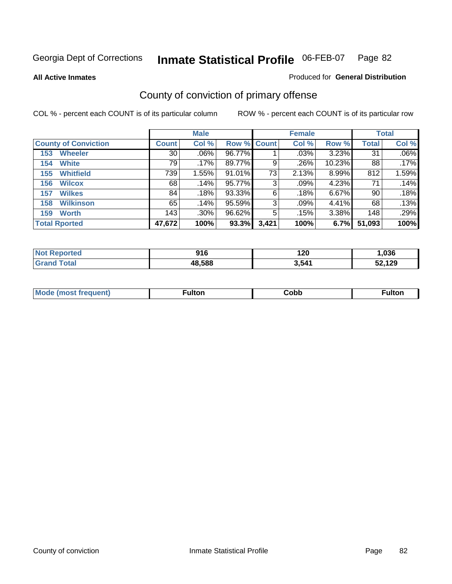**All Active Inmates**

### Produced for **General Distribution**

# County of conviction of primary offense

|                             |                 | <b>Male</b> |             |       | <b>Female</b> |        |              | <b>Total</b> |
|-----------------------------|-----------------|-------------|-------------|-------|---------------|--------|--------------|--------------|
| <b>County of Conviction</b> | <b>Count</b>    | Col %       | Row % Count |       | Col %         | Row %  | <b>Total</b> | Col %        |
| <b>Wheeler</b><br>153       | 30 <sup>1</sup> | $.06\%$     | 96.77%      |       | .03%          | 3.23%  | 31           | $.06\%$      |
| <b>White</b><br>154         | 79              | .17%        | 89.77%      | 9     | .26%          | 10.23% | 88           | .17%         |
| <b>Whitfield</b><br>155     | 739             | 1.55%       | $91.01\%$   | 73    | 2.13%         | 8.99%  | 812          | 1.59%        |
| <b>Wilcox</b><br>156        | 68              | .14%        | 95.77%      | 3     | $.09\%$       | 4.23%  | 71           | .14%         |
| <b>Wilkes</b><br>157        | 84              | .18%        | 93.33%      | 6     | .18%          | 6.67%  | 90           | .18%         |
| <b>Wilkinson</b><br>158     | 65              | .14%        | 95.59%      | 3     | .09%          | 4.41%  | 68           | $.13\%$      |
| <b>Worth</b><br>159         | 143             | $.30\%$     | 96.62%      | 5     | .15%          | 3.38%  | 148          | .29%         |
| <b>Total Rported</b>        | 47,672          | 100%        | 93.3%       | 3,421 | 100%          | 6.7%   | 51,093       | 100%         |

| <b>eported</b><br>NO: | 01 C<br>JIV | .<br>∍<br>1 Z U | ,036 |
|-----------------------|-------------|-----------------|------|
| ota.<br>.Gr           | 48,588      | 3,541           | .129 |

| Mc | ™ulton | Cobb |  |
|----|--------|------|--|
|    |        |      |  |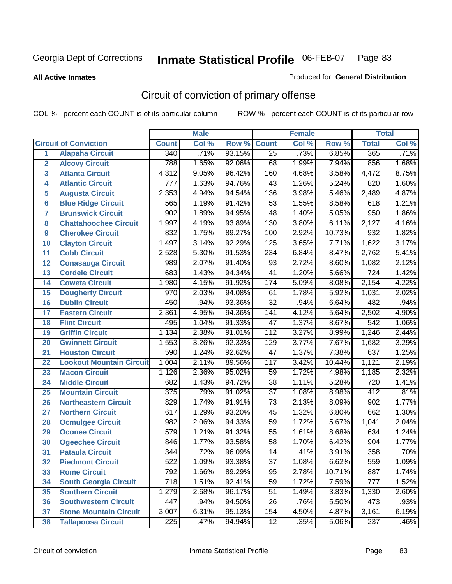**All Active Inmates**

### Produced for **General Distribution**

# Circuit of conviction of primary offense

|                         |                                 |                  | <b>Male</b> |        |                  | <b>Female</b> |        |              | <b>Total</b> |
|-------------------------|---------------------------------|------------------|-------------|--------|------------------|---------------|--------|--------------|--------------|
|                         | <b>Circuit of Conviction</b>    | <b>Count</b>     | Col %       | Row %  | <b>Count</b>     | Col %         | Row %  | <b>Total</b> | Col %        |
| 1                       | <b>Alapaha Circuit</b>          | 340              | .71%        | 93.15% | $\overline{25}$  | .73%          | 6.85%  | 365          | .71%         |
| $\overline{2}$          | <b>Alcovy Circuit</b>           | 788              | 1.65%       | 92.06% | 68               | 1.99%         | 7.94%  | 856          | 1.68%        |
| $\overline{\mathbf{3}}$ | <b>Atlanta Circuit</b>          | 4,312            | 9.05%       | 96.42% | 160              | 4.68%         | 3.58%  | 4,472        | 8.75%        |
| 4                       | <b>Atlantic Circuit</b>         | 777              | 1.63%       | 94.76% | 43               | 1.26%         | 5.24%  | 820          | 1.60%        |
| 5                       | <b>Augusta Circuit</b>          | 2,353            | 4.94%       | 94.54% | 136              | 3.98%         | 5.46%  | 2,489        | 4.87%        |
| 6                       | <b>Blue Ridge Circuit</b>       | 565              | 1.19%       | 91.42% | $\overline{53}$  | 1.55%         | 8.58%  | 618          | 1.21%        |
| 7                       | <b>Brunswick Circuit</b>        | $\overline{902}$ | 1.89%       | 94.95% | 48               | 1.40%         | 5.05%  | 950          | 1.86%        |
| 8                       | <b>Chattahoochee Circuit</b>    | 1,997            | 4.19%       | 93.89% | 130              | 3.80%         | 6.11%  | 2,127        | 4.16%        |
| 9                       | <b>Cherokee Circuit</b>         | 832              | 1.75%       | 89.27% | 100              | 2.92%         | 10.73% | 932          | 1.82%        |
| 10                      | <b>Clayton Circuit</b>          | 1,497            | 3.14%       | 92.29% | 125              | 3.65%         | 7.71%  | 1,622        | 3.17%        |
| 11                      | <b>Cobb Circuit</b>             | 2,528            | 5.30%       | 91.53% | 234              | 6.84%         | 8.47%  | 2,762        | 5.41%        |
| 12                      | <b>Conasauga Circuit</b>        | 989              | 2.07%       | 91.40% | $\overline{93}$  | 2.72%         | 8.60%  | 1,082        | 2.12%        |
| 13                      | <b>Cordele Circuit</b>          | 683              | 1.43%       | 94.34% | $\overline{41}$  | 1.20%         | 5.66%  | 724          | 1.42%        |
| 14                      | <b>Coweta Circuit</b>           | 1,980            | 4.15%       | 91.92% | 174              | 5.09%         | 8.08%  | 2,154        | 4.22%        |
| 15                      | <b>Dougherty Circuit</b>        | 970              | 2.03%       | 94.08% | 61               | 1.78%         | 5.92%  | 1,031        | 2.02%        |
| 16                      | <b>Dublin Circuit</b>           | 450              | .94%        | 93.36% | $\overline{32}$  | .94%          | 6.64%  | 482          | .94%         |
| 17                      | <b>Eastern Circuit</b>          | 2,361            | 4.95%       | 94.36% | $\overline{141}$ | 4.12%         | 5.64%  | 2,502        | 4.90%        |
| 18                      | <b>Flint Circuit</b>            | 495              | 1.04%       | 91.33% | $\overline{47}$  | 1.37%         | 8.67%  | 542          | 1.06%        |
| 19                      | <b>Griffin Circuit</b>          | 1,134            | 2.38%       | 91.01% | 112              | 3.27%         | 8.99%  | 1,246        | 2.44%        |
| 20                      | <b>Gwinnett Circuit</b>         | 1,553            | 3.26%       | 92.33% | 129              | 3.77%         | 7.67%  | 1,682        | 3.29%        |
| 21                      | <b>Houston Circuit</b>          | 590              | 1.24%       | 92.62% | $\overline{47}$  | 1.37%         | 7.38%  | 637          | 1.25%        |
| 22                      | <b>Lookout Mountain Circuit</b> | 1,004            | 2.11%       | 89.56% | 117              | 3.42%         | 10.44% | 1,121        | 2.19%        |
| 23                      | <b>Macon Circuit</b>            | 1,126            | 2.36%       | 95.02% | 59               | 1.72%         | 4.98%  | 1,185        | 2.32%        |
| 24                      | <b>Middle Circuit</b>           | 682              | 1.43%       | 94.72% | 38               | 1.11%         | 5.28%  | 720          | 1.41%        |
| 25                      | <b>Mountain Circuit</b>         | $\overline{375}$ | .79%        | 91.02% | $\overline{37}$  | 1.08%         | 8.98%  | 412          | .81%         |
| 26                      | <b>Northeastern Circuit</b>     | 829              | 1.74%       | 91.91% | $\overline{73}$  | 2.13%         | 8.09%  | 902          | 1.77%        |
| 27                      | <b>Northern Circuit</b>         | 617              | 1.29%       | 93.20% | 45               | 1.32%         | 6.80%  | 662          | 1.30%        |
| 28                      | <b>Ocmulgee Circuit</b>         | 982              | 2.06%       | 94.33% | $\overline{59}$  | 1.72%         | 5.67%  | 1,041        | 2.04%        |
| 29                      | <b>Oconee Circuit</b>           | $\overline{579}$ | 1.21%       | 91.32% | $\overline{55}$  | 1.61%         | 8.68%  | 634          | 1.24%        |
| 30                      | <b>Ogeechee Circuit</b>         | 846              | 1.77%       | 93.58% | $\overline{58}$  | 1.70%         | 6.42%  | 904          | 1.77%        |
| 31                      | <b>Pataula Circuit</b>          | 344              | .72%        | 96.09% | 14               | .41%          | 3.91%  | 358          | .70%         |
| 32                      | <b>Piedmont Circuit</b>         | 522              | 1.09%       | 93.38% | 37               | 1.08%         | 6.62%  | 559          | 1.09%        |
| 33                      | <b>Rome Circuit</b>             | 792              | 1.66%       | 89.29% | 95               | 2.78%         | 10.71% | 887          | 1.74%        |
| 34                      | <b>South Georgia Circuit</b>    | 718              | 1.51%       | 92.41% | 59               | 1.72%         | 7.59%  | 777          | 1.52%        |
| 35                      | <b>Southern Circuit</b>         | 1,279            | 2.68%       | 96.17% | 51               | 1.49%         | 3.83%  | 1,330        | 2.60%        |
| 36                      | <b>Southwestern Circuit</b>     | 447              | .94%        | 94.50% | 26               | .76%          | 5.50%  | 473          | .93%         |
| 37                      | <b>Stone Mountain Circuit</b>   | 3,007            | 6.31%       | 95.13% | 154              | 4.50%         | 4.87%  | 3,161        | 6.19%        |
| 38                      | <b>Tallapoosa Circuit</b>       | 225              | .47%        | 94.94% | 12               | .35%          | 5.06%  | 237          | .46%         |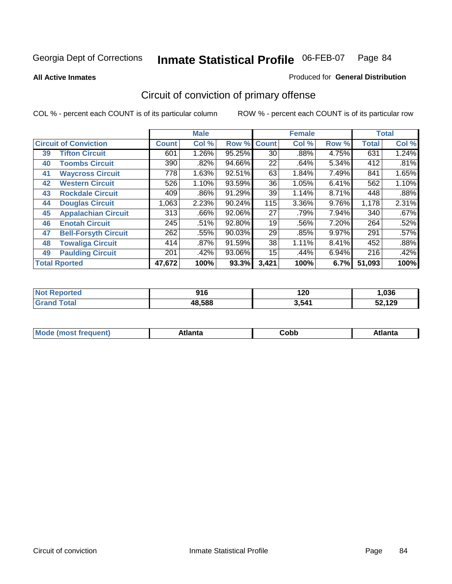**All Active Inmates**

### Produced for **General Distribution**

# Circuit of conviction of primary offense

|    |                              |              | <b>Male</b> |        |              | <b>Female</b> |          |              | <b>Total</b> |
|----|------------------------------|--------------|-------------|--------|--------------|---------------|----------|--------------|--------------|
|    | <b>Circuit of Conviction</b> | <b>Count</b> | Col %       | Row %  | <b>Count</b> | Col %         | Row %    | <b>Total</b> | Col %        |
| 39 | <b>Tifton Circuit</b>        | 601          | 1.26%       | 95.25% | 30           | $.88\%$       | 4.75%    | 631          | 1.24%        |
| 40 | <b>Toombs Circuit</b>        | 390          | .82%        | 94.66% | 22           | .64%          | 5.34%    | 412          | .81%         |
| 41 | <b>Waycross Circuit</b>      | 778          | 1.63%       | 92.51% | 63           | 1.84%         | 7.49%    | 841          | 1.65%        |
| 42 | <b>Western Circuit</b>       | 526          | 1.10%       | 93.59% | 36           | 1.05%         | 6.41%    | 562          | 1.10%        |
| 43 | <b>Rockdale Circuit</b>      | 409          | .86%        | 91.29% | 39           | 1.14%         | 8.71%    | 448          | .88%         |
| 44 | <b>Douglas Circuit</b>       | 1,063        | 2.23%       | 90.24% | 115          | 3.36%         | 9.76%    | 1,178        | 2.31%        |
| 45 | <b>Appalachian Circuit</b>   | 313          | $.66\%$     | 92.06% | 27           | .79%          | 7.94%    | 340          | .67%         |
| 46 | <b>Enotah Circuit</b>        | 245          | .51%        | 92.80% | 19           | .56%          | 7.20%    | 264          | .52%         |
| 47 | <b>Bell-Forsyth Circuit</b>  | 262          | .55%        | 90.03% | 29           | .85%          | $9.97\%$ | 291          | .57%         |
| 48 | <b>Towaliga Circuit</b>      | 414          | .87%        | 91.59% | 38           | 1.11%         | 8.41%    | 452          | .88%         |
| 49 | <b>Paulding Circuit</b>      | 201          | .42%        | 93.06% | 15           | .44%          | 6.94%    | 216          | .42%         |
|    | <b>Total Rported</b>         | 47,672       | 100%        | 93.3%  | 3,421        | 100%          | 6.7%     | 51,093       | 100%         |

| <b>Not</b><br><b>rteg</b> | 01 G<br>ט ו ט | 120   | ,036   |
|---------------------------|---------------|-------|--------|
| ™ota⊾                     | 48,588        | 3,541 | 52,129 |

| <b>M</b> ດ<br>.<br>. | $+1$ ant $\cdot$<br>ιαπιω<br>. <i>. .</i> | ∶obb<br>- - - - - | 'anta |
|----------------------|-------------------------------------------|-------------------|-------|
|----------------------|-------------------------------------------|-------------------|-------|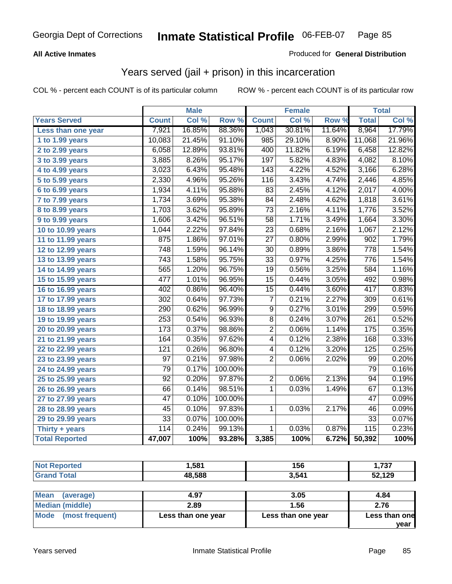### **All Active Inmates**

### Produced for **General Distribution**

## Years served (jail + prison) in this incarceration

|                              |                  | <b>Male</b> |         |                 | <b>Female</b> |        |                   | <b>Total</b> |
|------------------------------|------------------|-------------|---------|-----------------|---------------|--------|-------------------|--------------|
| <b>Years Served</b>          | <b>Count</b>     | Col %       | Row %   | <b>Count</b>    | Col %         | Row %  | <b>Total</b>      | Col %        |
| Less than one year           | 7,921            | 16.85%      | 88.36%  | 1,043           | 30.81%        | 11.64% | 8,964             | 17.79%       |
| 1 to 1.99 years              | 10,083           | 21.45%      | 91.10%  | 985             | 29.10%        | 8.90%  | 11,068            | 21.96%       |
| 2 to 2.99 years              | 6,058            | 12.89%      | 93.81%  | 400             | 11.82%        | 6.19%  | 6,458             | 12.82%       |
| 3 to 3.99 years              | 3,885            | 8.26%       | 95.17%  | 197             | 5.82%         | 4.83%  | 4,082             | 8.10%        |
| 4 to 4.99 years              | 3,023            | 6.43%       | 95.48%  | 143             | 4.22%         | 4.52%  | 3,166             | 6.28%        |
| $\overline{5}$ to 5.99 years | 2,330            | 4.96%       | 95.26%  | 116             | 3.43%         | 4.74%  | 2,446             | 4.85%        |
| 6 to 6.99 years              | 1,934            | 4.11%       | 95.88%  | $\overline{83}$ | 2.45%         | 4.12%  | 2,017             | 4.00%        |
| 7 to 7.99 years              | 1,734            | 3.69%       | 95.38%  | 84              | 2.48%         | 4.62%  | 1,818             | 3.61%        |
| 8 to 8.99 years              | 1,703            | 3.62%       | 95.89%  | $\overline{73}$ | 2.16%         | 4.11%  | 1,776             | 3.52%        |
| 9 to 9.99 years              | 1,606            | 3.42%       | 96.51%  | $\overline{58}$ | 1.71%         | 3.49%  | 1,664             | 3.30%        |
| 10 to 10.99 years            | 1,044            | 2.22%       | 97.84%  | 23              | 0.68%         | 2.16%  | 1,067             | 2.12%        |
| 11 to 11.99 years            | 875              | 1.86%       | 97.01%  | $\overline{27}$ | 0.80%         | 2.99%  | $\overline{902}$  | 1.79%        |
| 12 to 12.99 years            | 748              | 1.59%       | 96.14%  | $\overline{30}$ | 0.89%         | 3.86%  | $\overline{778}$  | 1.54%        |
| 13 to 13.99 years            | $\overline{743}$ | 1.58%       | 95.75%  | $\overline{33}$ | 0.97%         | 4.25%  | 776               | 1.54%        |
| 14 to 14.99 years            | 565              | 1.20%       | 96.75%  | $\overline{19}$ | 0.56%         | 3.25%  | 584               | 1.16%        |
| 15 to 15.99 years            | 477              | 1.01%       | 96.95%  | $\overline{15}$ | 0.44%         | 3.05%  | 492               | 0.98%        |
| 16 to 16.99 years            | 402              | 0.86%       | 96.40%  | $\overline{15}$ | 0.44%         | 3.60%  | 417               | 0.83%        |
| 17 to 17.99 years            | $\overline{302}$ | 0.64%       | 97.73%  | $\overline{7}$  | 0.21%         | 2.27%  | 309               | 0.61%        |
| 18 to 18.99 years            | $\overline{290}$ | 0.62%       | 96.99%  | $\overline{9}$  | 0.27%         | 3.01%  | 299               | 0.59%        |
| 19 to 19.99 years            | 253              | 0.54%       | 96.93%  | $\overline{8}$  | 0.24%         | 3.07%  | $\overline{261}$  | 0.52%        |
| 20 to 20.99 years            | 173              | 0.37%       | 98.86%  | $\overline{2}$  | 0.06%         | 1.14%  | $\frac{175}{175}$ | 0.35%        |
| 21 to 21.99 years            | 164              | 0.35%       | 97.62%  | 4               | 0.12%         | 2.38%  | 168               | 0.33%        |
| 22 to 22.99 years            | 121              | 0.26%       | 96.80%  | 4               | 0.12%         | 3.20%  | 125               | 0.25%        |
| 23 to 23.99 years            | $\overline{97}$  | 0.21%       | 97.98%  | $\overline{2}$  | 0.06%         | 2.02%  | 99                | 0.20%        |
| 24 to 24.99 years            | 79               | 0.17%       | 100.00% |                 |               |        | 79                | 0.16%        |
| 25 to 25.99 years            | $\overline{92}$  | 0.20%       | 97.87%  | $\overline{2}$  | 0.06%         | 2.13%  | $\overline{94}$   | 0.19%        |
| 26 to 26.99 years            | 66               | 0.14%       | 98.51%  | $\overline{1}$  | 0.03%         | 1.49%  | 67                | 0.13%        |
| 27 to 27.99 years            | 47               | 0.10%       | 100.00% |                 |               |        | 47                | 0.09%        |
| 28 to 28.99 years            | 45               | 0.10%       | 97.83%  | $\mathbf{1}$    | 0.03%         | 2.17%  | 46                | 0.09%        |
| 29 to 29.99 years            | $\overline{33}$  | 0.07%       | 100.00% |                 |               |        | $\overline{33}$   | 0.07%        |
| Thirty + years               | 114              | 0.24%       | 99.13%  | $\mathbf{1}$    | 0.03%         | 0.87%  | 115               | 0.23%        |
| <b>Total Reported</b>        | 47,007           | 100%        | 93.28%  | 3,385           | 100%          | 6.72%  | 50,392            | 100%         |

| <b>Not Reported</b> | 1,581      | 156        | 1,737          |
|---------------------|------------|------------|----------------|
| <b>Grand Total</b>  | 48,588     | 3,541      | 52,129         |
|                     |            |            |                |
| $R = -1$            | $\sqrt{2}$ | <b>ODE</b> | $\overline{A}$ |

| Mean<br>(average)       | 4.97               | 3.05               | 4.84          |
|-------------------------|--------------------|--------------------|---------------|
| Median (middle)         | 2.89               | 1.56               | 2.76          |
| Mode<br>(most frequent) | Less than one year | Less than one year | Less than one |
|                         |                    |                    | vear          |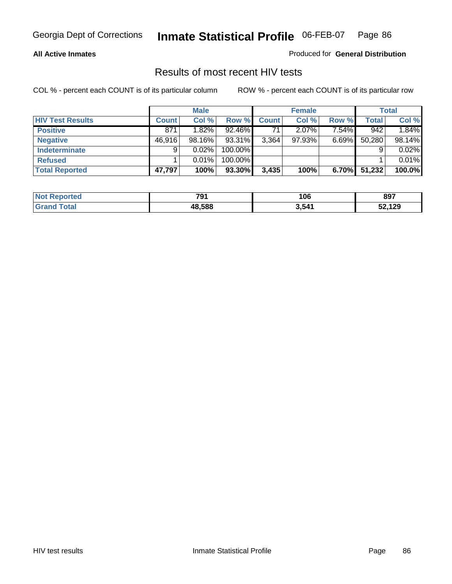### **All Active Inmates**

Produced for **General Distribution**

## Results of most recent HIV tests

|                         |              | <b>Male</b> |         |       | <b>Female</b> |          |        | Total  |
|-------------------------|--------------|-------------|---------|-------|---------------|----------|--------|--------|
| <b>HIV Test Results</b> | <b>Count</b> | Col%        | Row %   | Count | Col %         | Row %    | Total  | Col %  |
| <b>Positive</b>         | 871          | 1.82%       | 92.46%  | 71    | $2.07\%$      | 7.54%    | 942    | 1.84%  |
| <b>Negative</b>         | 46,916       | 98.16%      | 93.31%  | 3,364 | 97.93%        | $6.69\%$ | 50,280 | 98.14% |
| Indeterminate           | 9            | 0.02%       | 100.00% |       |               |          |        | 0.02%  |
| <b>Refused</b>          |              | 0.01%       | 100.00% |       |               |          |        | 0.01%  |
| <b>Total Reported</b>   | 47,797       | 100%        | 93.30%  | 3,435 | 100%          | 6.70%    | 51,232 | 100.0% |

| <b>Not Reported</b>          | 791    | 106   | 897    |
|------------------------------|--------|-------|--------|
| <b>Total</b><br><b>Grand</b> | 48.588 | 3,541 | 52,129 |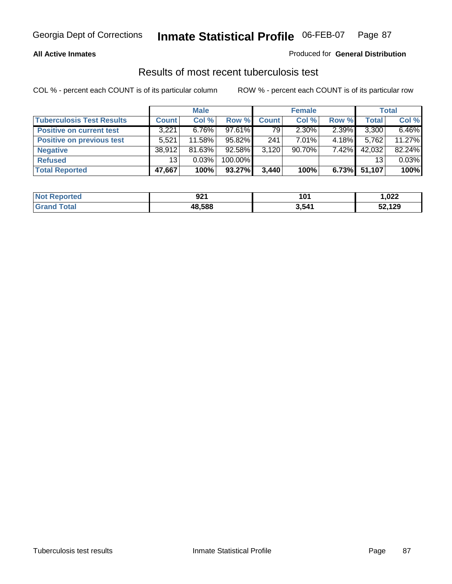### **All Active Inmates**

### Produced for **General Distribution**

## Results of most recent tuberculosis test

|                                  |              | <b>Male</b> |           |              | <b>Female</b> |          |              | <b>Total</b> |
|----------------------------------|--------------|-------------|-----------|--------------|---------------|----------|--------------|--------------|
| <b>Tuberculosis Test Results</b> | <b>Count</b> | Col %       | Row %     | <b>Count</b> | Col %         | Row %    | <b>Total</b> | Col %        |
| <b>Positive on current test</b>  | 3,221        | $6.76\%$    | 97.61%    | 79           | $2.30\%$      | 2.39%    | 3,300        | 6.46%        |
| <b>Positive on previous test</b> | 5,521        | 11.58%      | 95.82%    | 241          | $7.01\%$      | 4.18%    | 5,762        | 11.27%       |
| <b>Negative</b>                  | 38.912       | 81.63%      | $92.58\%$ | 3.120        | $90.70\%$     | $7.42\%$ | 42,032       | 82.24%       |
| <b>Refused</b>                   | 13           | 0.03%       | 100.00%   |              |               |          | 13           | 0.03%        |
| <b>Total Reported</b>            | 47,667       | 100%        | 93.27%    | 3,440        | 100%          | 6.73%    | 51,107       | 100%         |

| <b>Not Reported</b>          | 921<br>$ -$ | 101   | ,022   |
|------------------------------|-------------|-------|--------|
| <b>Total</b><br><b>Grand</b> | 48,588      | 3,541 | 52,129 |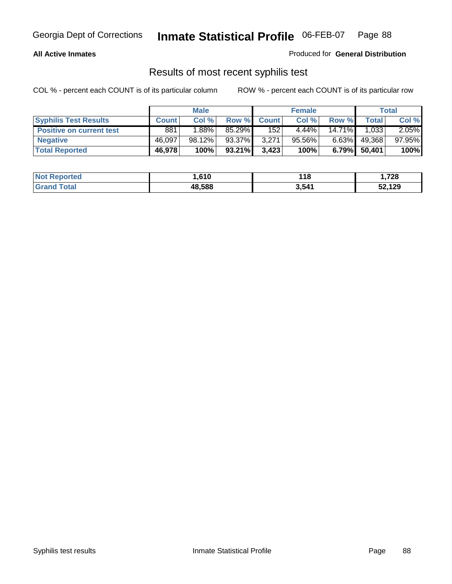### **All Active Inmates**

Produced for **General Distribution**

## Results of most recent syphilis test

|                                 | <b>Male</b>  |        |           | <b>Female</b> |           | Total     |              |        |
|---------------------------------|--------------|--------|-----------|---------------|-----------|-----------|--------------|--------|
| <b>Syphilis Test Results</b>    | <b>Count</b> | Col %  |           | Row % Count   | Col %     | Row %     | <b>Total</b> | Col %  |
| <b>Positive on current test</b> | 881          | 1.88%  | 85.29%    | 152           | $4.44\%$  | $14.71\%$ | 1,033        | 2.05%  |
| <b>Negative</b>                 | 46,097       | 98.12% | 93.37%    | 3.271         | $95.56\%$ | $6.63\%$  | 49,368       | 97.95% |
| <b>Total Reported</b>           | 46,978       | 100%   | $93.21\%$ | 3,423         | 100%      | 6.79%     | 50,401       | 100%   |

| <b>Not Reported</b> | .610   | 118   | 1,728  |
|---------------------|--------|-------|--------|
| <b>Grand Total</b>  | 48,588 | 3,541 | 52,129 |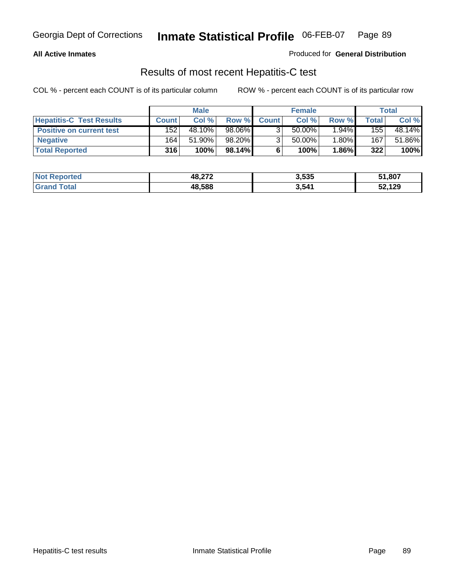### **All Active Inmates**

Produced for **General Distribution**

## Results of most recent Hepatitis-C test

|                                 | <b>Male</b>  |           | <b>Female</b> |              |        | Total    |             |        |
|---------------------------------|--------------|-----------|---------------|--------------|--------|----------|-------------|--------|
| <b>Hepatitis-C Test Results</b> | <b>Count</b> | Col %     | Row %I        | <b>Count</b> | Col %  | Row %    | $\tau$ otal | Col %  |
| <b>Positive on current test</b> | 152          | 48.10%    | 98.06%        |              | 50.00% | $1.94\%$ | 155         | 48.14% |
| <b>Negative</b>                 | 164          | $51.90\%$ | 98.20%        |              | 50.00% | 1.80%    | 167         | 51.86% |
| <b>Total Reported</b>           | 316          | 100%      | 98.14%        |              | 100%   | 1.86%    | 322         | 100%   |

| <b>Not Reported</b> | 48,272 | 3,535 | 51,807 |
|---------------------|--------|-------|--------|
| <b>Grand Total</b>  | 48,588 | 3,541 | 52,129 |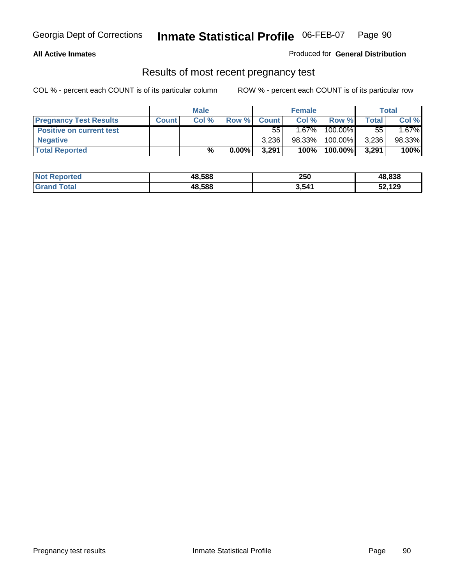### **All Active Inmates**

Produced for **General Distribution**

## Results of most recent pregnancy test

|                                 |              | <b>Male</b> |          |              | <b>Female</b> |         | Total |        |
|---------------------------------|--------------|-------------|----------|--------------|---------------|---------|-------|--------|
| <b>Pregnancy Test Results</b>   | <b>Count</b> | Col %       | Row %    | <b>Count</b> | Col %         | Row %   | Total | Col %  |
| <b>Positive on current test</b> |              |             |          | $55^{\circ}$ | $1.67\%$      | 100.00% | 55    | 1.67%  |
| <b>Negative</b>                 |              |             |          | 3.236        | 98.33%        | 100.00% | 3,236 | 98.33% |
| <b>Total Reported</b>           |              | $\%$        | $0.00\%$ | 3.291        | 100%          | 100.00% | 3,291 | 100%   |

| <b>Not Reported</b> | 48,588 | 250   | 48,838 |
|---------------------|--------|-------|--------|
| ⊺otal<br>Gran       | 48,588 | 3,541 | 52,129 |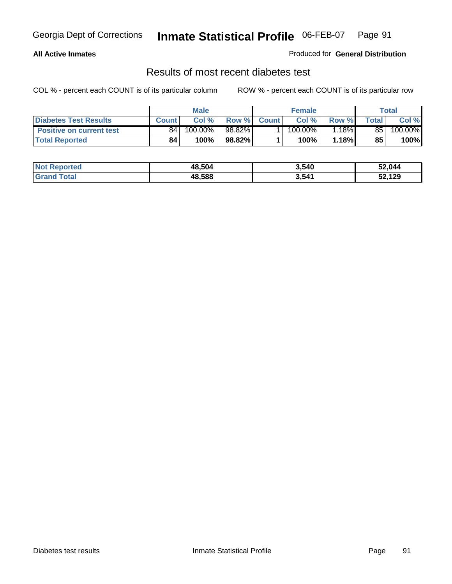### **All Active Inmates**

### Produced for **General Distribution**

## Results of most recent diabetes test

|                                 |              | <b>Male</b> |           |              | <b>Female</b>         |        |                 | Total   |
|---------------------------------|--------------|-------------|-----------|--------------|-----------------------|--------|-----------------|---------|
| <b>Diabetes Test Results</b>    | <b>Count</b> | Col %       | Row %     | <b>Count</b> | Col %                 | Row %I | Total           | Col %   |
| <b>Positive on current test</b> | 84           | 100.00%     | $98.82\%$ |              | $100.\overline{00\%}$ | 1.18%  | 85 <sub>1</sub> | 100.00% |
| <b>Total Reported</b>           | 84           | 100%        | 98.82%    |              | 100%                  | 1.18%  | 85              | 100%    |

| <b>Not Reported</b>     | 48,504 | 3,540 | 52,044 |
|-------------------------|--------|-------|--------|
| <b>Total</b><br>l Grand | 48,588 | 3,541 | 52,129 |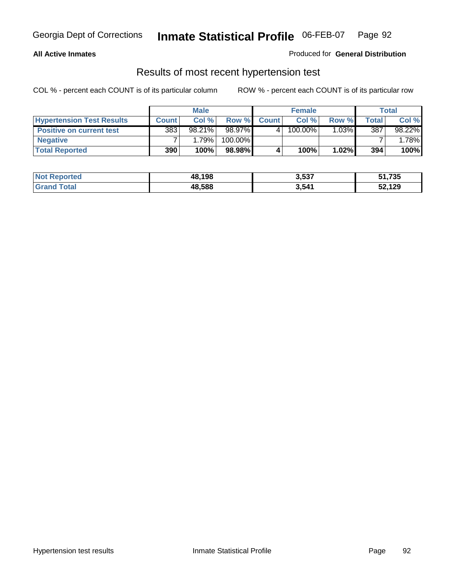### **All Active Inmates**

### Produced for **General Distribution**

## Results of most recent hypertension test

|                                  | <b>Male</b>  |           |         |              | <b>Female</b> |          | <b>Total</b> |          |
|----------------------------------|--------------|-----------|---------|--------------|---------------|----------|--------------|----------|
| <b>Hypertension Test Results</b> | <b>Count</b> | Col %     | Row %   | <b>Count</b> | Col%          | Row %    | Total        | Col %    |
| <b>Positive on current test</b>  | 383          | $98.21\%$ | 98.97%  |              | 100.00%       | $1.03\%$ | 387          | 98.22%   |
| <b>Negative</b>                  |              | 1.79%     | 100.00% |              |               |          |              | $1.78\%$ |
| <b>Total Reported</b>            | 390          | 100%      | 98.98%  |              | 100%          | $1.02\%$ | 394          | 100%     |

| <b>Not Reported</b> | 48.198 | 3,537 | 51,735 |
|---------------------|--------|-------|--------|
| <b>Grand Total</b>  | 48,588 | 3,541 | 52,129 |